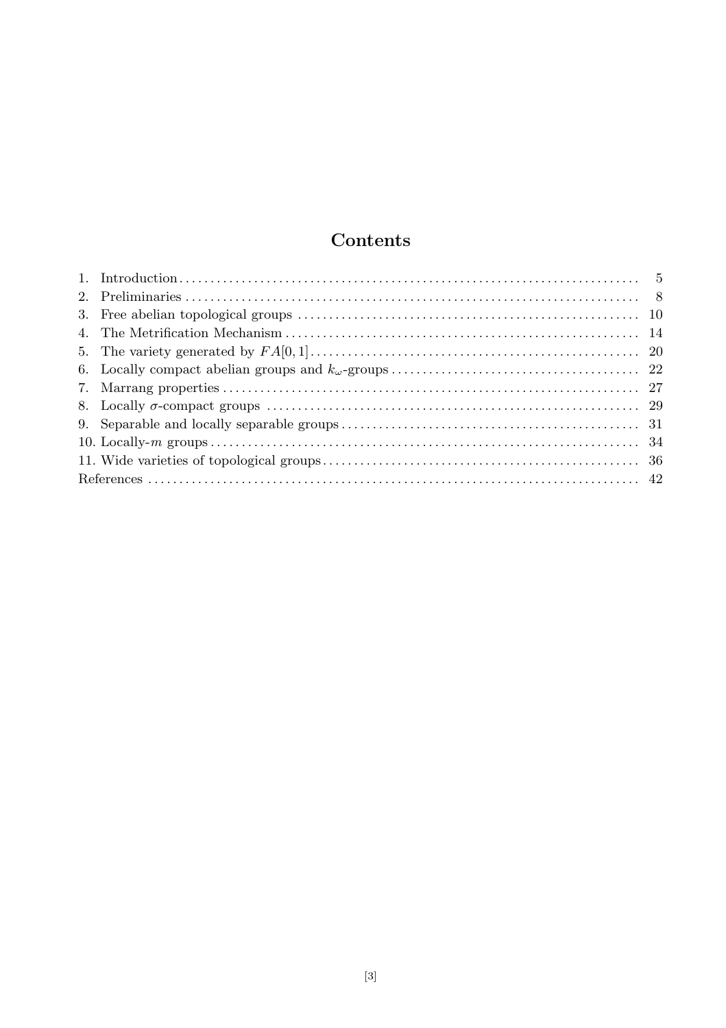# Contents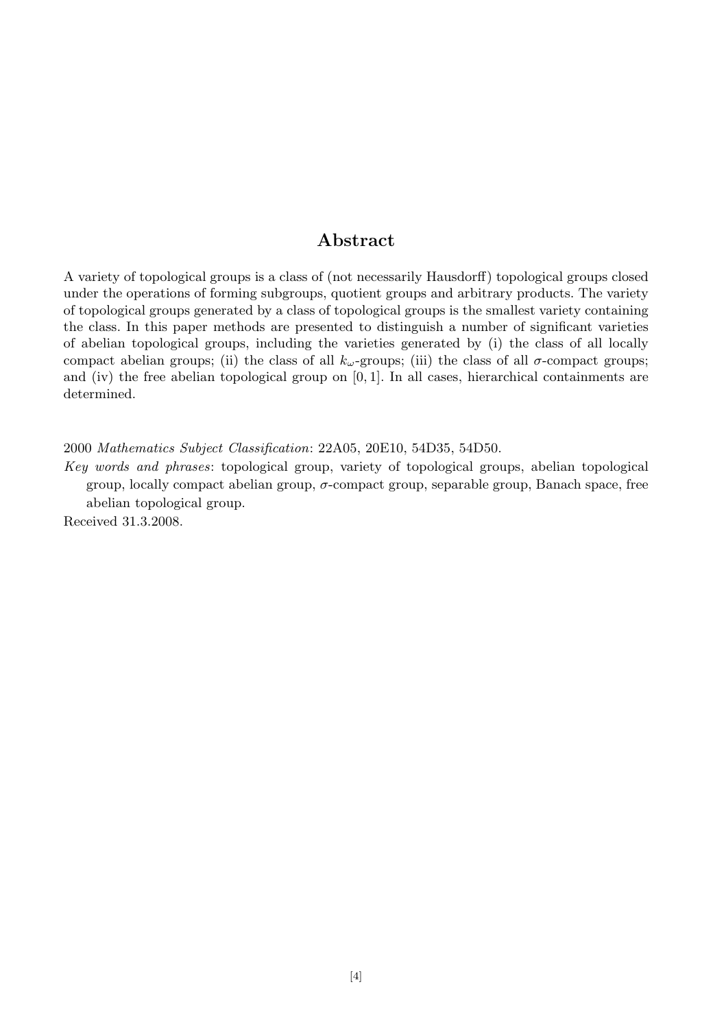# Abstract

A variety of topological groups is a class of (not necessarily Hausdorff) topological groups closed under the operations of forming subgroups, quotient groups and arbitrary products. The variety of topological groups generated by a class of topological groups is the smallest variety containing the class. In this paper methods are presented to distinguish a number of significant varieties of abelian topological groups, including the varieties generated by (i) the class of all locally compact abelian groups; (ii) the class of all  $k_{\omega}$ -groups; (iii) the class of all  $\sigma$ -compact groups; and (iv) the free abelian topological group on  $[0, 1]$ . In all cases, hierarchical containments are determined.

2000 Mathematics Subject Classification: 22A05, 20E10, 54D35, 54D50.

Key words and phrases: topological group, variety of topological groups, abelian topological group, locally compact abelian group,  $\sigma$ -compact group, separable group, Banach space, free abelian topological group.

Received 31.3.2008.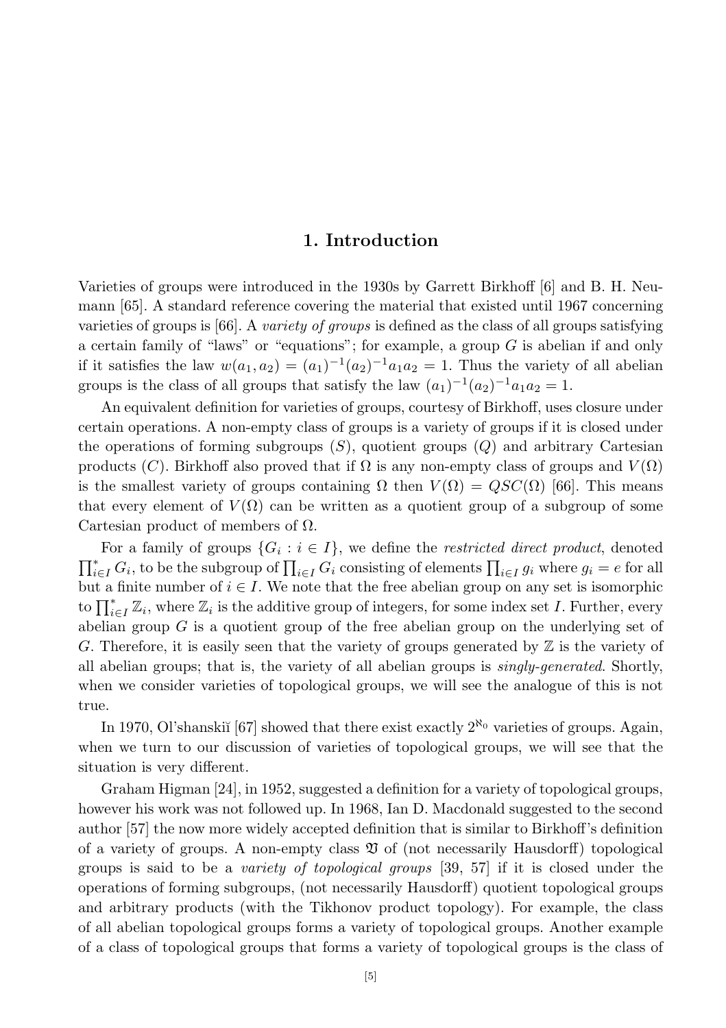# 1. Introduction

Varieties of groups were introduced in the 1930s by Garrett Birkhoff [6] and B. H. Neumann [65]. A standard reference covering the material that existed until 1967 concerning varieties of groups is  $[66]$ . A variety of groups is defined as the class of all groups satisfying a certain family of "laws" or "equations"; for example, a group  $G$  is abelian if and only if it satisfies the law  $w(a_1, a_2) = (a_1)^{-1}(a_2)^{-1}a_1a_2 = 1$ . Thus the variety of all abelian groups is the class of all groups that satisfy the law  $(a_1)^{-1}(a_2)^{-1}a_1a_2=1$ .

An equivalent definition for varieties of groups, courtesy of Birkhoff, uses closure under certain operations. A non-empty class of groups is a variety of groups if it is closed under the operations of forming subgroups  $(S)$ , quotient groups  $(Q)$  and arbitrary Cartesian products (C). Birkhoff also proved that if  $\Omega$  is any non-empty class of groups and  $V(\Omega)$ is the smallest variety of groups containing  $\Omega$  then  $V(\Omega) = QSC(\Omega)$  [66]. This means that every element of  $V(\Omega)$  can be written as a quotient group of a subgroup of some Cartesian product of members of  $\Omega$ .

For a family of groups  $\{G_i : i \in I\}$ , we define the *restricted direct product*, denoted  $\prod_{i\in I}^* G_i$ , to be the subgroup of  $\prod_{i\in I} G_i$  consisting of elements  $\prod_{i\in I} g_i$  where  $g_i = e$  for all but a finite number of  $i \in I$ . We note that the free abelian group on any set is isomorphic to  $\prod_{i\in I}^* \mathbb{Z}_i$ , where  $\mathbb{Z}_i$  is the additive group of integers, for some index set I. Further, every abelian group G is a quotient group of the free abelian group on the underlying set of G. Therefore, it is easily seen that the variety of groups generated by  $\mathbb Z$  is the variety of all abelian groups; that is, the variety of all abelian groups is singly-generated. Shortly, when we consider varieties of topological groups, we will see the analogue of this is not true.

In 1970, Ol'shanskiĭ [67] showed that there exist exactly  $2^{\aleph_0}$  varieties of groups. Again, when we turn to our discussion of varieties of topological groups, we will see that the situation is very different.

Graham Higman [24], in 1952, suggested a definition for a variety of topological groups, however his work was not followed up. In 1968, Ian D. Macdonald suggested to the second author [57] the now more widely accepted definition that is similar to Birkhoff's definition of a variety of groups. A non-empty class  $\mathfrak V$  of (not necessarily Hausdorff) topological groups is said to be a variety of topological groups [39, 57] if it is closed under the operations of forming subgroups, (not necessarily Hausdorff) quotient topological groups and arbitrary products (with the Tikhonov product topology). For example, the class of all abelian topological groups forms a variety of topological groups. Another example of a class of topological groups that forms a variety of topological groups is the class of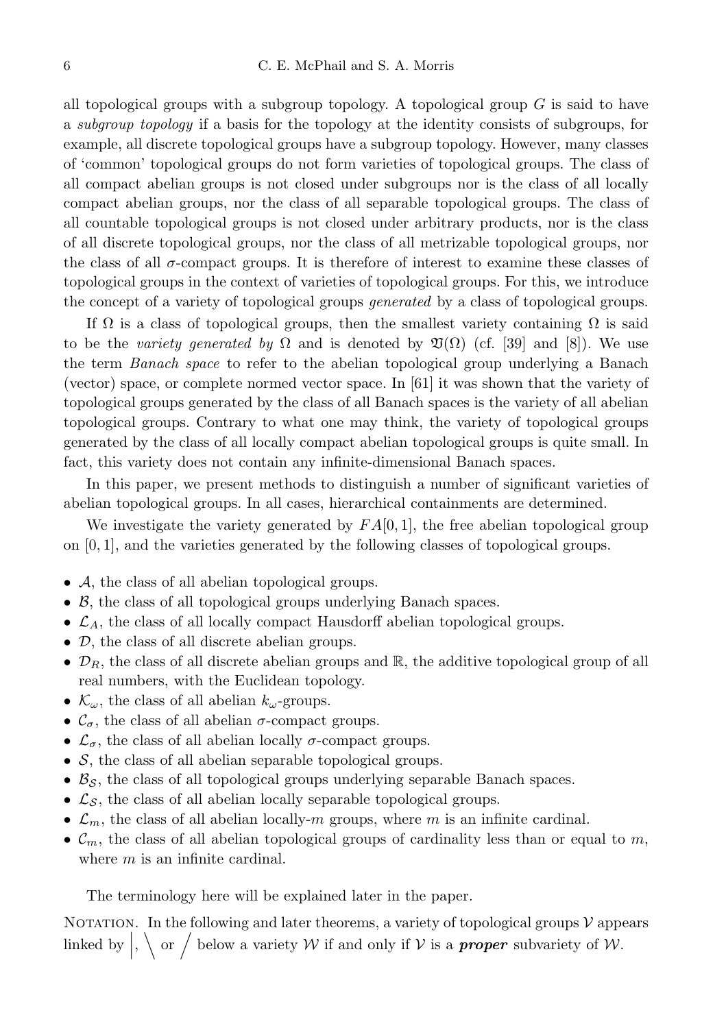all topological groups with a subgroup topology. A topological group  $G$  is said to have a subgroup topology if a basis for the topology at the identity consists of subgroups, for example, all discrete topological groups have a subgroup topology. However, many classes of 'common' topological groups do not form varieties of topological groups. The class of all compact abelian groups is not closed under subgroups nor is the class of all locally compact abelian groups, nor the class of all separable topological groups. The class of all countable topological groups is not closed under arbitrary products, nor is the class of all discrete topological groups, nor the class of all metrizable topological groups, nor the class of all  $\sigma$ -compact groups. It is therefore of interest to examine these classes of topological groups in the context of varieties of topological groups. For this, we introduce the concept of a variety of topological groups *generated* by a class of topological groups.

If  $\Omega$  is a class of topological groups, then the smallest variety containing  $\Omega$  is said to be the variety generated by  $\Omega$  and is denoted by  $\mathfrak{V}(\Omega)$  (cf. [39] and [8]). We use the term Banach space to refer to the abelian topological group underlying a Banach (vector) space, or complete normed vector space. In [61] it was shown that the variety of topological groups generated by the class of all Banach spaces is the variety of all abelian topological groups. Contrary to what one may think, the variety of topological groups generated by the class of all locally compact abelian topological groups is quite small. In fact, this variety does not contain any infinite-dimensional Banach spaces.

In this paper, we present methods to distinguish a number of significant varieties of abelian topological groups. In all cases, hierarchical containments are determined.

We investigate the variety generated by  $FA[0,1]$ , the free abelian topological group on [0, 1], and the varieties generated by the following classes of topological groups.

- A, the class of all abelian topological groups.
- B, the class of all topological groups underlying Banach spaces.
- $\mathcal{L}_A$ , the class of all locally compact Hausdorff abelian topological groups.
- D, the class of all discrete abelian groups.
- $\mathcal{D}_R$ , the class of all discrete abelian groups and  $\mathbb{R}$ , the additive topological group of all real numbers, with the Euclidean topology.
- $\mathcal{K}_{\omega}$ , the class of all abelian  $k_{\omega}$ -groups.
- $\mathcal{C}_{\sigma}$ , the class of all abelian  $\sigma$ -compact groups.
- $\mathcal{L}_{\sigma}$ , the class of all abelian locally  $\sigma$ -compact groups.
- $\bullet$  S, the class of all abelian separable topological groups.
- $\mathcal{B}_{\mathcal{S}}$ , the class of all topological groups underlying separable Banach spaces.
- $\mathcal{L}_{\mathcal{S}}$ , the class of all abelian locally separable topological groups.
- $\mathcal{L}_m$ , the class of all abelian locally-m groups, where m is an infinite cardinal.
- $\mathcal{C}_m$ , the class of all abelian topological groups of cardinality less than or equal to m, where *m* is an infinite cardinal.

The terminology here will be explained later in the paper.

NOTATION. In the following and later theorems, a variety of topological groups  $\mathcal V$  appears linked by  $\Big|\Big|$ ,  $\Big|$  or  $\Big/$  below a variety W if and only if V is a **proper** subvariety of W.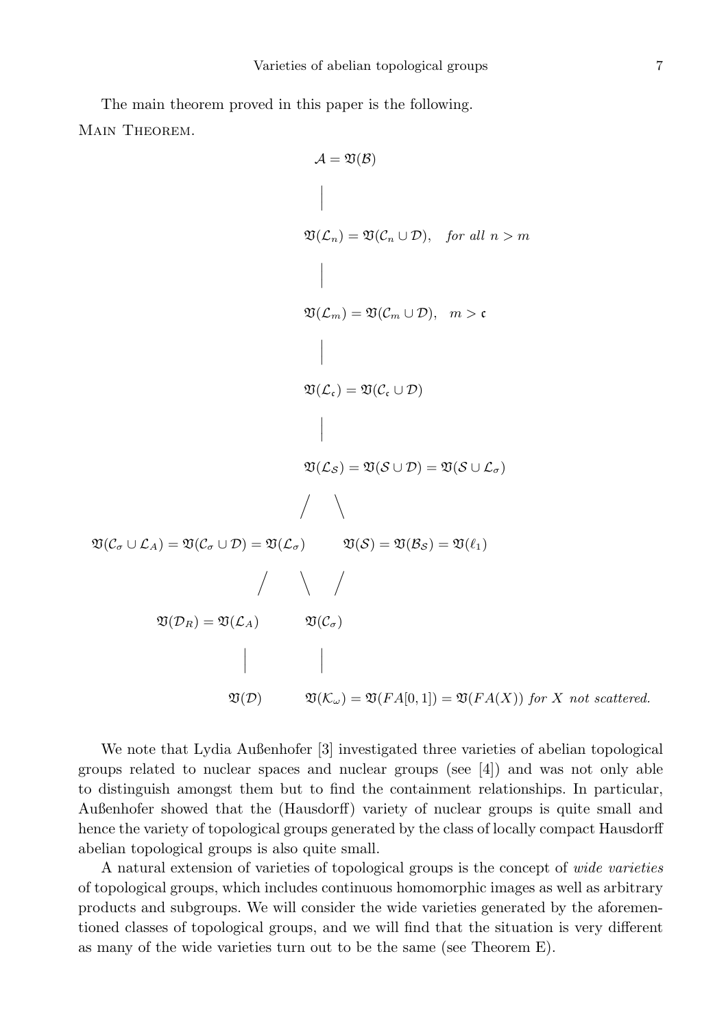The main theorem proved in this paper is the following. Main Theorem.

$$
A = \mathfrak{V}(B)
$$
\n
$$
\downarrow
$$
\n
$$
\mathfrak{V}(\mathcal{L}_n) = \mathfrak{V}(\mathcal{C}_n \cup \mathcal{D}), \quad \text{for all } n > m
$$
\n
$$
\mathfrak{V}(\mathcal{L}_m) = \mathfrak{V}(\mathcal{C}_m \cup \mathcal{D}), \quad m > c
$$
\n
$$
\downarrow
$$
\n
$$
\mathfrak{V}(\mathcal{L}_c) = \mathfrak{V}(\mathcal{C}_c \cup \mathcal{D})
$$
\n
$$
\downarrow
$$
\n
$$
\mathfrak{V}(\mathcal{L}_s) = \mathfrak{V}(\mathcal{S} \cup \mathcal{D}) = \mathfrak{V}(\mathcal{S} \cup \mathcal{L}_\sigma)
$$
\n
$$
\mathfrak{V}(\mathcal{C}_\sigma \cup \mathcal{L}_A) = \mathfrak{V}(\mathcal{C}_\sigma \cup \mathcal{D}) = \mathfrak{V}(\mathcal{L}_\sigma) \qquad \mathfrak{V}(\mathcal{S}) = \mathfrak{V}(\mathcal{B}_S) = \mathfrak{V}(\ell_1)
$$
\n
$$
\mathfrak{V}(\mathcal{D}_R) = \mathfrak{V}(\mathcal{L}_A) \qquad \mathfrak{V}(\mathcal{C}_\sigma)
$$
\n
$$
\downarrow \qquad \qquad \downarrow
$$
\n
$$
\mathfrak{V}(\mathcal{D}) = \mathfrak{V}(\mathcal{L}_A) \qquad \mathfrak{V}(\mathcal{C}_\sigma)
$$
\n
$$
\mathfrak{V}(\mathcal{D}) \qquad \mathfrak{V}(\mathcal{K}_\omega) = \mathfrak{V}(FA[0,1]) = \mathfrak{V}(FA(X)) \text{ for } X \text{ not scattered.}
$$

We note that Lydia Außenhofer [3] investigated three varieties of abelian topological groups related to nuclear spaces and nuclear groups (see [4]) and was not only able to distinguish amongst them but to find the containment relationships. In particular, Außenhofer showed that the (Hausdorff) variety of nuclear groups is quite small and hence the variety of topological groups generated by the class of locally compact Hausdorff abelian topological groups is also quite small.

A natural extension of varieties of topological groups is the concept of wide varieties of topological groups, which includes continuous homomorphic images as well as arbitrary products and subgroups. We will consider the wide varieties generated by the aforementioned classes of topological groups, and we will find that the situation is very different as many of the wide varieties turn out to be the same (see Theorem E).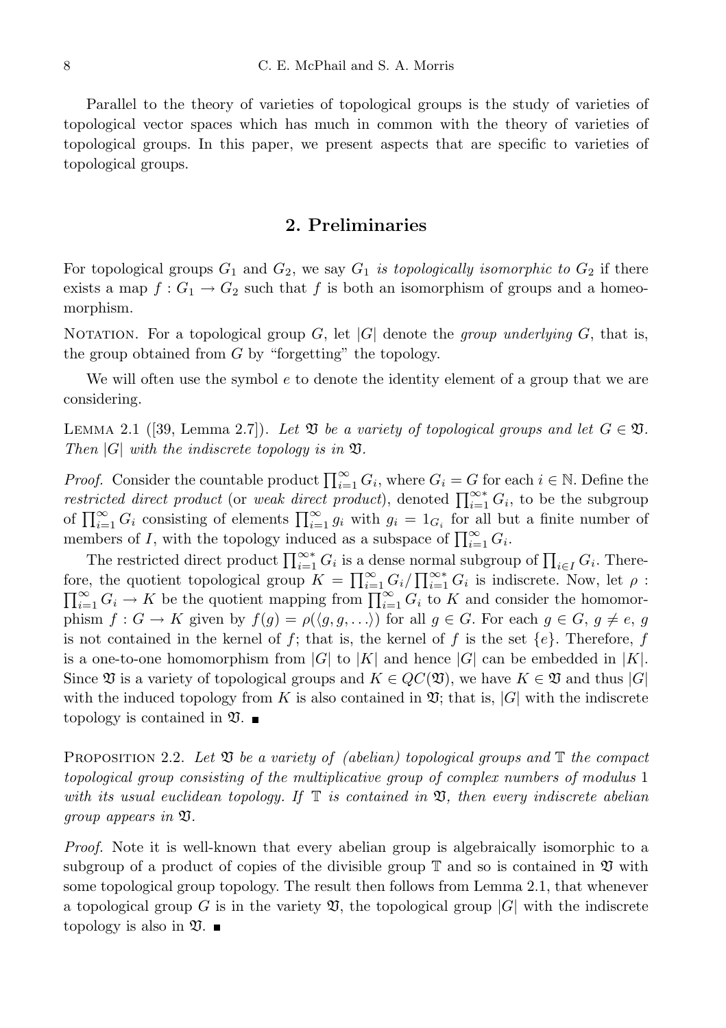Parallel to the theory of varieties of topological groups is the study of varieties of topological vector spaces which has much in common with the theory of varieties of topological groups. In this paper, we present aspects that are specific to varieties of topological groups.

# 2. Preliminaries

For topological groups  $G_1$  and  $G_2$ , we say  $G_1$  is topologically isomorphic to  $G_2$  if there exists a map  $f: G_1 \to G_2$  such that f is both an isomorphism of groups and a homeomorphism.

NOTATION. For a topological group G, let |G| denote the group underlying G, that is, the group obtained from  $G$  by "forgetting" the topology.

We will often use the symbol  $e$  to denote the identity element of a group that we are considering.

LEMMA 2.1 ([39, Lemma 2.7]). Let  $\mathfrak V$  be a variety of topological groups and let  $G \in \mathfrak V$ . Then  $|G|$  with the indiscrete topology is in  $\mathfrak{V}$ .

*Proof.* Consider the countable product  $\prod_{i=1}^{\infty} G_i$ , where  $G_i = G$  for each  $i \in \mathbb{N}$ . Define the restricted direct product (or weak direct product), denoted  $\prod_{i=1}^{\infty} G_i$ , to be the subgroup of  $\prod_{i=1}^{\infty} G_i$  consisting of elements  $\prod_{i=1}^{\infty} g_i$  with  $g_i = 1_{G_i}$  for all but a finite number of members of I, with the topology induced as a subspace of  $\prod_{i=1}^{\infty} G_i$ .

The restricted direct product  $\prod_{i=1}^{\infty} G_i$  is a dense normal subgroup of  $\prod_{i\in I} G_i$ . Therefore, the quotient topological group  $K = \prod_{i=1}^{\infty} G_i / \prod_{i=1}^{\infty} G_i$  is indiscrete. Now, let  $\rho$ :  $\prod_{i=1}^{\infty} G_i \to K$  be the quotient mapping from  $\prod_{i=1}^{\infty} G_i$  to K and consider the homomorphism  $f: G \to K$  given by  $f(g) = \rho(\langle g, g, \ldots \rangle)$  for all  $g \in G$ . For each  $g \in G$ ,  $g \neq e$ , g is not contained in the kernel of f; that is, the kernel of f is the set  $\{e\}$ . Therefore, f is a one-to-one homomorphism from  $|G|$  to  $|K|$  and hence  $|G|$  can be embedded in  $|K|$ . Since  $\mathfrak V$  is a variety of topological groups and  $K \in QC(\mathfrak V)$ , we have  $K \in \mathfrak V$  and thus  $|G|$ with the induced topology from K is also contained in  $\mathfrak{V}$ ; that is,  $|G|$  with the indiscrete topology is contained in  $\mathfrak{V}$ .

PROPOSITION 2.2. Let  $\mathfrak V$  be a variety of (abelian) topological groups and  $\mathbb T$  the compact topological group consisting of the multiplicative group of complex numbers of modulus 1 with its usual euclidean topology. If  $\mathbb T$  is contained in  $\mathfrak V$ , then every indiscrete abelian group appears in V.

Proof. Note it is well-known that every abelian group is algebraically isomorphic to a subgroup of a product of copies of the divisible group  $\mathbb T$  and so is contained in  $\mathfrak V$  with some topological group topology. The result then follows from Lemma 2.1, that whenever a topological group G is in the variety  $\mathfrak V$ , the topological group  $|G|$  with the indiscrete topology is also in  $\mathfrak{V}$ .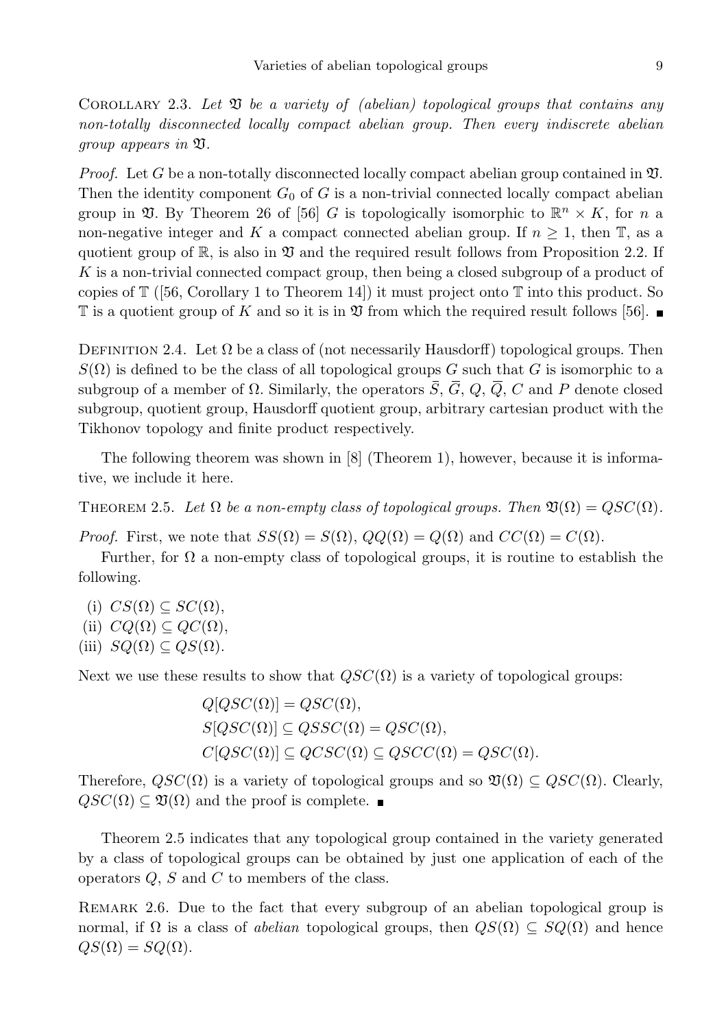COROLLARY 2.3. Let  $\mathfrak V$  be a variety of (abelian) topological groups that contains any non-totally disconnected locally compact abelian group. Then every indiscrete abelian group appears in V.

*Proof.* Let G be a non-totally disconnected locally compact abelian group contained in  $\mathfrak{V}$ . Then the identity component  $G_0$  of G is a non-trivial connected locally compact abelian group in  $\mathfrak{V}$ . By Theorem 26 of [56] G is topologically isomorphic to  $\mathbb{R}^n \times K$ , for n a non-negative integer and K a compact connected abelian group. If  $n \geq 1$ , then T, as a quotient group of  $\mathbb{R}$ , is also in  $\mathfrak V$  and the required result follows from Proposition 2.2. If K is a non-trivial connected compact group, then being a closed subgroup of a product of copies of  $\mathbb{T}$  ([56, Corollary 1 to Theorem 14]) it must project onto  $\mathbb{T}$  into this product. So  $\mathbb T$  is a quotient group of K and so it is in  $\mathfrak V$  from which the required result follows [56].

DEFINITION 2.4. Let  $\Omega$  be a class of (not necessarily Hausdorff) topological groups. Then  $S(\Omega)$  is defined to be the class of all topological groups G such that G is isomorphic to a subgroup of a member of  $\Omega$ . Similarly, the operators  $\overline{S}$ ,  $\overline{G}$ ,  $Q$ ,  $\overline{Q}$ ,  $C$  and P denote closed subgroup, quotient group, Hausdorff quotient group, arbitrary cartesian product with the Tikhonov topology and finite product respectively.

The following theorem was shown in [8] (Theorem 1), however, because it is informative, we include it here.

THEOREM 2.5. Let  $\Omega$  be a non-empty class of topological groups. Then  $\mathfrak{V}(\Omega) = QSC(\Omega)$ .

*Proof.* First, we note that  $SS(\Omega) = S(\Omega)$ ,  $QQ(\Omega) = Q(\Omega)$  and  $CC(\Omega) = C(\Omega)$ .

Further, for  $\Omega$  a non-empty class of topological groups, it is routine to establish the following.

(i)  $CS(\Omega) \subseteq SC(\Omega)$ ,

- (ii)  $CQ(\Omega) \subseteq QC(\Omega)$ ,
- (iii)  $SQ(\Omega) \subseteq QS(\Omega)$ .

Next we use these results to show that  $QSC(\Omega)$  is a variety of topological groups:

 $Q[QSC(\Omega)] = QSC(\Omega),$  $S[QSC(\Omega)] \subseteq QSSC(\Omega) = QSC(\Omega),$  $C[QSC(\Omega)] \subseteq QCSC(\Omega) \subseteq QSCC(\Omega) = QSC(\Omega).$ 

Therefore,  $QSC(\Omega)$  is a variety of topological groups and so  $\mathfrak{V}(\Omega) \subseteq QSC(\Omega)$ . Clearly,  $QSC(\Omega) \subseteq \mathfrak{V}(\Omega)$  and the proof is complete.

Theorem 2.5 indicates that any topological group contained in the variety generated by a class of topological groups can be obtained by just one application of each of the operators  $Q$ ,  $S$  and  $C$  to members of the class.

REMARK 2.6. Due to the fact that every subgroup of an abelian topological group is normal, if  $\Omega$  is a class of abelian topological groups, then  $QS(\Omega) \subseteq SQ(\Omega)$  and hence  $QS(\Omega) = SQ(\Omega)$ .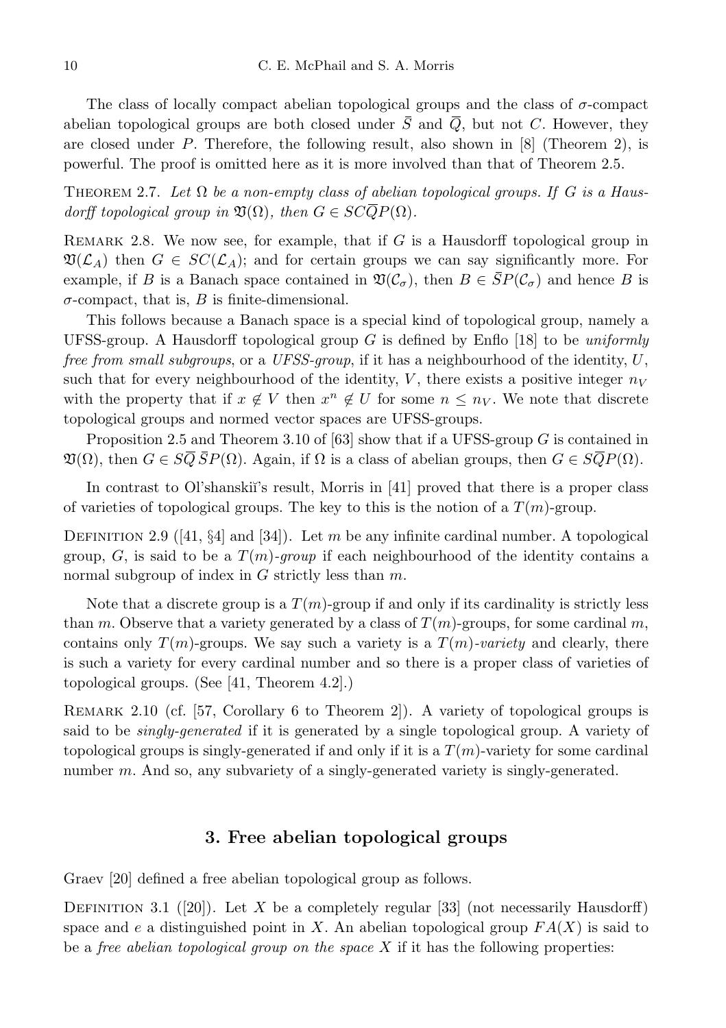The class of locally compact abelian topological groups and the class of  $\sigma$ -compact abelian topological groups are both closed under  $\overline{S}$  and  $\overline{Q}$ , but not C. However, they are closed under  $P$ . Therefore, the following result, also shown in [8] (Theorem 2), is powerful. The proof is omitted here as it is more involved than that of Theorem 2.5.

THEOREM 2.7. Let  $\Omega$  be a non-empty class of abelian topological groups. If G is a Hausdorff topological group in  $\mathfrak{V}(\Omega)$ , then  $G \in SC\overline{Q}P(\Omega)$ .

REMARK 2.8. We now see, for example, that if  $G$  is a Hausdorff topological group in  $\mathfrak{V}(\mathcal{L}_A)$  then  $G \in SC(\mathcal{L}_A)$ ; and for certain groups we can say significantly more. For example, if B is a Banach space contained in  $\mathfrak{V}(\mathcal{C}_{\sigma})$ , then  $B \in \overline{SP}(\mathcal{C}_{\sigma})$  and hence B is  $\sigma$ -compact, that is, B is finite-dimensional.

This follows because a Banach space is a special kind of topological group, namely a UFSS-group. A Hausdorff topological group  $G$  is defined by Enflo [18] to be uniformly free from small subgroups, or a UFSS-group, if it has a neighbourhood of the identity,  $U$ , such that for every neighbourhood of the identity,  $V$ , there exists a positive integer  $n_V$ with the property that if  $x \notin V$  then  $x^n \notin U$  for some  $n \leq n_V$ . We note that discrete topological groups and normed vector spaces are UFSS-groups.

Proposition 2.5 and Theorem 3.10 of  $[63]$  show that if a UFSS-group G is contained in  $\mathfrak{V}(\Omega)$ , then  $G \in \overline{SQ} \overline{S}P(\Omega)$ . Again, if  $\Omega$  is a class of abelian groups, then  $G \in \overline{SQ}P(\Omega)$ .

In contrast to Ol'shanski<sup>'</sup>'s result, Morris in [41] proved that there is a proper class of varieties of topological groups. The key to this is the notion of a  $T(m)$ -group.

DEFINITION 2.9 ([41, §4] and [34]). Let m be any infinite cardinal number. A topological group, G, is said to be a  $T(m)$ -group if each neighbourhood of the identity contains a normal subgroup of index in  $G$  strictly less than  $m$ .

Note that a discrete group is a  $T(m)$ -group if and only if its cardinality is strictly less than m. Observe that a variety generated by a class of  $T(m)$ -groups, for some cardinal m, contains only  $T(m)$ -groups. We say such a variety is a  $T(m)$ -variety and clearly, there is such a variety for every cardinal number and so there is a proper class of varieties of topological groups. (See [41, Theorem 4.2].)

Remark 2.10 (cf. [57, Corollary 6 to Theorem 2]). A variety of topological groups is said to be *singly-generated* if it is generated by a single topological group. A variety of topological groups is singly-generated if and only if it is a  $T(m)$ -variety for some cardinal number  $m$ . And so, any subvariety of a singly-generated variety is singly-generated.

# 3. Free abelian topological groups

Graev [20] defined a free abelian topological group as follows.

DEFINITION 3.1 ([20]). Let X be a completely regular [33] (not necessarily Hausdorff) space and e a distinguished point in X. An abelian topological group  $FA(X)$  is said to be a *free abelian topological group on the space*  $X$  if it has the following properties: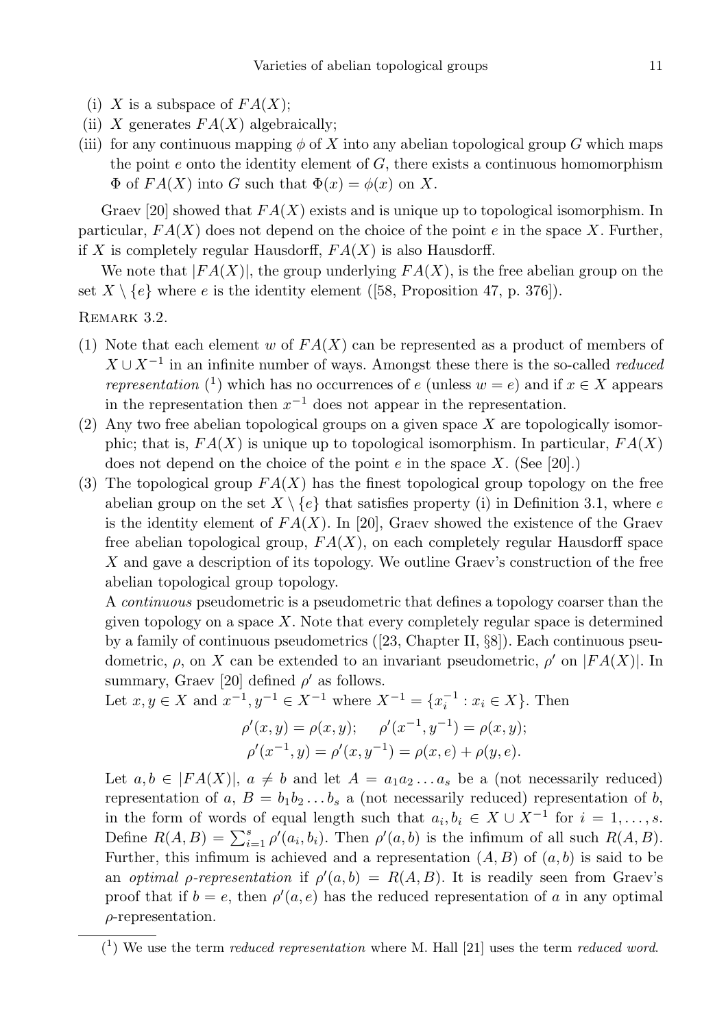- (i) X is a subspace of  $FA(X);$
- (ii) X generates  $FA(X)$  algebraically;
- (iii) for any continuous mapping  $\phi$  of X into any abelian topological group G which maps the point  $e$  onto the identity element of  $G$ , there exists a continuous homomorphism  $\Phi$  of  $FA(X)$  into G such that  $\Phi(x) = \phi(x)$  on X.

Graev [20] showed that  $FA(X)$  exists and is unique up to topological isomorphism. In particular,  $FA(X)$  does not depend on the choice of the point e in the space X. Further, if X is completely regular Hausdorff,  $FA(X)$  is also Hausdorff.

We note that  $|FA(X)|$ , the group underlying  $FA(X)$ , is the free abelian group on the set  $X \setminus \{e\}$  where e is the identity element ([58, Proposition 47, p. 376]).

REMARK 3.2.

- (1) Note that each element w of  $FA(X)$  can be represented as a product of members of  $X \cup X^{-1}$  in an infinite number of ways. Amongst these there is the so-called *reduced representation* (<sup>1</sup>) which has no occurrences of e (unless  $w = e$ ) and if  $x \in X$  appears in the representation then  $x^{-1}$  does not appear in the representation.
- $(2)$  Any two free abelian topological groups on a given space X are topologically isomorphic; that is,  $FA(X)$  is unique up to topological isomorphism. In particular,  $FA(X)$ does not depend on the choice of the point  $e$  in the space X. (See [20].)
- (3) The topological group  $FA(X)$  has the finest topological group topology on the free abelian group on the set  $X \setminus \{e\}$  that satisfies property (i) in Definition 3.1, where e is the identity element of  $FA(X)$ . In [20], Graev showed the existence of the Graev free abelian topological group,  $FA(X)$ , on each completely regular Hausdorff space X and gave a description of its topology. We outline Graev's construction of the free abelian topological group topology.

A continuous pseudometric is a pseudometric that defines a topology coarser than the given topology on a space  $X$ . Note that every completely regular space is determined by a family of continuous pseudometrics  $(23, Chapter II, \S8)$ . Each continuous pseudometric,  $\rho$ , on X can be extended to an invariant pseudometric,  $\rho'$  on  $|FA(X)|$ . In summary, Graev [20] defined  $\rho'$  as follows.

Let  $x, y \in X$  and  $x^{-1}, y^{-1} \in X^{-1}$  where  $X^{-1} = \{x_i^{-1} : x_i \in X\}$ . Then  $\rho'(x, y) = \rho(x, y); \quad \rho'(x^{-1}, y^{-1}) = \rho(x, y);$  $\rho'(x^{-1}, y) = \rho'(x, y^{-1}) = \rho(x, e) + \rho(y, e).$ 

Let  $a, b \in |FA(X)|$ ,  $a \neq b$  and let  $A = a_1 a_2 ... a_s$  be a (not necessarily reduced) representation of a,  $B = b_1 b_2 \ldots b_s$  a (not necessarily reduced) representation of b, in the form of words of equal length such that  $a_i, b_i \in X \cup X^{-1}$  for  $i = 1, \ldots, s$ . Define  $R(A, B) = \sum_{i=1}^{s} \rho'(a_i, b_i)$ . Then  $\rho'(a, b)$  is the infimum of all such  $R(A, B)$ . Further, this infimum is achieved and a representation  $(A, B)$  of  $(a, b)$  is said to be an *optimal p-representation* if  $\rho'(a, b) = R(A, B)$ . It is readily seen from Graev's proof that if  $b = e$ , then  $\rho'(a, e)$  has the reduced representation of a in any optimal  $\rho$ -representation.

 $(1)$  We use the term *reduced representation* where M. Hall [21] uses the term *reduced word*.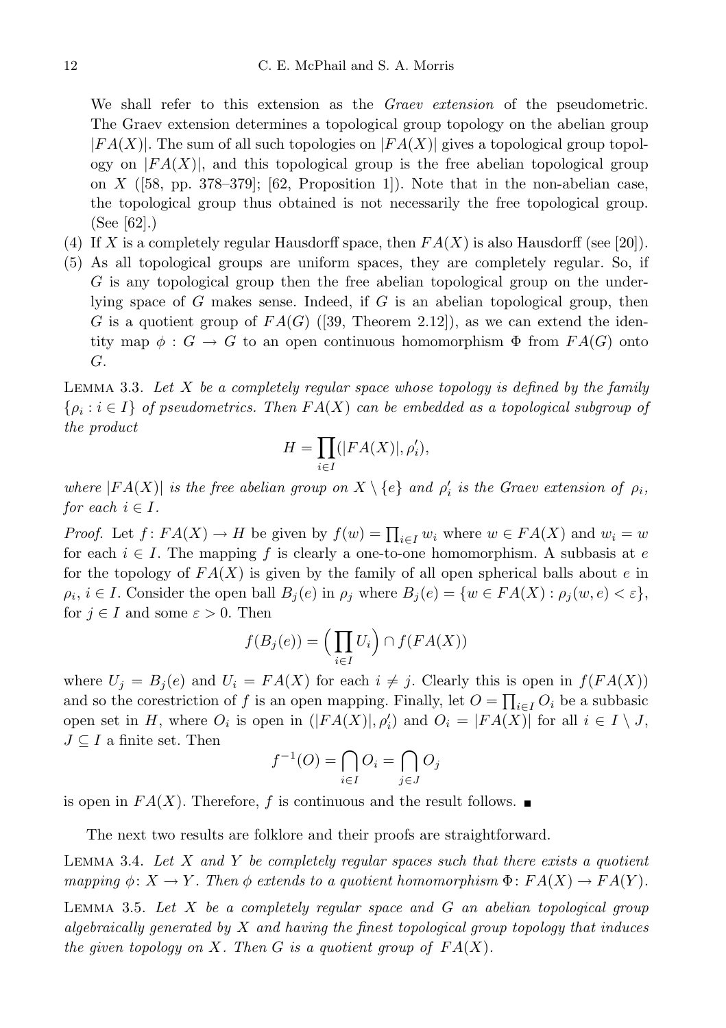We shall refer to this extension as the *Graev extension* of the pseudometric. The Graev extension determines a topological group topology on the abelian group  $|FA(X)|$ . The sum of all such topologies on  $|FA(X)|$  gives a topological group topology on  $|FA(X)|$ , and this topological group is the free abelian topological group on  $X$  ([58, pp. 378–379]; [62, Proposition 1]). Note that in the non-abelian case, the topological group thus obtained is not necessarily the free topological group. (See [62].)

- (4) If X is a completely regular Hausdorff space, then  $FA(X)$  is also Hausdorff (see [20]).
- (5) As all topological groups are uniform spaces, they are completely regular. So, if G is any topological group then the free abelian topological group on the underlying space of G makes sense. Indeed, if G is an abelian topological group, then G is a quotient group of  $FA(G)$  ([39, Theorem 2.12]), as we can extend the identity map  $\phi : G \to G$  to an open continuous homomorphism  $\Phi$  from  $FA(G)$  onto G.

LEMMA 3.3. Let X be a completely regular space whose topology is defined by the family  $\{\rho_i : i \in I\}$  of pseudometrics. Then  $FA(X)$  can be embedded as a topological subgroup of the product

$$
H=\prod_{i\in I}(|FA(X)|,\rho'_i),
$$

where  $|FA(X)|$  is the free abelian group on  $X \setminus \{e\}$  and  $\rho'_i$  is the Graev extension of  $\rho_i$ , for each  $i \in I$ .

*Proof.* Let  $f: FA(X) \to H$  be given by  $f(w) = \prod_{i \in I} w_i$  where  $w \in FA(X)$  and  $w_i = w$ for each  $i \in I$ . The mapping f is clearly a one-to-one homomorphism. A subbasis at e for the topology of  $FA(X)$  is given by the family of all open spherical balls about e in  $\rho_i, i \in I$ . Consider the open ball  $B_j(e)$  in  $\rho_j$  where  $B_j(e) = \{w \in FA(X) : \rho_j(w, e) < \varepsilon\},\$ for  $j \in I$  and some  $\varepsilon > 0$ . Then

$$
f(B_j(e)) = \left(\prod_{i \in I} U_i\right) \cap f(FA(X))
$$

where  $U_j = B_j(e)$  and  $U_i = FA(X)$  for each  $i \neq j$ . Clearly this is open in  $f(FA(X))$ and so the corestriction of f is an open mapping. Finally, let  $O = \prod_{i \in I} O_i$  be a subbasic open set in H, where  $O_i$  is open in  $(|FA(X)|, \rho'_i)$  and  $O_i = |FA(X)|$  for all  $i \in I \setminus J$ ,  $J \subseteq I$  a finite set. Then

$$
f^{-1}(O) = \bigcap_{i \in I} O_i = \bigcap_{j \in J} O_j
$$

is open in  $FA(X)$ . Therefore, f is continuous and the result follows.

The next two results are folklore and their proofs are straightforward.

LEMMA 3.4. Let X and Y be completely regular spaces such that there exists a quotient mapping  $\phi: X \to Y$ . Then  $\phi$  extends to a quotient homomorphism  $\Phi: FA(X) \to FA(Y)$ .

LEMMA 3.5. Let  $X$  be a completely regular space and  $G$  an abelian topological group algebraically generated by  $X$  and having the finest topological group topology that induces the given topology on X. Then G is a quotient group of  $FA(X)$ .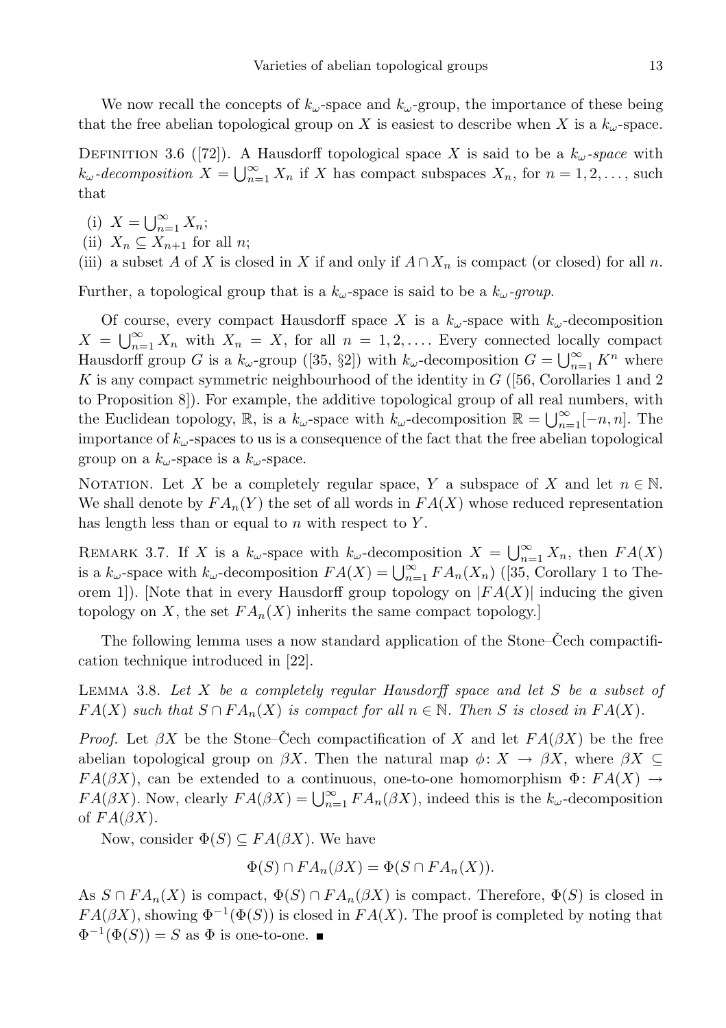We now recall the concepts of  $k_{\omega}$ -space and  $k_{\omega}$ -group, the importance of these being that the free abelian topological group on X is easiest to describe when X is a  $k_{\omega}$ -space.

DEFINITION 3.6 ([72]). A Hausdorff topological space X is said to be a  $k_{\omega}$ -space with  $k_{\omega}$ -decomposition  $X = \bigcup_{n=1}^{\infty} X_n$  if X has compact subspaces  $X_n$ , for  $n = 1, 2, \ldots$ , such that

(i)  $X = \bigcup_{n=1}^{\infty} X_n;$ 

(ii)  $X_n \subseteq X_{n+1}$  for all *n*;

(iii) a subset A of X is closed in X if and only if  $A \cap X_n$  is compact (or closed) for all n.

Further, a topological group that is a  $k_{\omega}$ -space is said to be a  $k_{\omega}$ -group.

Of course, every compact Hausdorff space X is a  $k_{\omega}$ -space with  $k_{\omega}$ -decomposition  $X = \bigcup_{n=1}^{\infty} X_n$  with  $X_n = X$ , for all  $n = 1, 2, \ldots$  Every connected locally compact Hausdorff group G is a  $k_{\omega}$ -group ([35, §2]) with  $k_{\omega}$ -decomposition  $G = \bigcup_{n=1}^{\infty} K^n$  where K is any compact symmetric neighbourhood of the identity in  $G$  ([56, Corollaries 1 and 2) to Proposition 8]). For example, the additive topological group of all real numbers, with the Euclidean topology,  $\mathbb{R}$ , is a  $k_{\omega}$ -space with  $k_{\omega}$ -decomposition  $\mathbb{R} = \bigcup_{n=1}^{\infty} [-n, n]$ . The importance of  $k_{\omega}$ -spaces to us is a consequence of the fact that the free abelian topological group on a  $k_{\omega}$ -space is a  $k_{\omega}$ -space.

NOTATION. Let X be a completely regular space, Y a subspace of X and let  $n \in \mathbb{N}$ . We shall denote by  $FA_n(Y)$  the set of all words in  $FA(X)$  whose reduced representation has length less than or equal to  $n$  with respect to  $Y$ .

REMARK 3.7. If X is a  $k_{\omega}$ -space with  $k_{\omega}$ -decomposition  $X = \bigcup_{n=1}^{\infty} X_n$ , then  $FA(X)$ is a  $k_{\omega}$ -space with  $k_{\omega}$ -decomposition  $FA(X) = \bigcup_{n=1}^{\infty} FA_n(X_n)$  ([35, Corollary 1 to Theorem 1]). [Note that in every Hausdorff group topology on  $|FA(X)|$  inducing the given topology on X, the set  $FA_n(X)$  inherits the same compact topology.

The following lemma uses a now standard application of the Stone–Cech compactification technique introduced in [22].

LEMMA 3.8. Let  $X$  be a completely regular Hausdorff space and let  $S$  be a subset of  $FA(X)$  such that  $S \cap FA_n(X)$  is compact for all  $n \in \mathbb{N}$ . Then S is closed in  $FA(X)$ .

*Proof.* Let  $\beta X$  be the Stone–Cech compactification of X and let  $FA(\beta X)$  be the free abelian topological group on  $\beta X$ . Then the natural map  $\phi: X \to \beta X$ , where  $\beta X \subseteq$  $FA(\beta X)$ , can be extended to a continuous, one-to-one homomorphism  $\Phi:FA(X) \to$  $FA(\beta X)$ . Now, clearly  $FA(\beta X) = \bigcup_{n=1}^{\infty} FA_n(\beta X)$ , indeed this is the  $k_{\omega}$ -decomposition of  $FA(\beta X)$ .

Now, consider  $\Phi(S) \subseteq FA(\beta X)$ . We have

$$
\Phi(S) \cap FA_n(\beta X) = \Phi(S \cap FA_n(X)).
$$

As  $S \cap FA_n(X)$  is compact,  $\Phi(S) \cap FA_n(\beta X)$  is compact. Therefore,  $\Phi(S)$  is closed in  $FA(\beta X)$ , showing  $\Phi^{-1}(\Phi(S))$  is closed in  $FA(X)$ . The proof is completed by noting that  $\Phi^{-1}(\Phi(S)) = S$  as  $\Phi$  is one-to-one.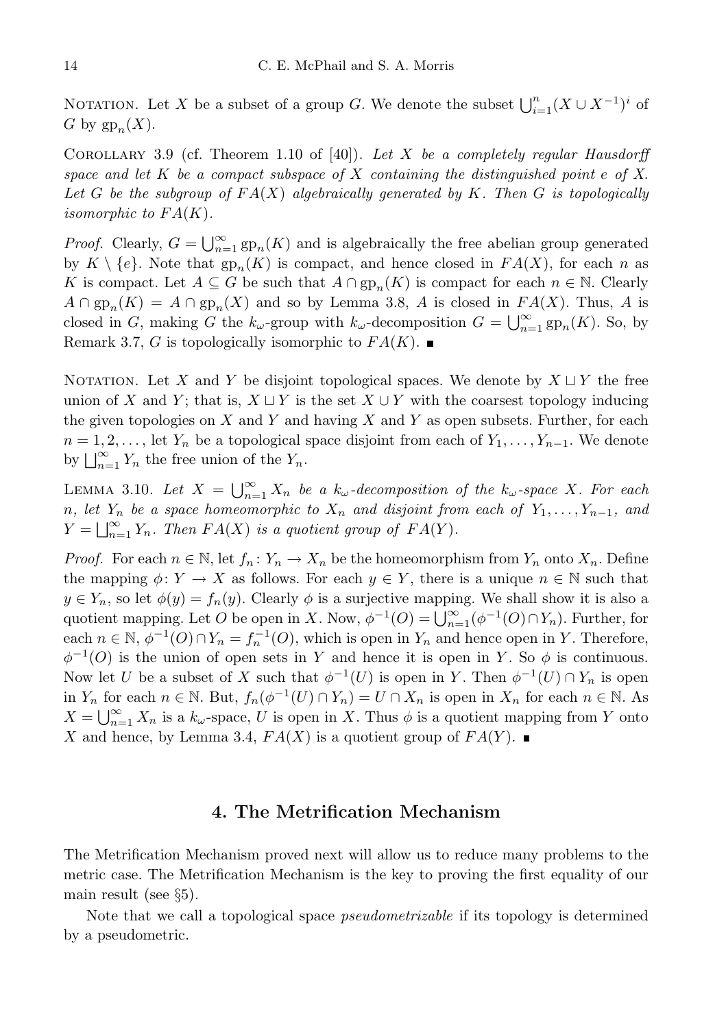NOTATION. Let X be a subset of a group G. We denote the subset  $\bigcup_{i=1}^{n} (X \cup X^{-1})^i$  of G by  $gp_n(X)$ .

COROLLARY 3.9 (cf. Theorem 1.10 of [40]). Let X be a completely regular Hausdorff space and let  $K$  be a compact subspace of  $X$  containing the distinguished point e of  $X$ . Let G be the subgroup of  $FA(X)$  algebraically generated by K. Then G is topologically isomorphic to  $FA(K)$ .

*Proof.* Clearly,  $G = \bigcup_{n=1}^{\infty} \text{gp}_n(K)$  and is algebraically the free abelian group generated by  $K \setminus \{e\}$ . Note that  $gp_n(K)$  is compact, and hence closed in  $FA(X)$ , for each n as K is compact. Let  $A \subseteq G$  be such that  $A \cap gp_n(K)$  is compact for each  $n \in \mathbb{N}$ . Clearly  $A \cap gp_n(K) = A \cap gp_n(X)$  and so by Lemma 3.8, A is closed in  $FA(X)$ . Thus, A is closed in G, making G the  $k_{\omega}$ -group with  $k_{\omega}$ -decomposition  $G = \bigcup_{n=1}^{\infty} \text{gp}_n(K)$ . So, by Remark 3.7, G is topologically isomorphic to  $FA(K)$ .

NOTATION. Let X and Y be disjoint topological spaces. We denote by  $X \sqcup Y$  the free union of X and Y; that is,  $X \sqcup Y$  is the set  $X \cup Y$  with the coarsest topology inducing the given topologies on  $X$  and  $Y$  and having  $X$  and  $Y$  as open subsets. Further, for each  $n = 1, 2, \ldots$ , let  $Y_n$  be a topological space disjoint from each of  $Y_1, \ldots, Y_{n-1}$ . We denote by  $\bigsqcup_{n=1}^{\infty} Y_n$  the free union of the  $Y_n$ .

LEMMA 3.10. Let  $X = \bigcup_{n=1}^{\infty} X_n$  be a  $k_{\omega}$ -decomposition of the  $k_{\omega}$ -space X. For each n, let  $Y_n$  be a space homeomorphic to  $X_n$  and disjoint from each of  $Y_1, \ldots, Y_{n-1}$ , and  $Y = \bigsqcup_{n=1}^{\infty} Y_n$ . Then  $FA(X)$  is a quotient group of  $FA(Y)$ .

*Proof.* For each  $n \in \mathbb{N}$ , let  $f_n: Y_n \to X_n$  be the homeomorphism from  $Y_n$  onto  $X_n$ . Define the mapping  $\phi: Y \to X$  as follows. For each  $y \in Y$ , there is a unique  $n \in \mathbb{N}$  such that  $y \in Y_n$ , so let  $\phi(y) = f_n(y)$ . Clearly  $\phi$  is a surjective mapping. We shall show it is also a quotient mapping. Let O be open in X. Now,  $\phi^{-1}(O) = \bigcup_{n=1}^{\infty} (\phi^{-1}(O) \cap Y_n)$ . Further, for each  $n \in \mathbb{N}$ ,  $\phi^{-1}(O) \cap Y_n = f_n^{-1}(O)$ , which is open in  $Y_n$  and hence open in Y. Therefore,  $\phi^{-1}(O)$  is the union of open sets in Y and hence it is open in Y. So  $\phi$  is continuous. Now let U be a subset of X such that  $\phi^{-1}(U)$  is open in Y. Then  $\phi^{-1}(U) \cap Y_n$  is open in  $Y_n$  for each  $n \in \mathbb{N}$ . But,  $f_n(\phi^{-1}(U) \cap Y_n) = U \cap X_n$  is open in  $X_n$  for each  $n \in \mathbb{N}$ . As  $X = \bigcup_{n=1}^{\infty} X_n$  is a  $k_{\omega}$ -space, U is open in X. Thus  $\phi$  is a quotient mapping from Y onto X and hence, by Lemma 3.4,  $FA(X)$  is a quotient group of  $FA(Y)$ .

### 4. The Metrification Mechanism

The Metrification Mechanism proved next will allow us to reduce many problems to the metric case. The Metrification Mechanism is the key to proving the first equality of our main result (see §5).

Note that we call a topological space pseudometrizable if its topology is determined by a pseudometric.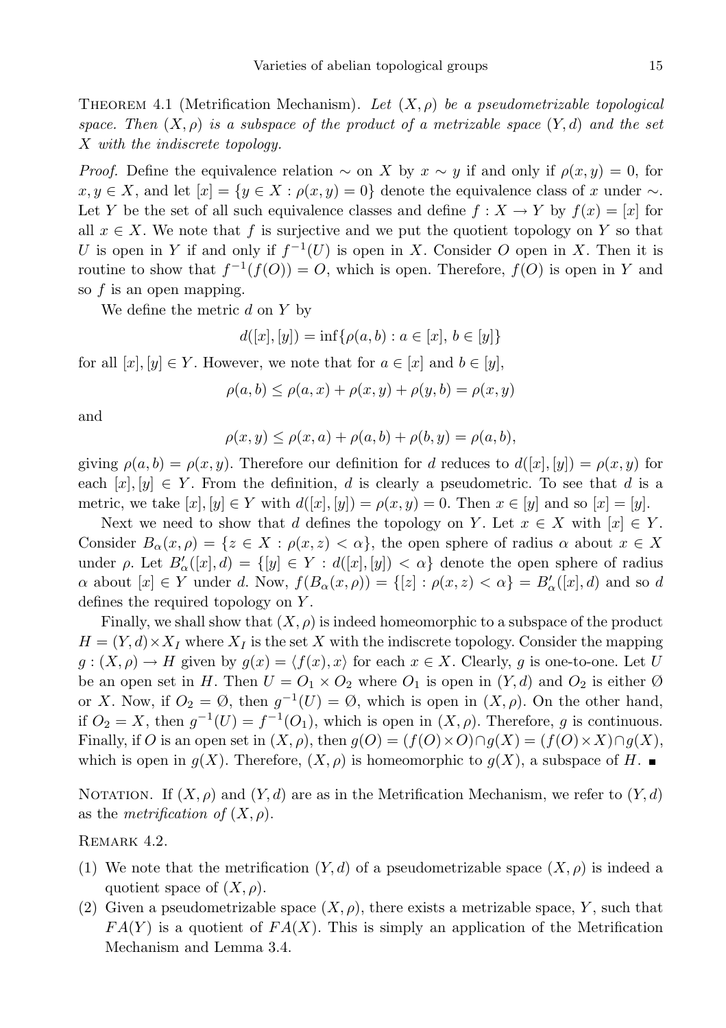THEOREM 4.1 (Metrification Mechanism). Let  $(X, \rho)$  be a pseudometrizable topological space. Then  $(X, \rho)$  is a subspace of the product of a metrizable space  $(Y, d)$  and the set X with the indiscrete topology.

*Proof.* Define the equivalence relation  $\sim$  on X by  $x \sim y$  if and only if  $\rho(x, y) = 0$ , for  $x, y \in X$ , and let  $[x] = \{y \in X : \rho(x, y) = 0\}$  denote the equivalence class of x under  $\sim$ . Let Y be the set of all such equivalence classes and define  $f : X \to Y$  by  $f(x) = [x]$  for all  $x \in X$ . We note that f is surjective and we put the quotient topology on Y so that U is open in Y if and only if  $f^{-1}(U)$  is open in X. Consider O open in X. Then it is routine to show that  $f^{-1}(f(O)) = O$ , which is open. Therefore,  $f(O)$  is open in Y and so f is an open mapping.

We define the metric  $d$  on  $Y$  by

$$
d([x],[y]) = \inf \{ \rho(a,b) : a \in [x], b \in [y] \}
$$

for all  $[x], [y] \in Y$ . However, we note that for  $a \in [x]$  and  $b \in [y]$ ,

$$
\rho(a,b) \le \rho(a,x) + \rho(x,y) + \rho(y,b) = \rho(x,y)
$$

and

$$
\rho(x,y) \le \rho(x,a) + \rho(a,b) + \rho(b,y) = \rho(a,b),
$$

giving  $\rho(a, b) = \rho(x, y)$ . Therefore our definition for d reduces to  $d([x], [y]) = \rho(x, y)$  for each  $[x], [y] \in Y$ . From the definition, d is clearly a pseudometric. To see that d is a metric, we take  $[x], [y] \in Y$  with  $d([x], [y]) = \rho(x, y) = 0$ . Then  $x \in [y]$  and so  $[x] = [y]$ .

Next we need to show that d defines the topology on Y. Let  $x \in X$  with  $[x] \in Y$ . Consider  $B_{\alpha}(x, \rho) = \{z \in X : \rho(x, z) < \alpha\}$ , the open sphere of radius  $\alpha$  about  $x \in X$ under  $\rho$ . Let  $B'_{\alpha}([x], d) = \{ [y] \in Y : d([x], [y]) < \alpha \}$  denote the open sphere of radius  $\alpha$  about  $[x] \in Y$  under d. Now,  $f(B_{\alpha}(x,\rho)) = \{[z] : \rho(x,z) < \alpha\} = B'_{\alpha}([x],d)$  and so d defines the required topology on Y .

Finally, we shall show that  $(X, \rho)$  is indeed homeomorphic to a subspace of the product  $H = (Y, d) \times X_I$  where  $X_I$  is the set X with the indiscrete topology. Consider the mapping  $g: (X, \rho) \to H$  given by  $g(x) = \langle f(x), x \rangle$  for each  $x \in X$ . Clearly, g is one-to-one. Let U be an open set in H. Then  $U = O_1 \times O_2$  where  $O_1$  is open in  $(Y, d)$  and  $O_2$  is either Ø or X. Now, if  $O_2 = \emptyset$ , then  $g^{-1}(U) = \emptyset$ , which is open in  $(X, \rho)$ . On the other hand, if  $O_2 = X$ , then  $g^{-1}(U) = f^{-1}(O_1)$ , which is open in  $(X, \rho)$ . Therefore, g is continuous. Finally, if O is an open set in  $(X, \rho)$ , then  $g(O) = (f(O) \times O) \cap g(X) = (f(O) \times X) \cap g(X)$ , which is open in  $g(X)$ . Therefore,  $(X, \rho)$  is homeomorphic to  $g(X)$ , a subspace of H.

NOTATION. If  $(X, \rho)$  and  $(Y, d)$  are as in the Metrification Mechanism, we refer to  $(Y, d)$ as the *metrification* of  $(X, \rho)$ .

REMARK 4.2.

- (1) We note that the metrification  $(Y, d)$  of a pseudometrizable space  $(X, \rho)$  is indeed a quotient space of  $(X, \rho)$ .
- (2) Given a pseudometrizable space  $(X, \rho)$ , there exists a metrizable space, Y, such that  $FA(Y)$  is a quotient of  $FA(X)$ . This is simply an application of the Metrification Mechanism and Lemma 3.4.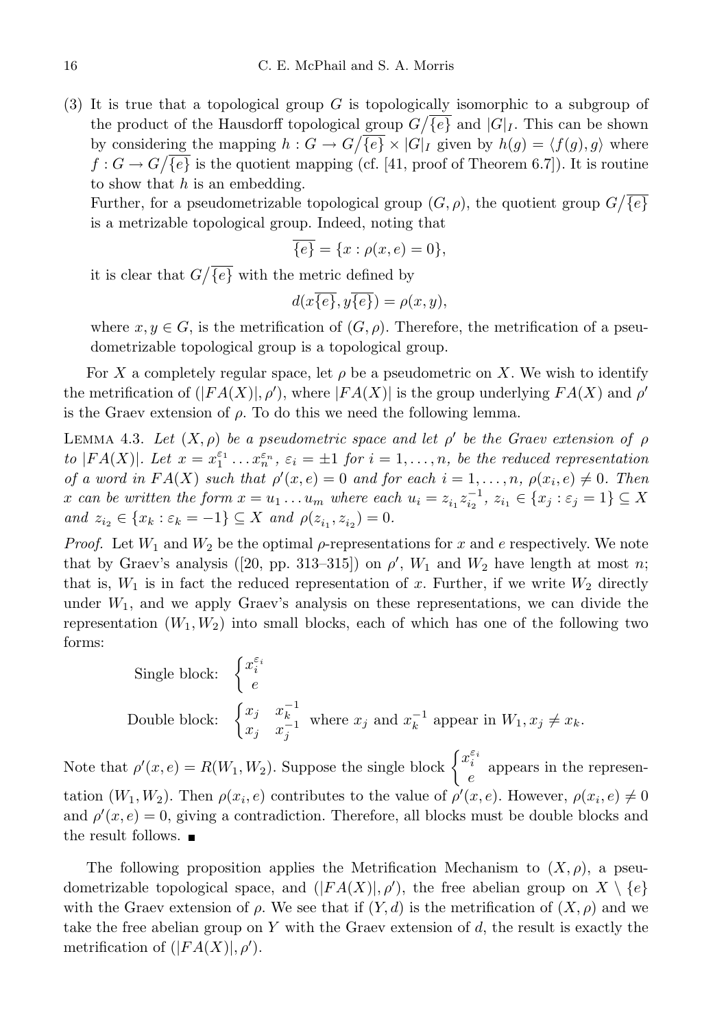(3) It is true that a topological group G is topologically isomorphic to a subgroup of the product of the Hausdorff topological group  $G/\overline{\{e\}}$  and  $|G|_I$ . This can be shown by considering the mapping  $h: G \to G/\overline{\{e\}} \times |G|_I$  given by  $h(g) = \langle f(g), g \rangle$  where  $f: G \to G/\overline{\{e\}}$  is the quotient mapping (cf. [41, proof of Theorem 6.7]). It is routine to show that  $h$  is an embedding.

Further, for a pseudometrizable topological group  $(G, \rho)$ , the quotient group  $G/\overline{\{e\}}$ is a metrizable topological group. Indeed, noting that

$$
\overline{\{e\}} = \{x : \rho(x, e) = 0\},\
$$

it is clear that  $G/\overline{\{e\}}$  with the metric defined by

$$
d(x\overline{\{e\}},y\overline{\{e\}}) = \rho(x,y),
$$

where  $x, y \in G$ , is the metrification of  $(G, \rho)$ . Therefore, the metrification of a pseudometrizable topological group is a topological group.

For X a completely regular space, let  $\rho$  be a pseudometric on X. We wish to identify the metrification of  $(|FA(X)|, \rho')$ , where  $|FA(X)|$  is the group underlying  $FA(X)$  and  $\rho'$ is the Graev extension of  $\rho$ . To do this we need the following lemma.

LEMMA 4.3. Let  $(X, \rho)$  be a pseudometric space and let  $\rho'$  be the Graev extension of  $\rho$ to |FA(X)|. Let  $x = x_1^{\varepsilon_1} \dots x_n^{\varepsilon_n}$ ,  $\varepsilon_i = \pm 1$  for  $i = 1, \dots, n$ , be the reduced representation of a word in  $FA(X)$  such that  $\rho'(x,e) = 0$  and for each  $i = 1, \ldots, n$ ,  $\rho(x_i, e) \neq 0$ . Then x can be written the form  $x = u_1 \dots u_m$  where each  $u_i = z_{i_1} z_{i_2}^{-1}$ ,  $z_{i_1} \in \{x_j : \varepsilon_j = 1\} \subseteq X$ and  $z_{i_2} \in \{x_k : \varepsilon_k = -1\} \subseteq X$  and  $\rho(z_{i_1}, z_{i_2}) = 0$ .

*Proof.* Let  $W_1$  and  $W_2$  be the optimal  $\rho$ -representations for x and e respectively. We note that by Graev's analysis ([20, pp. 313–315]) on  $\rho'$ ,  $W_1$  and  $W_2$  have length at most n; that is,  $W_1$  is in fact the reduced representation of x. Further, if we write  $W_2$  directly under  $W_1$ , and we apply Graev's analysis on these representations, we can divide the representation  $(W_1, W_2)$  into small blocks, each of which has one of the following two forms:

Single block: 
$$
\begin{cases} x_i^{\varepsilon_i} \\ e \end{cases}
$$
 Double block: 
$$
\begin{cases} x_j & x_k^{-1} \\ x_j & x_j^{-1} \end{cases}
$$
 where  $x_j$  and  $x_k^{-1}$  appear in  $W_1, x_j \neq x_k$ .

Note that  $\rho'(x, e) = R(W_1, W_2)$ . Suppose the single block  $\begin{cases} x_i^{\varepsilon_i} \end{cases}$  $e^i$  appears in the representation  $(W_1, W_2)$ . Then  $\rho(x_i, e)$  contributes to the value of  $\rho'(x, e)$ . However,  $\rho(x_i, e) \neq 0$ and  $\rho'(x, e) = 0$ , giving a contradiction. Therefore, all blocks must be double blocks and the result follows.

The following proposition applies the Metrification Mechanism to  $(X, \rho)$ , a pseudometrizable topological space, and  $(|FA(X)|, \rho')$ , the free abelian group on  $X \setminus \{e\}$ with the Graev extension of  $\rho$ . We see that if  $(Y, d)$  is the metrification of  $(X, \rho)$  and we take the free abelian group on Y with the Graev extension of  $d$ , the result is exactly the metrification of  $(|FA(X)|, \rho').$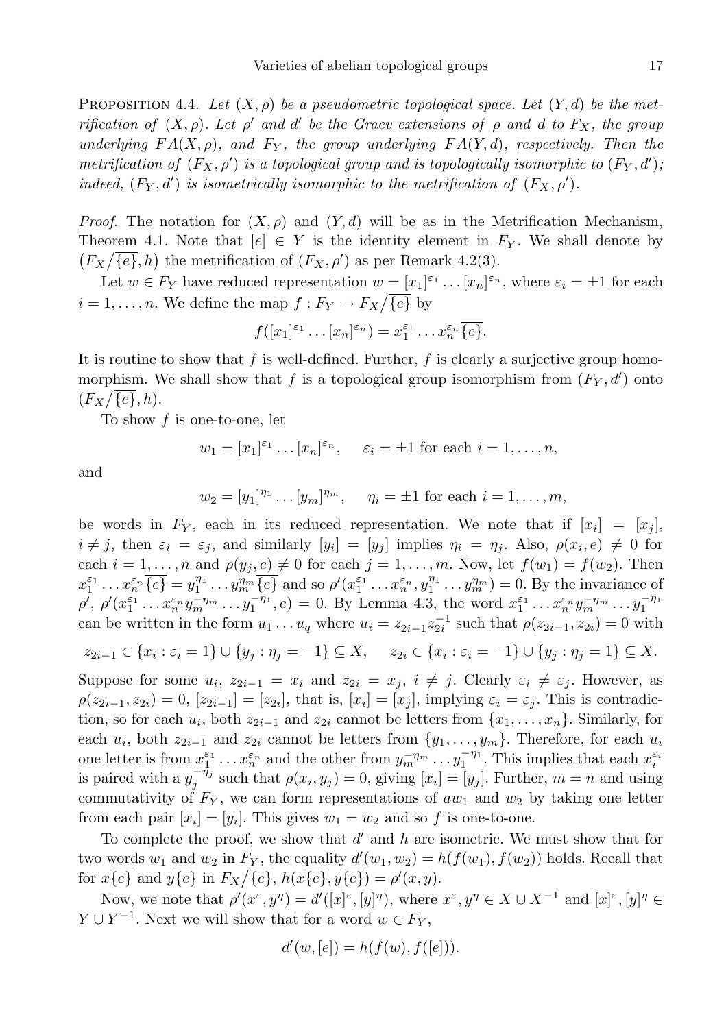PROPOSITION 4.4. Let  $(X, \rho)$  be a pseudometric topological space. Let  $(Y, d)$  be the metrification of  $(X, \rho)$ . Let  $\rho'$  and d' be the Graev extensions of  $\rho$  and d to  $F_X$ , the group underlying  $FA(X, \rho)$ , and  $F_Y$ , the group underlying  $FA(Y, d)$ , respectively. Then the metrification of  $(F_X, \rho')$  is a topological group and is topologically isomorphic to  $(F_Y, d')$ , indeed,  $(F_Y, d')$  is isometrically isomorphic to the metrification of  $(F_X, \rho')$ .

*Proof.* The notation for  $(X, \rho)$  and  $(Y, d)$  will be as in the Metrification Mechanism, Theorem 4.1. Note that  $[e] \in Y$  is the identity element in  $F_Y$ . We shall denote by  $(F_X/\overline{\{e\}},h)$  the metrification of  $(F_X,\rho')$  as per Remark 4.2(3).

Let  $w \in F_Y$  have reduced representation  $w = [x_1]^{\varepsilon_1} \dots [x_n]^{\varepsilon_n}$ , where  $\varepsilon_i = \pm 1$  for each  $i = 1, \ldots, n$ . We define the map  $f: F_Y \to F_X/\overline{\{e\}}$  by

$$
f([x_1]^{\varepsilon_1}\dots[x_n]^{\varepsilon_n})=x_1^{\varepsilon_1}\dots x_n^{\varepsilon_n}\overline{\{e\}}.
$$

It is routine to show that f is well-defined. Further,  $f$  is clearly a surjective group homomorphism. We shall show that f is a topological group isomorphism from  $(F_Y, d')$  onto  $(F_X/\overline{\{e\}},h).$ 

To show  $f$  is one-to-one, let

$$
w_1 = [x_1]^{\varepsilon_1} \dots [x_n]^{\varepsilon_n}, \quad \varepsilon_i = \pm 1
$$
 for each  $i = 1, \dots, n$ ,

and

$$
w_2 = [y_1]^{n_1} \dots [y_m]^{n_m}
$$
,  $\eta_i = \pm 1$  for each  $i = 1, \dots, m$ ,

be words in  $F_Y$ , each in its reduced representation. We note that if  $[x_i] = [x_j]$ ,  $i \neq j$ , then  $\varepsilon_i = \varepsilon_j$ , and similarly  $[y_i] = [y_j]$  implies  $\eta_i = \eta_j$ . Also,  $\rho(x_i, e) \neq 0$  for each  $i = 1, \ldots, n$  and  $\rho(y_j, e) \neq 0$  for each  $j = 1, \ldots, m$ . Now, let  $f(w_1) = f(w_2)$ . Then  $x_1^{\varepsilon_1} \dots x_n^{\varepsilon_n} \overline{\{e\}} = y_1^{\eta_1} \dots y_m^{\eta_m} \overline{\{e\}}$  and so  $\rho'(x_1^{\varepsilon_1} \dots x_n^{\varepsilon_n}, y_1^{\eta_1} \dots y_m^{\eta_m}) = 0$ . By the invariance of  $\rho', \rho'(x_1^{\varepsilon_1} \dots x_n^{\varepsilon_n} y_m^{-\eta_m} \dots y_1^{-\eta_1}, e) = 0.$  By Lemma 4.3, the word  $x_1^{\varepsilon_1} \dots x_n^{\varepsilon_n} y_m^{-\eta_m} \dots y_1^{-\eta_1}$ can be written in the form  $u_1 \dots u_q$  where  $u_i = z_{2i-1} z_{2i}^{-1}$  such that  $\rho(z_{2i-1}, z_{2i}) = 0$  with

$$
z_{2i-1} \in \{x_i : \varepsilon_i = 1\} \cup \{y_j : \eta_j = -1\} \subseteq X, \quad z_{2i} \in \{x_i : \varepsilon_i = -1\} \cup \{y_j : \eta_j = 1\} \subseteq X.
$$

Suppose for some  $u_i$ ,  $z_{2i-1} = x_i$  and  $z_{2i} = x_j$ ,  $i \neq j$ . Clearly  $\varepsilon_i \neq \varepsilon_j$ . However, as  $\rho(z_{2i-1}, z_{2i}) = 0$ ,  $[z_{2i-1}] = [z_{2i}]$ , that is,  $[x_i] = [x_j]$ , implying  $\varepsilon_i = \varepsilon_j$ . This is contradiction, so for each  $u_i$ , both  $z_{2i-1}$  and  $z_{2i}$  cannot be letters from  $\{x_1, \ldots, x_n\}$ . Similarly, for each  $u_i$ , both  $z_{2i-1}$  and  $z_{2i}$  cannot be letters from  $\{y_1, \ldots, y_m\}$ . Therefore, for each  $u_i$ one letter is from  $x_1^{\varepsilon_1} \dots x_n^{\varepsilon_n}$  and the other from  $y_m^{-\eta_m} \dots y_1^{-\eta_1}$ . This implies that each  $x_i^{\varepsilon_i}$ is paired with a  $y_j^{-\eta_j}$  such that  $\rho(x_i, y_j) = 0$ , giving  $[x_i] = [y_j]$ . Further,  $m = n$  and using commutativity of  $F_Y$ , we can form representations of  $aw_1$  and  $w_2$  by taking one letter from each pair  $[x_i] = [y_i]$ . This gives  $w_1 = w_2$  and so f is one-to-one.

To complete the proof, we show that  $d'$  and  $h$  are isometric. We must show that for two words  $w_1$  and  $w_2$  in  $F_Y$ , the equality  $d'(w_1, w_2) = h(f(w_1), f(w_2))$  holds. Recall that for  $x\overline{\{e\}}$  and  $y\overline{\{e\}}$  in  $F_X/\overline{\{e\}}$ ,  $h(x\overline{\{e\}}), y\overline{\{e\}}) = \rho'(x, y)$ .

Now, we note that  $\rho'(x^{\varepsilon}, y^{\eta}) = d'([x]^{\varepsilon}, [y]^{\eta})$ , where  $x^{\varepsilon}, y^{\eta} \in X \cup X^{-1}$  and  $[x]^{\varepsilon}, [y]^{\eta} \in X$  $Y \cup Y^{-1}$ . Next we will show that for a word  $w \in F_Y$ ,

$$
d'(w, [e]) = h(f(w), f([e])).
$$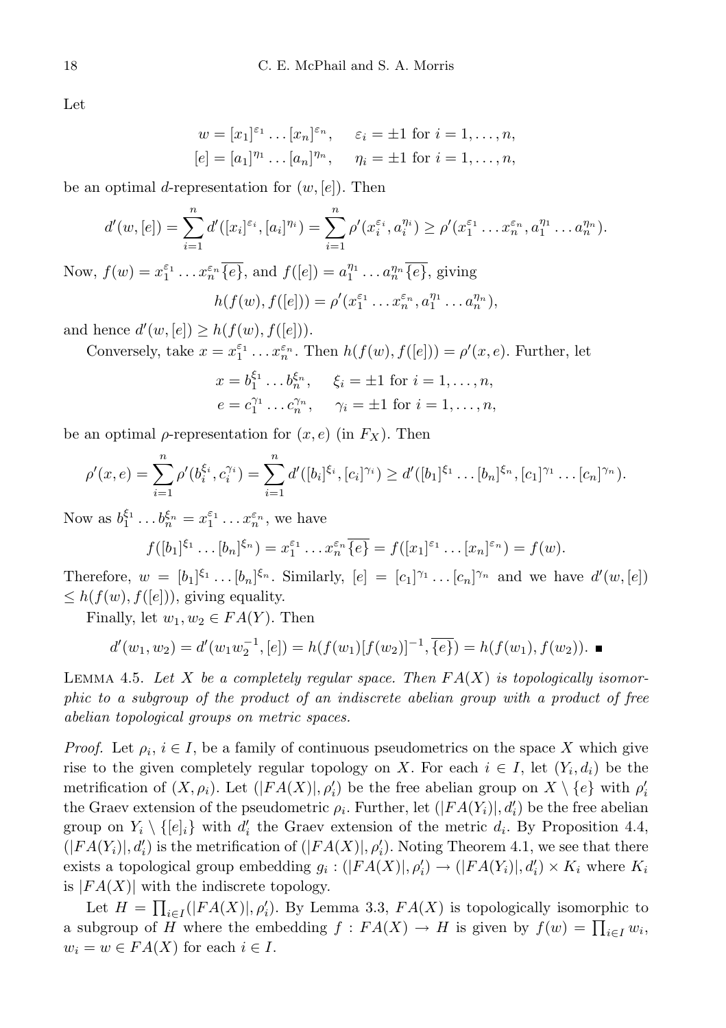Let

$$
w = [x_1]^{\varepsilon_1} \dots [x_n]^{\varepsilon_n}
$$
,  $\varepsilon_i = \pm 1$  for  $i = 1, ..., n$ ,  
\n $[e] = [a_1]^{\eta_1} \dots [a_n]^{\eta_n}$ ,  $\eta_i = \pm 1$  for  $i = 1, ..., n$ ,

be an optimal d-representation for  $(w, [e])$ . Then

$$
d'(w, [e]) = \sum_{i=1}^n d'([x_i]^{e_i}, [a_i]^{n_i}) = \sum_{i=1}^n \rho'(x_i^{e_i}, a_i^{n_i}) \ge \rho'(x_1^{e_1} \dots x_n^{e_n}, a_1^{n_1} \dots a_n^{n_n}).
$$

Now,  $f(w) = x_1^{\varepsilon_1} \dots x_n^{\varepsilon_n} \overline{\{e\}}$ , and  $f([e]) = a_1^{\eta_1} \dots a_n^{\eta_n} \overline{\{e\}}$ , giving ′

$$
h(f(w), f([e])) = \rho'(x_1^{\varepsilon_1} \dots x_n^{\varepsilon_n}, a_1^{\eta_1} \dots a_n^{\eta_n}),
$$

and hence  $d'(w, [e]) \geq h(f(w), f([e]))$ .

Conversely, take 
$$
x = x_1^{\varepsilon_1} \dots x_n^{\varepsilon_n}
$$
. Then  $h(f(w), f([e])) = \rho'(x, e)$ . Further, let

$$
x = b_1^{\xi_1} \dots b_n^{\xi_n}
$$
,  $\xi_i = \pm 1$  for  $i = 1, \dots, n$ ,  
\n $e = c_1^{\gamma_1} \dots c_n^{\gamma_n}$ ,  $\gamma_i = \pm 1$  for  $i = 1, \dots, n$ ,

be an optimal  $\rho$ -representation for  $(x, e)$  (in  $F_X$ ). Then

$$
\rho'(x,e) = \sum_{i=1}^n \rho'(b_i^{\xi_i}, c_i^{\gamma_i}) = \sum_{i=1}^n d'([b_i]^{\xi_i}, [c_i]^{\gamma_i}) \geq d'([b_1]^{\xi_1} \dots [b_n]^{\xi_n}, [c_1]^{\gamma_1} \dots [c_n]^{\gamma_n}).
$$

Now as  $b_1^{\xi_1} \dots b_n^{\xi_n} = x_1^{\varepsilon_1} \dots x_n^{\varepsilon_n}$ , we have

$$
f([b_1]^{\xi_1}\dots [b_n]^{\xi_n})=x_1^{\varepsilon_1}\dots x_n^{\varepsilon_n}\overline{\{e\}}=f([x_1]^{\varepsilon_1}\dots [x_n]^{\varepsilon_n})=f(w).
$$

Therefore,  $w = [b_1]^{\xi_1} \dots [b_n]^{\xi_n}$ . Similarly,  $[e] = [c_1]^{\gamma_1} \dots [c_n]^{\gamma_n}$  and we have  $d'(w, [e])$  $\leq h(f(w), f([e]))$ , giving equality.

Finally, let  $w_1, w_2 \in FA(Y)$ . Then

$$
d'(w_1, w_2) = d'(w_1 w_2^{-1}, [e]) = h(f(w_1)[f(w_2)]^{-1}, \overline{\{e\}}) = h(f(w_1), f(w_2)).
$$

LEMMA 4.5. Let X be a completely regular space. Then  $FA(X)$  is topologically isomorphic to a subgroup of the product of an indiscrete abelian group with a product of free abelian topological groups on metric spaces.

*Proof.* Let  $\rho_i$ ,  $i \in I$ , be a family of continuous pseudometrics on the space X which give rise to the given completely regular topology on X. For each  $i \in I$ , let  $(Y_i, d_i)$  be the metrification of  $(X, \rho_i)$ . Let  $(|FA(X)|, \rho'_i)$  be the free abelian group on  $X \setminus \{e\}$  with  $\rho'_i$ the Graev extension of the pseudometric  $\rho_i$ . Further, let  $(|FA(Y_i)|, d'_i)$  be the free abelian group on  $Y_i \setminus \{[e]_i\}$  with  $d'_i$  the Graev extension of the metric  $d_i$ . By Proposition 4.4,  $(|FA(Y_i)|, d'_i)$  is the metrification of  $(|FA(X)|, \rho'_i)$ . Noting Theorem 4.1, we see that there exists a topological group embedding  $g_i : (|FA(X)|, \rho'_i) \to (|FA(Y_i)|, d'_i) \times K_i$  where  $K_i$ is  $|FA(X)|$  with the indiscrete topology.

Let  $H = \prod_{i \in I}(|FA(X)|, \rho'_i)$ . By Lemma 3.3,  $FA(X)$  is topologically isomorphic to a subgroup of H where the embedding  $f : FA(X) \to H$  is given by  $f(w) = \prod_{i \in I} w_i$ ,  $w_i = w \in FA(X)$  for each  $i \in I$ .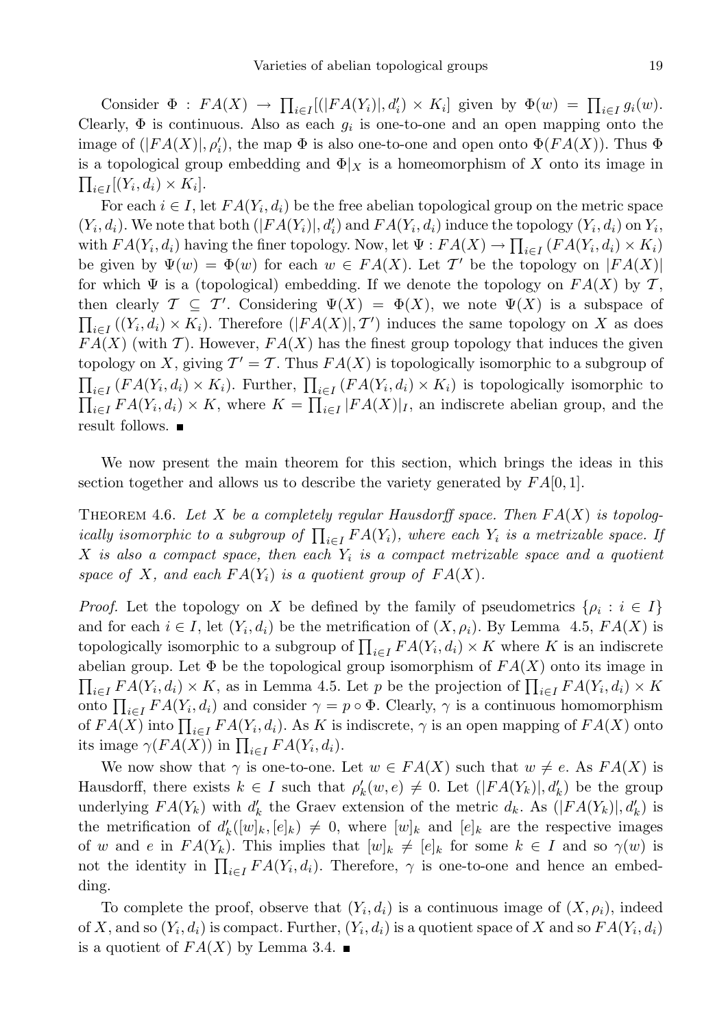Consider  $\Phi : FA(X) \to \prod_{i \in I} (|FA(Y_i)|, d'_i) \times K_i]$  given by  $\Phi(w) = \prod_{i \in I} g_i(w)$ . Clearly,  $\Phi$  is continuous. Also as each  $g_i$  is one-to-one and an open mapping onto the image of  $(|FA(X)|, \rho_i')$ , the map  $\Phi$  is also one-to-one and open onto  $\Phi(FA(X))$ . Thus  $\Phi$ is a topological group embedding and  $\Phi|_X$  is a homeomorphism of X onto its image in  $\prod_{i\in I} [(Y_i, d_i) \times K_i].$ 

For each  $i \in I$ , let  $FA(Y_i, d_i)$  be the free abelian topological group on the metric space  $(Y_i, d_i)$ . We note that both  $(|FA(Y_i)|, d'_i)$  and  $FA(Y_i, d_i)$  induce the topology  $(Y_i, d_i)$  on  $Y_i$ , with  $FA(Y_i, d_i)$  having the finer topology. Now, let  $\Psi : FA(X) \to \prod_{i \in I} (FA(Y_i, d_i) \times K_i)$ be given by  $\Psi(w) = \Phi(w)$  for each  $w \in FA(X)$ . Let T' be the topology on  $|FA(X)|$ for which  $\Psi$  is a (topological) embedding. If we denote the topology on  $FA(X)$  by T, then clearly  $\mathcal{T} \subseteq \mathcal{T}'$ . Considering  $\Psi(X) = \Phi(X)$ , we note  $\Psi(X)$  is a subspace of  $\prod_{i\in I}((Y_i,d_i)\times K_i)$ . Therefore  $(|FA(X)|,T')$  induces the same topology on X as does  $FA(X)$  (with T). However,  $FA(X)$  has the finest group topology that induces the given topology on X, giving  $\mathcal{T}' = \mathcal{T}$ . Thus  $FA(X)$  is topologically isomorphic to a subgroup of  $\prod_{i\in I} (FA(Y_i,d_i) \times K_i)$ . Further,  $\prod_{i\in I} (FA(Y_i,d_i) \times K_i)$  is topologically isomorphic to  $\prod_{i\in I} FA(Y_i, d_i) \times K$ , where  $K = \prod_{i\in I} |FA(X)|_I$ , an indiscrete abelian group, and the result follows.

We now present the main theorem for this section, which brings the ideas in this section together and allows us to describe the variety generated by  $FA[0,1]$ .

THEOREM 4.6. Let X be a completely regular Hausdorff space. Then  $FA(X)$  is topologically isomorphic to a subgroup of  $\prod_{i\in I} FA(Y_i)$ , where each  $Y_i$  is a metrizable space. If X is also a compact space, then each  $Y_i$  is a compact metrizable space and a quotient space of X, and each  $FA(Y_i)$  is a quotient group of  $FA(X)$ .

*Proof.* Let the topology on X be defined by the family of pseudometrics  $\{ \rho_i : i \in I \}$ and for each  $i \in I$ , let  $(Y_i, d_i)$  be the metrification of  $(X, \rho_i)$ . By Lemma 4.5,  $FA(X)$  is topologically isomorphic to a subgroup of  $\prod_{i\in I} FA(Y_i, d_i) \times K$  where K is an indiscrete abelian group. Let  $\Phi$  be the topological group isomorphism of  $FA(X)$  onto its image in  $\prod_{i\in I} FA(Y_i, d_i) \times K$ , as in Lemma 4.5. Let p be the projection of  $\prod_{i\in I} FA(Y_i, d_i) \times K$ onto  $\prod_{i\in I} FA(Y_i, d_i)$  and consider  $\gamma = p \circ \Phi$ . Clearly,  $\gamma$  is a continuous homomorphism of  $FA(X)$  into  $\prod_{i\in I} FA(Y_i, d_i)$ . As K is indiscrete,  $\gamma$  is an open mapping of  $FA(X)$  onto its image  $\gamma(FA(X))$  in  $\prod_{i\in I} FA(Y_i, d_i)$ .

We now show that  $\gamma$  is one-to-one. Let  $w \in FA(X)$  such that  $w \neq e$ . As  $FA(X)$  is Hausdorff, there exists  $k \in I$  such that  $\rho'_k(w, e) \neq 0$ . Let  $(|FA(Y_k)|, d'_k)$  be the group underlying  $FA(Y_k)$  with  $d'_k$  the Graev extension of the metric  $d_k$ . As  $(|FA(Y_k)|, d'_k)$  is the metrification of  $d'_{k}([w]_{k}, [e]_{k}) \neq 0$ , where  $[w]_{k}$  and  $[e]_{k}$  are the respective images of w and e in  $FA(Y_k)$ . This implies that  $[w]_k \neq [e]_k$  for some  $k \in I$  and so  $\gamma(w)$  is not the identity in  $\prod_{i\in I} FA(Y_i, d_i)$ . Therefore,  $\gamma$  is one-to-one and hence an embedding.

To complete the proof, observe that  $(Y_i, d_i)$  is a continuous image of  $(X, \rho_i)$ , indeed of X, and so  $(Y_i, d_i)$  is compact. Further,  $(Y_i, d_i)$  is a quotient space of X and so  $FA(Y_i, d_i)$ is a quotient of  $FA(X)$  by Lemma 3.4.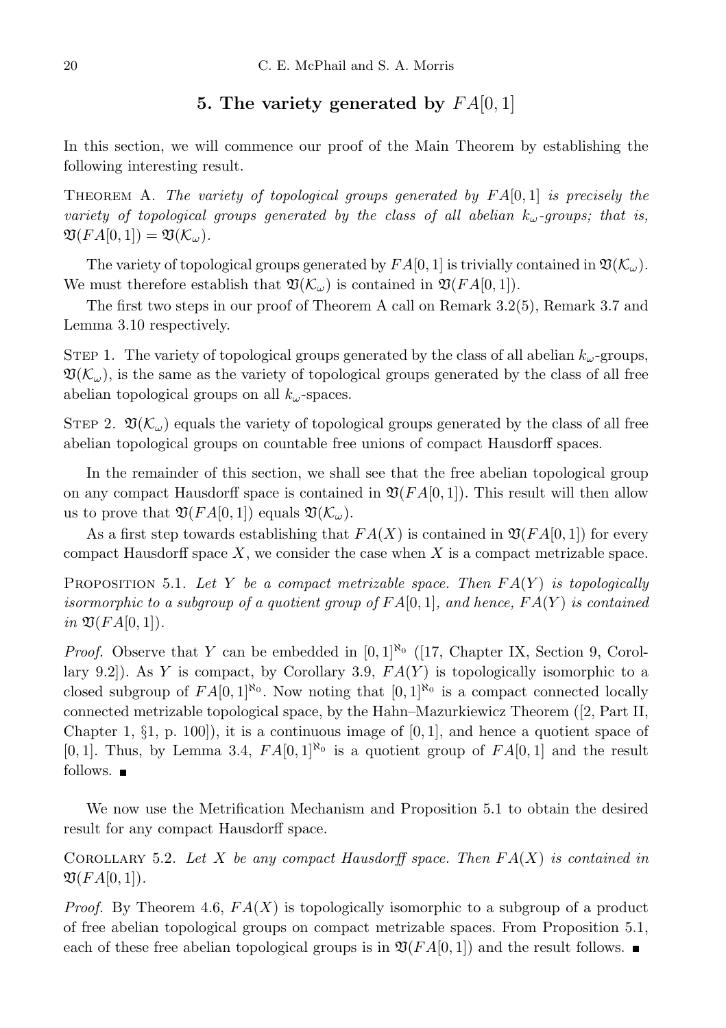## 5. The variety generated by  $FA[0,1]$

In this section, we will commence our proof of the Main Theorem by establishing the following interesting result.

THEOREM A. The variety of topological groups generated by  $FA[0,1]$  is precisely the variety of topological groups generated by the class of all abelian  $k_{\omega}$ -groups; that is,  $\mathfrak{V}(FA[0,1]) = \mathfrak{V}(K_{\omega}).$ 

The variety of topological groups generated by  $FA[0, 1]$  is trivially contained in  $\mathfrak{V}(\mathcal{K}_{\omega})$ . We must therefore establish that  $\mathfrak{V}(\mathcal{K}_{\omega})$  is contained in  $\mathfrak{V}(FA[0,1])$ .

The first two steps in our proof of Theorem A call on Remark 3.2(5), Remark 3.7 and Lemma 3.10 respectively.

STEP 1. The variety of topological groups generated by the class of all abelian  $k_{\omega}$ -groups,  $\mathfrak{V}(\mathcal{K}_{\omega})$ , is the same as the variety of topological groups generated by the class of all free abelian topological groups on all  $k_{\omega}$ -spaces.

STEP 2.  $\mathfrak{V}(\mathcal{K}_{\omega})$  equals the variety of topological groups generated by the class of all free abelian topological groups on countable free unions of compact Hausdorff spaces.

In the remainder of this section, we shall see that the free abelian topological group on any compact Hausdorff space is contained in  $\mathfrak{V}(FA[0,1])$ . This result will then allow us to prove that  $\mathfrak{V}(FA[0,1])$  equals  $\mathfrak{V}(\mathcal{K}_{\omega}).$ 

As a first step towards establishing that  $FA(X)$  is contained in  $\mathfrak{V}(FA[0,1])$  for every compact Hausdorff space  $X$ , we consider the case when  $X$  is a compact metrizable space.

PROPOSITION 5.1. Let Y be a compact metrizable space. Then  $FA(Y)$  is topologically isormorphic to a subgroup of a quotient group of  $FA[0,1]$ , and hence,  $FA(Y)$  is contained in  $\mathfrak{V}(FA[0,1])$ .

*Proof.* Observe that Y can be embedded in  $[0, 1]^{\aleph_0}$  ([17, Chapter IX, Section 9, Corollary 9.2]). As Y is compact, by Corollary 3.9,  $FA(Y)$  is topologically isomorphic to a closed subgroup of  $FA[0,1]^{\aleph_0}$ . Now noting that  $[0,1]^{\aleph_0}$  is a compact connected locally connected metrizable topological space, by the Hahn–Mazurkiewicz Theorem ([2, Part II, Chapter 1,  $\S$ 1, p. 100, it is a continuous image of  $[0, 1]$ , and hence a quotient space of [0, 1]. Thus, by Lemma 3.4,  $FA[0,1]^{\aleph_0}$  is a quotient group of  $FA[0,1]$  and the result follows.  $\blacksquare$ 

We now use the Metrification Mechanism and Proposition 5.1 to obtain the desired result for any compact Hausdorff space.

COROLLARY 5.2. Let X be any compact Hausdorff space. Then  $FA(X)$  is contained in  $\mathfrak{V}(FA[0,1]).$ 

*Proof.* By Theorem 4.6,  $FA(X)$  is topologically isomorphic to a subgroup of a product of free abelian topological groups on compact metrizable spaces. From Proposition 5.1, each of these free abelian topological groups is in  $\mathfrak{V}(FA[0,1])$  and the result follows.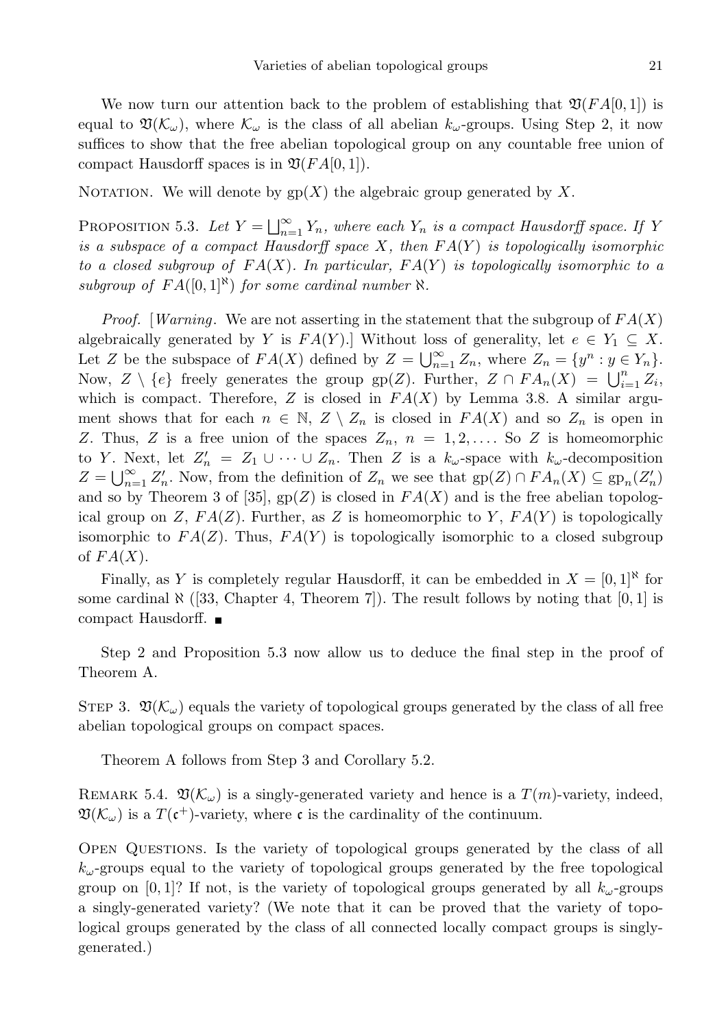We now turn our attention back to the problem of establishing that  $\mathfrak{V}(FA[0,1])$  is equal to  $\mathfrak{V}(\mathcal{K}_{\omega})$ , where  $\mathcal{K}_{\omega}$  is the class of all abelian  $k_{\omega}$ -groups. Using Step 2, it now suffices to show that the free abelian topological group on any countable free union of compact Hausdorff spaces is in  $\mathfrak{V}(FA[0,1])$ .

NOTATION. We will denote by  $gp(X)$  the algebraic group generated by X.

PROPOSITION 5.3. Let  $Y = \bigsqcup_{n=1}^{\infty} Y_n$ , where each  $Y_n$  is a compact Hausdorff space. If Y is a subspace of a compact Hausdorff space  $X$ , then  $FA(Y)$  is topologically isomorphic to a closed subgroup of  $FA(X)$ . In particular,  $FA(Y)$  is topologically isomorphic to a subgroup of  $FA([0,1]^{\aleph})$  for some cardinal number  $\aleph$ .

*Proof.* [Warning. We are not asserting in the statement that the subgroup of  $FA(X)$ algebraically generated by Y is  $FA(Y)$ . Without loss of generality, let  $e \in Y_1 \subseteq X$ . Let Z be the subspace of  $FA(X)$  defined by  $Z = \bigcup_{n=1}^{\infty} Z_n$ , where  $Z_n = \{y^n : y \in Y_n\}.$ Now,  $Z \setminus \{e\}$  freely generates the group  $gp(Z)$ . Further,  $Z \cap FA_n(X) = \bigcup_{i=1}^n Z_i$ , which is compact. Therefore, Z is closed in  $FA(X)$  by Lemma 3.8. A similar argument shows that for each  $n \in \mathbb{N}$ ,  $Z \setminus Z_n$  is closed in  $FA(X)$  and so  $Z_n$  is open in Z. Thus, Z is a free union of the spaces  $Z_n$ ,  $n = 1, 2, \ldots$  So Z is homeomorphic to Y. Next, let  $Z'_n = Z_1 \cup \cdots \cup Z_n$ . Then Z is a  $k_{\omega}$ -space with  $k_{\omega}$ -decomposition  $Z = \bigcup_{n=1}^{\infty} Z'_n$ . Now, from the definition of  $Z_n$  we see that  $gp(Z) \cap FA_n(X) \subseteq gp_n(Z'_n)$ and so by Theorem 3 of [35],  $gp(Z)$  is closed in  $FA(X)$  and is the free abelian topological group on Z,  $FA(Z)$ . Further, as Z is homeomorphic to Y,  $FA(Y)$  is topologically isomorphic to  $FA(Z)$ . Thus,  $FA(Y)$  is topologically isomorphic to a closed subgroup of  $FA(X)$ .

Finally, as Y is completely regular Hausdorff, it can be embedded in  $X = [0,1]^{\aleph}$  for some cardinal  $\aleph$  ([33, Chapter 4, Theorem 7]). The result follows by noting that [0, 1] is compact Hausdorff.

Step 2 and Proposition 5.3 now allow us to deduce the final step in the proof of Theorem A.

STEP 3.  $\mathfrak{V}(\mathcal{K}_{\omega})$  equals the variety of topological groups generated by the class of all free abelian topological groups on compact spaces.

Theorem A follows from Step 3 and Corollary 5.2.

REMARK 5.4.  $\mathfrak{V}(\mathcal{K}_{\omega})$  is a singly-generated variety and hence is a  $T(m)$ -variety, indeed,  $\mathfrak{V}(\mathcal{K}_{\omega})$  is a  $T(\mathfrak{c}^+)$ -variety, where  $\mathfrak{c}$  is the cardinality of the continuum.

Open Questions. Is the variety of topological groups generated by the class of all  $k_{\omega}$ -groups equal to the variety of topological groups generated by the free topological group on [0, 1]? If not, is the variety of topological groups generated by all  $k_{\omega}$ -groups a singly-generated variety? (We note that it can be proved that the variety of topological groups generated by the class of all connected locally compact groups is singlygenerated.)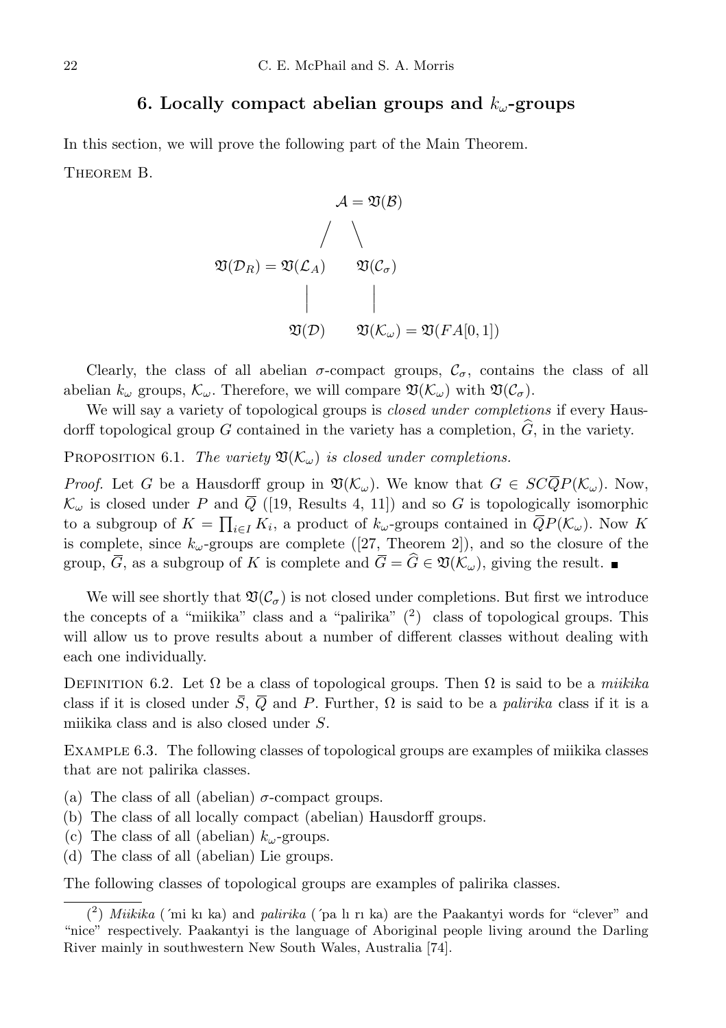#### 6. Locally compact abelian groups and  $k_{\omega}$ -groups

In this section, we will prove the following part of the Main Theorem. Theorem B.

$$
A = \mathfrak{V}(\mathcal{B})
$$

$$
\mathfrak{V}(\mathcal{D}_R) = \mathfrak{V}(\mathcal{L}_A) \qquad \mathfrak{V}(\mathcal{C}_\sigma)
$$

$$
\begin{array}{c|c}\n & \nearrow & \mathfrak{V}(\mathcal{C}_\sigma) \\
& \searrow & \nearrow & \mathfrak{V}(\mathcal{D}_\sigma) \\
& \mathfrak{V}(\mathcal{D}) & \mathfrak{V}(\mathcal{K}_\omega) = \mathfrak{V}(FA[0,1])\n\end{array}
$$

Clearly, the class of all abelian  $\sigma$ -compact groups,  $C_{\sigma}$ , contains the class of all abelian  $k_{\omega}$  groups,  $\mathcal{K}_{\omega}$ . Therefore, we will compare  $\mathfrak{V}(\mathcal{K}_{\omega})$  with  $\mathfrak{V}(\mathcal{C}_{\sigma})$ .

We will say a variety of topological groups is *closed under completions* if every Hausdorff topological group G contained in the variety has a completion,  $\widehat{G}$ , in the variety.

PROPOSITION 6.1. The variety  $\mathfrak{V}(\mathcal{K}_{\omega})$  is closed under completions.

*Proof.* Let G be a Hausdorff group in  $\mathfrak{V}(\mathcal{K}_{\omega})$ . We know that  $G \in SC\overline{Q}P(\mathcal{K}_{\omega})$ . Now,  $\mathcal{K}_{\omega}$  is closed under P and  $\overline{Q}$  ([19, Results 4, 11]) and so G is topologically isomorphic to a subgroup of  $K = \prod_{i \in I} K_i$ , a product of  $k_{\omega}$ -groups contained in  $\overline{Q}P(\mathcal{K}_{\omega})$ . Now K is complete, since  $k_{\omega}$ -groups are complete ([27, Theorem 2]), and so the closure of the group,  $\overline{G}$ , as a subgroup of K is complete and  $\overline{G} = \widehat{G} \in \mathfrak{V}(\mathcal{K}_{\omega})$ , giving the result.

We will see shortly that  $\mathfrak{V}(\mathcal{C}_{\sigma})$  is not closed under completions. But first we introduce the concepts of a "miikika" class and a "palirika"  $(2)$  class of topological groups. This will allow us to prove results about a number of different classes without dealing with each one individually.

DEFINITION 6.2. Let  $\Omega$  be a class of topological groups. Then  $\Omega$  is said to be a *miikika* class if it is closed under  $\overline{S}$ ,  $\overline{Q}$  and P. Further,  $\Omega$  is said to be a *palirika* class if it is a miikika class and is also closed under S.

EXAMPLE 6.3. The following classes of topological groups are examples of miikika classes that are not palirika classes.

- (a) The class of all (abelian)  $\sigma$ -compact groups.
- (b) The class of all locally compact (abelian) Hausdorff groups.
- (c) The class of all (abelian)  $k_{\omega}$ -groups.
- (d) The class of all (abelian) Lie groups.

The following classes of topological groups are examples of palirika classes.

<sup>(2)</sup> Miikika ('mi kı ka) and palirika ('pa lı rı ka) are the Paakantyi words for "clever" and "nice" respectively. Paakantyi is the language of Aboriginal people living around the Darling River mainly in southwestern New South Wales, Australia [74].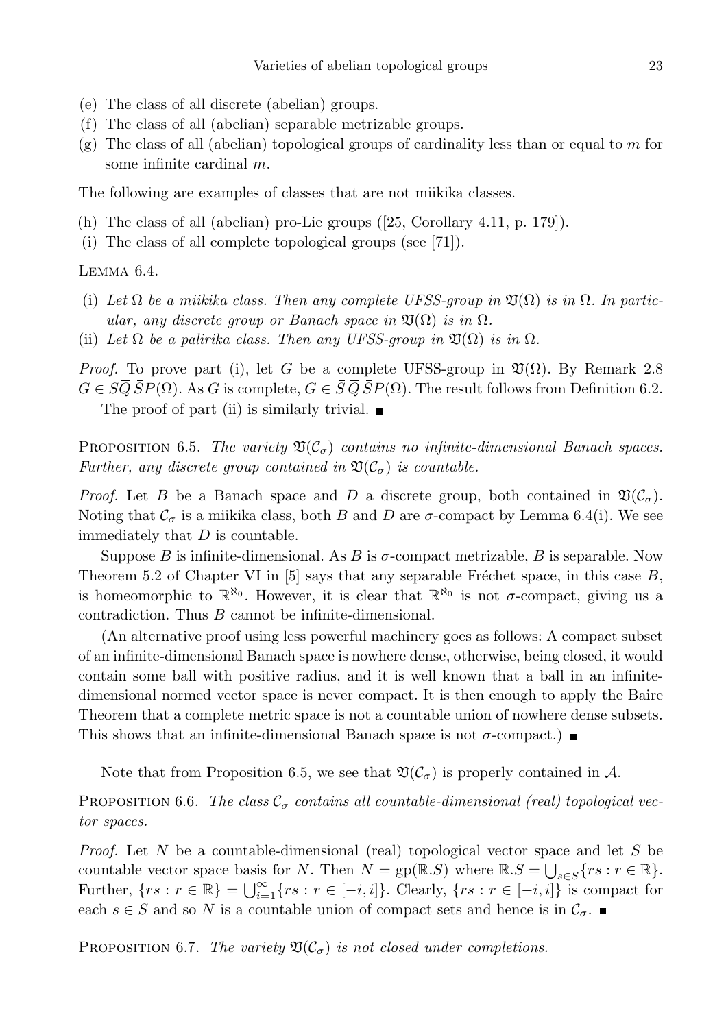- (e) The class of all discrete (abelian) groups.
- (f) The class of all (abelian) separable metrizable groups.
- $(g)$  The class of all (abelian) topological groups of cardinality less than or equal to m for some infinite cardinal m.

The following are examples of classes that are not miikika classes.

- (h) The class of all (abelian) pro-Lie groups ([25, Corollary 4.11, p. 179]).
- (i) The class of all complete topological groups (see [71]).

Lemma 6.4.

- (i) Let  $\Omega$  be a miikika class. Then any complete UFSS-group in  $\mathfrak{V}(\Omega)$  is in  $\Omega$ . In particular, any discrete group or Banach space in  $\mathfrak{V}(\Omega)$  is in  $\Omega$ .
- (ii) Let  $\Omega$  be a palirika class. Then any UFSS-group in  $\mathfrak{V}(\Omega)$  is in  $\Omega$ .

*Proof.* To prove part (i), let G be a complete UFSS-group in  $\mathfrak{V}(\Omega)$ . By Remark 2.8  $G \in S\overline{Q} \overline{S}P(\Omega)$ . As G is complete,  $G \in \overline{S} \overline{Q} \overline{S}P(\Omega)$ . The result follows from Definition 6.2. The proof of part (ii) is similarly trivial.  $\blacksquare$ 

PROPOSITION 6.5. The variety  $\mathfrak{V}(\mathcal{C}_{\sigma})$  contains no infinite-dimensional Banach spaces. Further, any discrete group contained in  $\mathfrak{V}(\mathcal{C}_{\sigma})$  is countable.

*Proof.* Let B be a Banach space and D a discrete group, both contained in  $\mathfrak{V}(\mathcal{C}_{\sigma})$ . Noting that  $\mathcal{C}_{\sigma}$  is a miikika class, both B and D are  $\sigma$ -compact by Lemma 6.4(i). We see immediately that  $D$  is countable.

Suppose B is infinite-dimensional. As B is  $\sigma$ -compact metrizable, B is separable. Now Theorem 5.2 of Chapter VI in [5] says that any separable Fréchet space, in this case  $B$ , is homeomorphic to  $\mathbb{R}^{\aleph_0}$ . However, it is clear that  $\mathbb{R}^{\aleph_0}$  is not  $\sigma$ -compact, giving us a contradiction. Thus B cannot be infinite-dimensional.

(An alternative proof using less powerful machinery goes as follows: A compact subset of an infinite-dimensional Banach space is nowhere dense, otherwise, being closed, it would contain some ball with positive radius, and it is well known that a ball in an infinitedimensional normed vector space is never compact. It is then enough to apply the Baire Theorem that a complete metric space is not a countable union of nowhere dense subsets. This shows that an infinite-dimensional Banach space is not  $\sigma$ -compact.)

Note that from Proposition 6.5, we see that  $\mathfrak{V}(\mathcal{C}_{\sigma})$  is properly contained in A.

PROPOSITION 6.6. The class  $\mathcal{C}_{\sigma}$  contains all countable-dimensional (real) topological vector spaces.

*Proof.* Let N be a countable-dimensional (real) topological vector space and let S be countable vector space basis for N. Then  $N = gp(\mathbb{R}.S)$  where  $\mathbb{R}.S = \bigcup_{s \in S} \{rs : r \in \mathbb{R}\}.$ Further,  $\{rs : r \in \mathbb{R}\} = \bigcup_{i=1}^{\infty} \{rs : r \in [-i, i]\}$ . Clearly,  $\{rs : r \in [-i, i]\}$  is compact for each  $s \in S$  and so N is a countable union of compact sets and hence is in  $\mathcal{C}_{\sigma}$ .

PROPOSITION 6.7. The variety  $\mathfrak{V}(\mathcal{C}_{\sigma})$  is not closed under completions.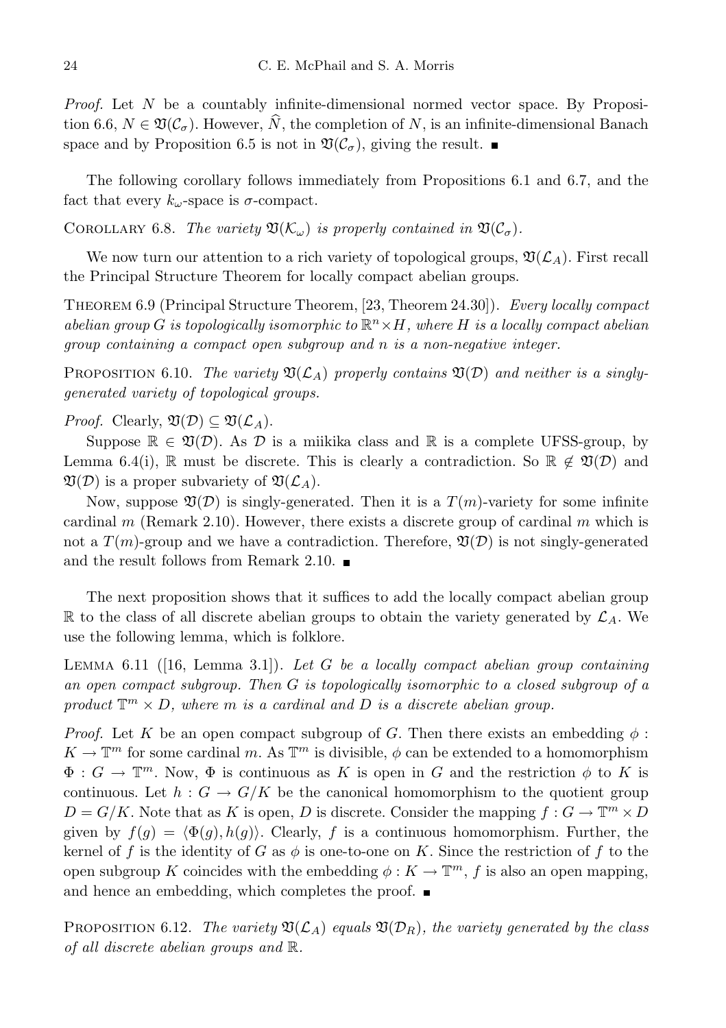*Proof.* Let  $N$  be a countably infinite-dimensional normed vector space. By Proposition 6.6,  $N \in \mathfrak{V}(\mathcal{C}_{\sigma})$ . However,  $\widehat{N}$ , the completion of N, is an infinite-dimensional Banach space and by Proposition 6.5 is not in  $\mathfrak{V}(\mathcal{C}_{\sigma})$ , giving the result.

The following corollary follows immediately from Propositions 6.1 and 6.7, and the fact that every  $k_{\omega}$ -space is  $\sigma$ -compact.

COROLLARY 6.8. The variety  $\mathfrak{V}(\mathcal{K}_{\omega})$  is properly contained in  $\mathfrak{V}(\mathcal{C}_{\sigma})$ .

We now turn our attention to a rich variety of topological groups,  $\mathfrak{V}(\mathcal{L}_A)$ . First recall the Principal Structure Theorem for locally compact abelian groups.

Theorem 6.9 (Principal Structure Theorem, [23, Theorem 24.30]). Every locally compact abelian group G is topologically isomorphic to  $\mathbb{R}^n \times H$ , where H is a locally compact abelian group containing a compact open subgroup and n is a non-negative integer.

PROPOSITION 6.10. The variety  $\mathfrak{V}(\mathcal{L}_A)$  properly contains  $\mathfrak{V}(D)$  and neither is a singlygenerated variety of topological groups.

*Proof.* Clearly,  $\mathfrak{V}(\mathcal{D}) \subseteq \mathfrak{V}(\mathcal{L}_A)$ .

Suppose  $\mathbb{R} \in \mathfrak{V}(\mathcal{D})$ . As  $\mathcal D$  is a miikika class and  $\mathbb R$  is a complete UFSS-group, by Lemma 6.4(i), R must be discrete. This is clearly a contradiction. So  $\mathbb{R} \notin \mathfrak{V}(\mathcal{D})$  and  $\mathfrak{V}(\mathcal{D})$  is a proper subvariety of  $\mathfrak{V}(\mathcal{L}_A)$ .

Now, suppose  $\mathfrak{V}(\mathcal{D})$  is singly-generated. Then it is a  $T(m)$ -variety for some infinite cardinal m (Remark 2.10). However, there exists a discrete group of cardinal m which is not a  $T(m)$ -group and we have a contradiction. Therefore,  $\mathfrak{V}(\mathcal{D})$  is not singly-generated and the result follows from Remark 2.10.  $\blacksquare$ 

The next proposition shows that it suffices to add the locally compact abelian group  $\mathbb R$  to the class of all discrete abelian groups to obtain the variety generated by  $\mathcal L_A$ . We use the following lemma, which is folklore.

LEMMA 6.11 ([16, Lemma 3.1]). Let G be a locally compact abelian group containing an open compact subgroup. Then  $G$  is topologically isomorphic to a closed subgroup of a product  $\mathbb{T}^m \times D$ , where m is a cardinal and D is a discrete abelian group.

*Proof.* Let K be an open compact subgroup of G. Then there exists an embedding  $\phi$ :  $K \to \mathbb{T}^m$  for some cardinal m. As  $\mathbb{T}^m$  is divisible,  $\phi$  can be extended to a homomorphism  $\Phi: G \to \mathbb{T}^m$ . Now,  $\Phi$  is continuous as K is open in G and the restriction  $\phi$  to K is continuous. Let  $h: G \to G/K$  be the canonical homomorphism to the quotient group  $D = G/K$ . Note that as K is open, D is discrete. Consider the mapping  $f : G \to \mathbb{T}^m \times D$ given by  $f(g) = \langle \Phi(g), h(g) \rangle$ . Clearly, f is a continuous homomorphism. Further, the kernel of f is the identity of G as  $\phi$  is one-to-one on K. Since the restriction of f to the open subgroup K coincides with the embedding  $\phi: K \to \mathbb{T}^m$ , f is also an open mapping, and hence an embedding, which completes the proof.  $\blacksquare$ 

PROPOSITION 6.12. The variety  $\mathfrak{V}(\mathcal{L}_A)$  equals  $\mathfrak{V}(\mathcal{D}_R)$ , the variety generated by the class of all discrete abelian groups and R.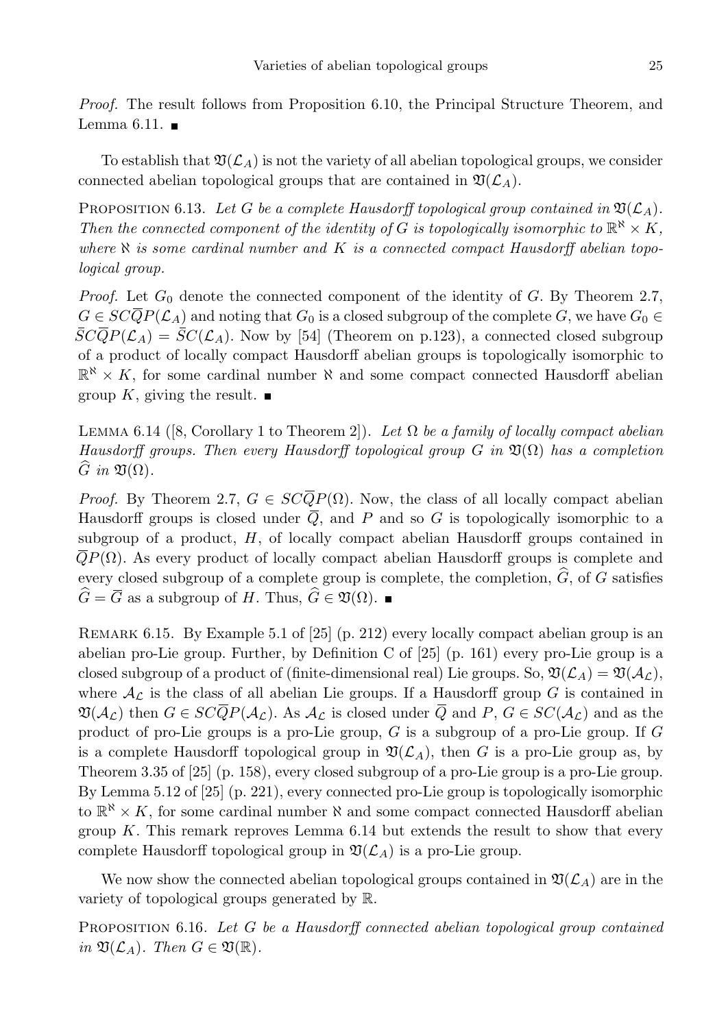Proof. The result follows from Proposition 6.10, the Principal Structure Theorem, and Lemma 6.11.  $\blacksquare$ 

To establish that  $\mathfrak{V}(\mathcal{L}_A)$  is not the variety of all abelian topological groups, we consider connected abelian topological groups that are contained in  $\mathfrak{V}(\mathcal{L}_A)$ .

PROPOSITION 6.13. Let G be a complete Hausdorff topological group contained in  $\mathfrak{V}(\mathcal{L}_A)$ . Then the connected component of the identity of G is topologically isomorphic to  $\mathbb{R}^{\aleph} \times K$ , where  $\aleph$  is some cardinal number and K is a connected compact Hausdorff abelian topological group.

*Proof.* Let  $G_0$  denote the connected component of the identity of G. By Theorem 2.7,  $G \in SC\overline{Q}P(\mathcal{L}_A)$  and noting that  $G_0$  is a closed subgroup of the complete G, we have  $G_0 \in$  $\overline{SCQP}(\mathcal{L}_A) = \overline{SC}(\mathcal{L}_A)$ . Now by [54] (Theorem on p.123), a connected closed subgroup of a product of locally compact Hausdorff abelian groups is topologically isomorphic to  $\mathbb{R}^{\aleph} \times K$ , for some cardinal number  $\aleph$  and some compact connected Hausdorff abelian group K, giving the result.  $\blacksquare$ 

LEMMA 6.14 ([8, Corollary 1 to Theorem 2]). Let  $\Omega$  be a family of locally compact abelian Hausdorff groups. Then every Hausdorff topological group G in  $\mathfrak{V}(\Omega)$  has a completion  $\widetilde{G}$  in  $\mathfrak{V}(\Omega)$ .

*Proof.* By Theorem 2.7,  $G \in SC\overline{Q}P(\Omega)$ . Now, the class of all locally compact abelian Hausdorff groups is closed under  $\overline{Q}$ , and P and so G is topologically isomorphic to a subgroup of a product,  $H$ , of locally compact abelian Hausdorff groups contained in  $\overline{Q}P(\Omega)$ . As every product of locally compact abelian Hausdorff groups is complete and every closed subgroup of a complete group is complete, the completion,  $\hat{G}$ , of G satisfies  $\widehat{G} = \overline{G}$  as a subgroup of H. Thus,  $\widehat{G} \in \mathfrak{V}(\Omega)$ .

Remark 6.15. By Example 5.1 of [25] (p. 212) every locally compact abelian group is an abelian pro-Lie group. Further, by Definition C of [25] (p. 161) every pro-Lie group is a closed subgroup of a product of (finite-dimensional real) Lie groups. So,  $\mathfrak{V}(\mathcal{L}_A) = \mathfrak{V}(\mathcal{A}_\mathcal{L})$ , where  $\mathcal{A}_{\mathcal{L}}$  is the class of all abelian Lie groups. If a Hausdorff group G is contained in  $\mathfrak{V}(\mathcal{A}_{\mathcal{L}})$  then  $G \in SC\overline{Q}P(\mathcal{A}_{\mathcal{L}})$ . As  $\mathcal{A}_{\mathcal{L}}$  is closed under  $\overline{Q}$  and  $P, G \in SC(\mathcal{A}_{\mathcal{L}})$  and as the product of pro-Lie groups is a pro-Lie group, G is a subgroup of a pro-Lie group. If G is a complete Hausdorff topological group in  $\mathfrak{V}(\mathcal{L}_A)$ , then G is a pro-Lie group as, by Theorem 3.35 of [25] (p. 158), every closed subgroup of a pro-Lie group is a pro-Lie group. By Lemma 5.12 of [25] (p. 221), every connected pro-Lie group is topologically isomorphic to  $\mathbb{R}^{\aleph} \times K$ , for some cardinal number  $\aleph$  and some compact connected Hausdorff abelian group K. This remark reproves Lemma  $6.14$  but extends the result to show that every complete Hausdorff topological group in  $\mathfrak{V}(\mathcal{L}_A)$  is a pro-Lie group.

We now show the connected abelian topological groups contained in  $\mathfrak{V}(\mathcal{L}_A)$  are in the variety of topological groups generated by R.

PROPOSITION 6.16. Let G be a Hausdorff connected abelian topological group contained in  $\mathfrak{V}(\mathcal{L}_A)$ . Then  $G \in \mathfrak{V}(\mathbb{R})$ .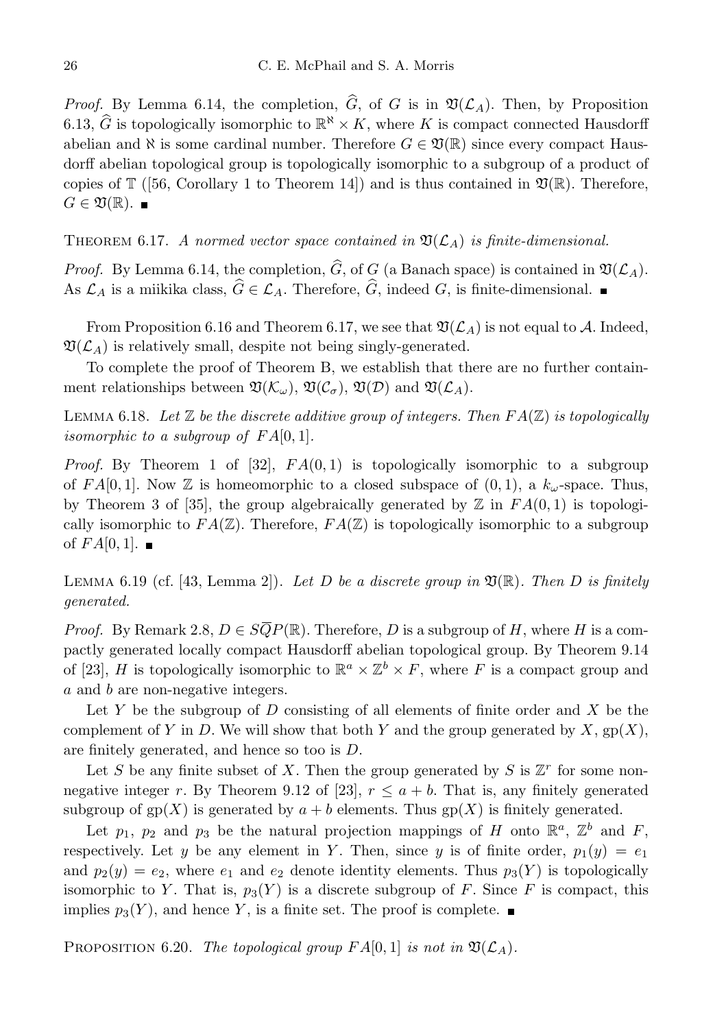*Proof.* By Lemma 6.14, the completion,  $\hat{G}$ , of G is in  $\mathfrak{V}(\mathcal{L}_A)$ . Then, by Proposition 6.13,  $\widehat{G}$  is topologically isomorphic to  $\mathbb{R}^{\aleph} \times K$ , where K is compact connected Hausdorff abelian and  $\aleph$  is some cardinal number. Therefore  $G \in \mathfrak{V}(\mathbb{R})$  since every compact Hausdorff abelian topological group is topologically isomorphic to a subgroup of a product of copies of  $\mathbb{T}$  ([56, Corollary 1 to Theorem 14]) and is thus contained in  $\mathfrak{V}(\mathbb{R})$ . Therefore,  $G \in \mathfrak{V}(\mathbb{R})$ .

THEOREM 6.17. A normed vector space contained in  $\mathfrak{V}(\mathcal{L}_A)$  is finite-dimensional.

*Proof.* By Lemma 6.14, the completion,  $\hat{G}$ , of G (a Banach space) is contained in  $\mathfrak{V}(\mathcal{L}_A)$ . As  $\mathcal{L}_A$  is a miikika class,  $\widehat{G} \in \mathcal{L}_A$ . Therefore,  $\widehat{G}$ , indeed G, is finite-dimensional.

From Proposition 6.16 and Theorem 6.17, we see that  $\mathfrak{V}(\mathcal{L}_A)$  is not equal to A. Indeed,  $\mathfrak{V}(\mathcal{L}_A)$  is relatively small, despite not being singly-generated.

To complete the proof of Theorem B, we establish that there are no further containment relationships between  $\mathfrak{V}(\mathcal{K}_{\omega}), \mathfrak{V}(\mathcal{C}_{\sigma}), \mathfrak{V}(\mathcal{D})$  and  $\mathfrak{V}(\mathcal{L}_A)$ .

LEMMA 6.18. Let  $\mathbb Z$  be the discrete additive group of integers. Then  $FA(\mathbb Z)$  is topologically isomorphic to a subgroup of  $FA[0,1]$ .

*Proof.* By Theorem 1 of [32],  $FA(0,1)$  is topologically isomorphic to a subgroup of FA[0,1]. Now Z is homeomorphic to a closed subspace of  $(0, 1)$ , a  $k_{\omega}$ -space. Thus, by Theorem 3 of [35], the group algebraically generated by  $\mathbb Z$  in  $FA(0,1)$  is topologically isomorphic to  $FA(\mathbb{Z})$ . Therefore,  $FA(\mathbb{Z})$  is topologically isomorphic to a subgroup of  $FA[0,1]$ .

LEMMA 6.19 (cf. [43, Lemma 2]). Let D be a discrete group in  $\mathfrak{V}(\mathbb{R})$ . Then D is finitely generated.

*Proof.* By Remark 2.8,  $D \in \widetilde{SQP}(\mathbb{R})$ . Therefore, D is a subgroup of H, where H is a compactly generated locally compact Hausdorff abelian topological group. By Theorem 9.14 of [23], H is topologically isomorphic to  $\mathbb{R}^a \times \mathbb{Z}^b \times F$ , where F is a compact group and a and b are non-negative integers.

Let Y be the subgroup of D consisting of all elements of finite order and X be the complement of Y in D. We will show that both Y and the group generated by  $X$ ,  $gp(X)$ , are finitely generated, and hence so too is D.

Let S be any finite subset of X. Then the group generated by S is  $\mathbb{Z}^r$  for some nonnegative integer r. By Theorem 9.12 of [23],  $r \le a + b$ . That is, any finitely generated subgroup of  $gp(X)$  is generated by  $a + b$  elements. Thus  $gp(X)$  is finitely generated.

Let  $p_1$ ,  $p_2$  and  $p_3$  be the natural projection mappings of H onto  $\mathbb{R}^a$ ,  $\mathbb{Z}^b$  and F, respectively. Let y be any element in Y. Then, since y is of finite order,  $p_1(y) = e_1$ and  $p_2(y) = e_2$ , where  $e_1$  and  $e_2$  denote identity elements. Thus  $p_3(Y)$  is topologically isomorphic to Y. That is,  $p_3(Y)$  is a discrete subgroup of F. Since F is compact, this implies  $p_3(Y)$ , and hence Y, is a finite set. The proof is complete.

PROPOSITION 6.20. The topological group  $FA[0, 1]$  is not in  $\mathfrak{V}(\mathcal{L}_A)$ .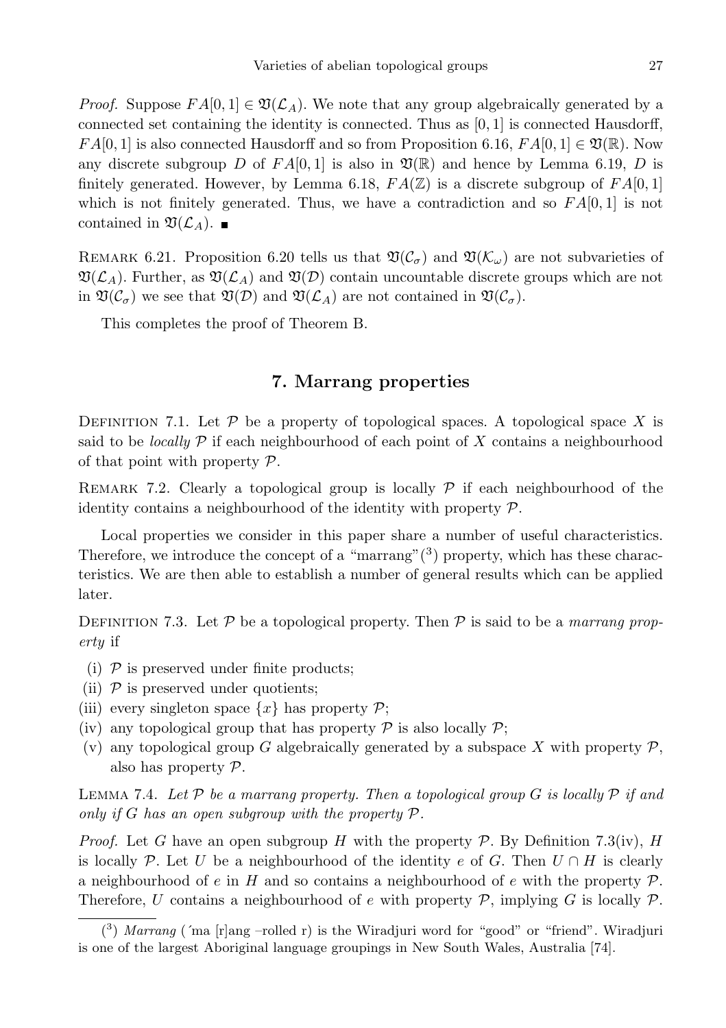*Proof.* Suppose  $FA[0,1] \in \mathfrak{V}(\mathcal{L}_A)$ . We note that any group algebraically generated by a connected set containing the identity is connected. Thus as [0, 1] is connected Hausdorff,  $FA[0,1]$  is also connected Hausdorff and so from Proposition 6.16,  $FA[0,1] \in \mathfrak{V}(\mathbb{R})$ . Now any discrete subgroup D of  $FA[0,1]$  is also in  $\mathfrak{V}(\mathbb{R})$  and hence by Lemma 6.19, D is finitely generated. However, by Lemma 6.18,  $FA(\mathbb{Z})$  is a discrete subgroup of  $FA[0,1]$ which is not finitely generated. Thus, we have a contradiction and so  $FA[0,1]$  is not contained in  $\mathfrak{V}(\mathcal{L}_A)$ .

REMARK 6.21. Proposition 6.20 tells us that  $\mathfrak{V}(\mathcal{C}_{\sigma})$  and  $\mathfrak{V}(\mathcal{K}_{\omega})$  are not subvarieties of  $\mathfrak{V}(\mathcal{L}_A)$ . Further, as  $\mathfrak{V}(\mathcal{L}_A)$  and  $\mathfrak{V}(\mathcal{D})$  contain uncountable discrete groups which are not in  $\mathfrak{V}(\mathcal{C}_{\sigma})$  we see that  $\mathfrak{V}(\mathcal{D})$  and  $\mathfrak{V}(\mathcal{L}_A)$  are not contained in  $\mathfrak{V}(\mathcal{C}_{\sigma})$ .

This completes the proof of Theorem B.

## 7. Marrang properties

DEFINITION 7.1. Let  $P$  be a property of topological spaces. A topological space X is said to be *locally*  $\mathcal P$  if each neighbourhood of each point of X contains a neighbourhood of that point with property  $P$ .

REMARK 7.2. Clearly a topological group is locally  $\mathcal P$  if each neighbourhood of the identity contains a neighbourhood of the identity with property  $P$ .

Local properties we consider in this paper share a number of useful characteristics. Therefore, we introduce the concept of a "marrang" $(3)$  property, which has these characteristics. We are then able to establish a number of general results which can be applied later.

DEFINITION 7.3. Let P be a topological property. Then P is said to be a marrang property if

- (i)  $P$  is preserved under finite products;
- (ii)  $P$  is preserved under quotients;
- (iii) every singleton space  $\{x\}$  has property  $\mathcal{P}$ ;
- (iv) any topological group that has property  $P$  is also locally  $P$ ;
- (v) any topological group G algebraically generated by a subspace X with property  $\mathcal{P}$ , also has property P.

LEMMA 7.4. Let  $\mathcal P$  be a marrang property. Then a topological group  $G$  is locally  $\mathcal P$  if and only if G has an open subgroup with the property  $P$ .

*Proof.* Let G have an open subgroup H with the property P. By Definition 7.3(iv), H is locally P. Let U be a neighbourhood of the identity e of G. Then  $U \cap H$  is clearly a neighbourhood of e in H and so contains a neighbourhood of e with the property  $\mathcal{P}$ . Therefore, U contains a neighbourhood of e with property  $P$ , implying G is locally  $P$ .

 $(3)$  Marrang ('ma [r]ang -rolled r) is the Wiradjuri word for "good" or "friend". Wiradjuri is one of the largest Aboriginal language groupings in New South Wales, Australia [74].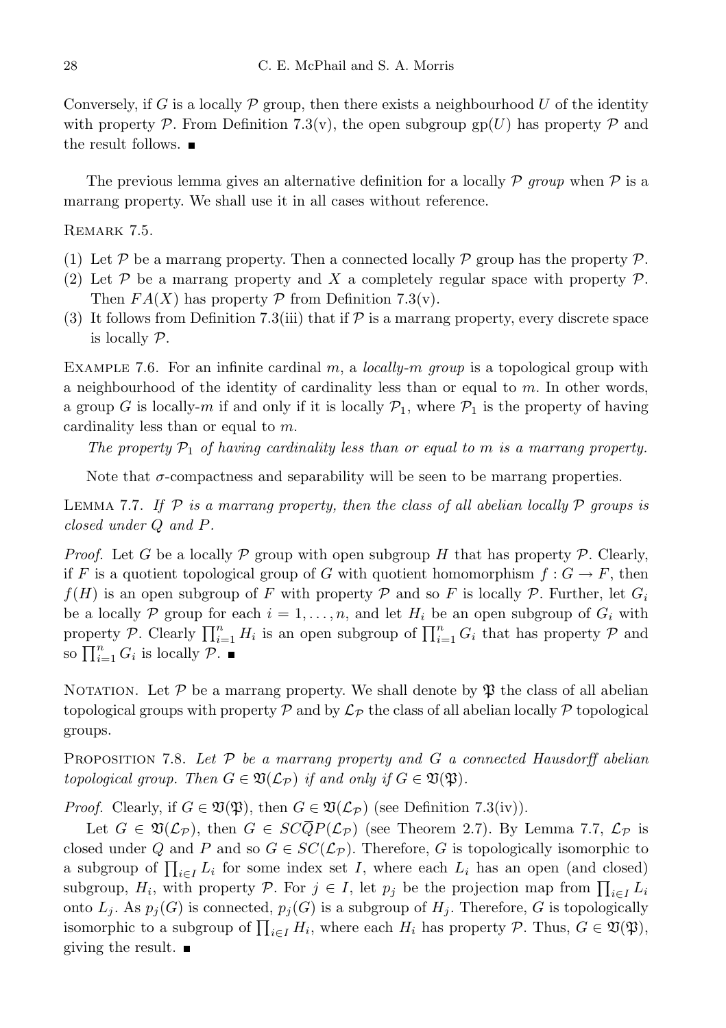Conversely, if G is a locally  $\mathcal P$  group, then there exists a neighbourhood U of the identity with property P. From Definition 7.3(v), the open subgroup  $gp(U)$  has property P and the result follows.

The previous lemma gives an alternative definition for a locally  $\mathcal P$  group when  $\mathcal P$  is a marrang property. We shall use it in all cases without reference.

REMARK 7.5.

- (1) Let  $\mathcal P$  be a marrang property. Then a connected locally  $\mathcal P$  group has the property  $\mathcal P$ .
- (2) Let P be a marrang property and X a completely regular space with property P. Then  $FA(X)$  has property  $\mathcal P$  from Definition 7.3(v).
- (3) It follows from Definition 7.3(iii) that if  $P$  is a marrang property, every discrete space is locally P.

EXAMPLE 7.6. For an infinite cardinal m, a locally-m group is a topological group with a neighbourhood of the identity of cardinality less than or equal to m. In other words, a group G is locally-m if and only if it is locally  $\mathcal{P}_1$ , where  $\mathcal{P}_1$  is the property of having cardinality less than or equal to m.

The property  $\mathcal{P}_1$  of having cardinality less than or equal to m is a marrang property.

Note that  $\sigma$ -compactness and separability will be seen to be marrang properties.

LEMMA 7.7. If  $\mathcal P$  is a marrang property, then the class of all abelian locally  $\mathcal P$  groups is closed under Q and P.

*Proof.* Let G be a locally P group with open subgroup H that has property P. Clearly, if F is a quotient topological group of G with quotient homomorphism  $f: G \to F$ , then  $f(H)$  is an open subgroup of F with property P and so F is locally P. Further, let  $G_i$ be a locally P group for each  $i = 1, \ldots, n$ , and let  $H_i$  be an open subgroup of  $G_i$  with property P. Clearly  $\prod_{i=1}^n H_i$  is an open subgroup of  $\prod_{i=1}^n G_i$  that has property P and so  $\prod_{i=1}^n G_i$  is locally  $\overline{\mathcal{P}}$ .

NOTATION. Let  $\mathcal P$  be a marrang property. We shall denote by  $\mathfrak P$  the class of all abelian topological groups with property  $\mathcal P$  and by  $\mathcal L_{\mathcal P}$  the class of all abelian locally  $\mathcal P$  topological groups.

PROPOSITION 7.8. Let  $P$  be a marrang property and  $G$  a connected Hausdorff abelian topological group. Then  $G \in \mathfrak{V}(\mathcal{L}_{\mathcal{P}})$  if and only if  $G \in \mathfrak{V}(\mathfrak{P})$ .

*Proof.* Clearly, if  $G \in \mathfrak{V}(\mathfrak{P})$ , then  $G \in \mathfrak{V}(\mathcal{L}_{\mathcal{P}})$  (see Definition 7.3(iv)).

Let  $G \in \mathfrak{V}(\mathcal{L}_{\mathcal{P}})$ , then  $G \in SC\overline{Q}P(\mathcal{L}_{\mathcal{P}})$  (see Theorem 2.7). By Lemma 7.7,  $\mathcal{L}_{\mathcal{P}}$  is closed under Q and P and so  $G \in SC(\mathcal{L}_{\mathcal{P}})$ . Therefore, G is topologically isomorphic to a subgroup of  $\prod_{i\in I} L_i$  for some index set I, where each  $L_i$  has an open (and closed) subgroup,  $H_i$ , with property  $P$ . For  $j \in I$ , let  $p_j$  be the projection map from  $\prod_{i \in I} L_i$ onto  $L_j$ . As  $p_j(G)$  is connected,  $p_j(G)$  is a subgroup of  $H_j$ . Therefore, G is topologically isomorphic to a subgroup of  $\prod_{i\in I} H_i$ , where each  $H_i$  has property  $P$ . Thus,  $G \in \mathfrak{V}(\mathfrak{P}),$ giving the result.  $\blacksquare$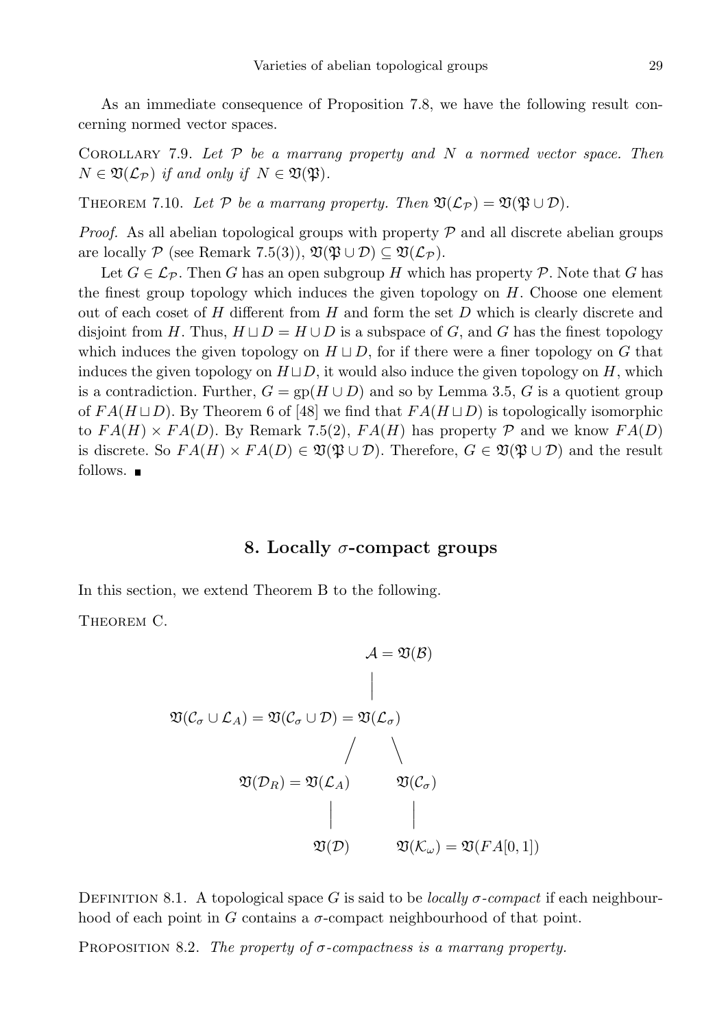As an immediate consequence of Proposition 7.8, we have the following result concerning normed vector spaces.

COROLLARY 7.9. Let  $P$  be a marrang property and N a normed vector space. Then  $N \in \mathfrak{V}(\mathcal{L}_{\mathcal{P}})$  if and only if  $N \in \mathfrak{V}(\mathfrak{P})$ .

THEOREM 7.10. Let P be a marrang property. Then  $\mathfrak{V}(\mathcal{L}_{\mathcal{P}}) = \mathfrak{V}(\mathfrak{P} \cup \mathcal{D})$ .

*Proof.* As all abelian topological groups with property  $P$  and all discrete abelian groups are locally P (see Remark 7.5(3)),  $\mathfrak{V}(\mathfrak{P} \cup \mathcal{D}) \subseteq \mathfrak{V}(\mathcal{L}_{\mathcal{P}})$ .

Let  $G \in \mathcal{L}_{\mathcal{P}}$ . Then G has an open subgroup H which has property  $\mathcal{P}$ . Note that G has the finest group topology which induces the given topology on  $H$ . Choose one element out of each coset of  $H$  different from  $H$  and form the set  $D$  which is clearly discrete and disjoint from H. Thus,  $H \sqcup D = H \cup D$  is a subspace of G, and G has the finest topology which induces the given topology on  $H \sqcup D$ , for if there were a finer topology on G that induces the given topology on  $H \sqcup D$ , it would also induce the given topology on H, which is a contradiction. Further,  $G = gp(H \cup D)$  and so by Lemma 3.5, G is a quotient group of  $FA(H \sqcup D)$ . By Theorem 6 of [48] we find that  $FA(H \sqcup D)$  is topologically isomorphic to  $FA(H) \times FA(D)$ . By Remark 7.5(2),  $FA(H)$  has property P and we know  $FA(D)$ is discrete. So  $FA(H) \times FA(D) \in \mathfrak{V}(\mathfrak{P} \cup \mathcal{D})$ . Therefore,  $G \in \mathfrak{V}(\mathfrak{P} \cup \mathcal{D})$  and the result follows.  $\blacksquare$ 

### 8. Locally  $\sigma$ -compact groups

In this section, we extend Theorem B to the following.

THEOREM C.

$$
\mathcal{A} = \mathfrak{V}(\mathcal{B})
$$
\n
$$
\mathfrak{V}(\mathcal{C}_{\sigma} \cup \mathcal{L}_{A}) = \mathfrak{V}(\mathcal{C}_{\sigma} \cup \mathcal{D}) = \mathfrak{V}(\mathcal{L}_{\sigma})
$$
\n
$$
\mathfrak{V}(\mathcal{D}_{R}) = \mathfrak{V}(\mathcal{L}_{A}) \qquad \mathfrak{V}(\mathcal{C}_{\sigma})
$$
\n
$$
\downarrow \qquad \qquad \downarrow
$$
\n
$$
\mathfrak{V}(\mathcal{D}) \qquad \mathfrak{V}(\mathcal{K}_{\omega}) = \mathfrak{V}(FA[0,1])
$$

DEFINITION 8.1. A topological space G is said to be *locally*  $\sigma$ *-compact* if each neighbourhood of each point in G contains a  $\sigma$ -compact neighbourhood of that point.

PROPOSITION 8.2. The property of  $\sigma$ -compactness is a marrang property.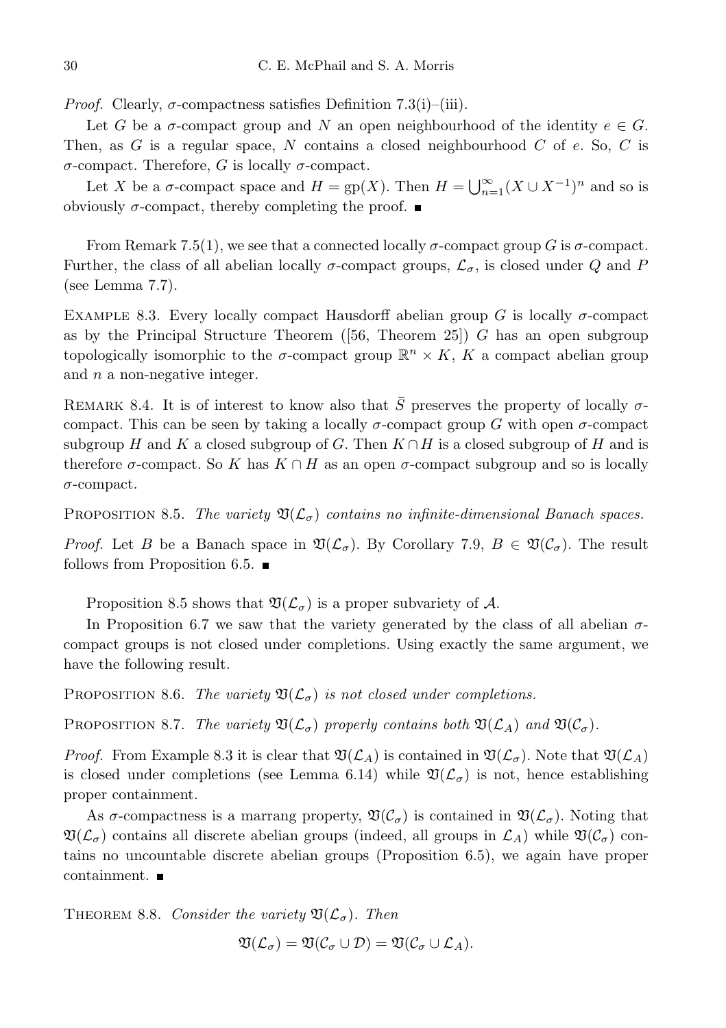*Proof.* Clearly,  $\sigma$ -compactness satisfies Definition 7.3(i)–(iii).

Let G be a  $\sigma$ -compact group and N an open neighbourhood of the identity  $e \in G$ . Then, as  $G$  is a regular space,  $N$  contains a closed neighbourhood  $C$  of  $e$ . So,  $C$  is σ-compact. Therefore, G is locally σ-compact.

Let X be a  $\sigma$ -compact space and  $H = gp(X)$ . Then  $H = \bigcup_{n=1}^{\infty} (X \cup X^{-1})^n$  and so is obviously  $\sigma$ -compact, thereby completing the proof.  $\blacksquare$ 

From Remark 7.5(1), we see that a connected locally  $\sigma$ -compact group G is  $\sigma$ -compact. Further, the class of all abelian locally  $\sigma$ -compact groups,  $\mathcal{L}_{\sigma}$ , is closed under Q and P (see Lemma 7.7).

EXAMPLE 8.3. Every locally compact Hausdorff abelian group G is locally  $\sigma$ -compact as by the Principal Structure Theorem  $(56,$  Theorem 25) G has an open subgroup topologically isomorphic to the  $\sigma$ -compact group  $\mathbb{R}^n \times K$ , K a compact abelian group and  $n$  a non-negative integer.

REMARK 8.4. It is of interest to know also that  $\overline{S}$  preserves the property of locally  $\sigma$ compact. This can be seen by taking a locally  $\sigma$ -compact group G with open  $\sigma$ -compact subgroup H and K a closed subgroup of G. Then  $K \cap H$  is a closed subgroup of H and is therefore  $\sigma$ -compact. So K has  $K \cap H$  as an open  $\sigma$ -compact subgroup and so is locally σ-compact.

PROPOSITION 8.5. The variety  $\mathfrak{V}(\mathcal{L}_{\sigma})$  contains no infinite-dimensional Banach spaces.

*Proof.* Let B be a Banach space in  $\mathfrak{V}(\mathcal{L}_{\sigma})$ . By Corollary 7.9,  $B \in \mathfrak{V}(\mathcal{C}_{\sigma})$ . The result follows from Proposition 6.5.

Proposition 8.5 shows that  $\mathfrak{V}(\mathcal{L}_{\sigma})$  is a proper subvariety of A.

In Proposition 6.7 we saw that the variety generated by the class of all abelian  $\sigma$ compact groups is not closed under completions. Using exactly the same argument, we have the following result.

PROPOSITION 8.6. The variety  $\mathfrak{V}(\mathcal{L}_{\sigma})$  is not closed under completions.

PROPOSITION 8.7. The variety  $\mathfrak{V}(\mathcal{L}_{\sigma})$  properly contains both  $\mathfrak{V}(\mathcal{L}_A)$  and  $\mathfrak{V}(\mathcal{C}_{\sigma})$ .

*Proof.* From Example 8.3 it is clear that  $\mathfrak{V}(\mathcal{L}_A)$  is contained in  $\mathfrak{V}(\mathcal{L}_\sigma)$ . Note that  $\mathfrak{V}(\mathcal{L}_A)$ is closed under completions (see Lemma 6.14) while  $\mathfrak{V}(\mathcal{L}_{\sigma})$  is not, hence establishing proper containment.

As  $\sigma$ -compactness is a marrang property,  $\mathfrak{V}(\mathcal{C}_{\sigma})$  is contained in  $\mathfrak{V}(\mathcal{L}_{\sigma})$ . Noting that  $\mathfrak{V}(\mathcal{L}_{\sigma})$  contains all discrete abelian groups (indeed, all groups in  $\mathcal{L}_A$ ) while  $\mathfrak{V}(\mathcal{C}_{\sigma})$  contains no uncountable discrete abelian groups (Proposition 6.5), we again have proper containment.

THEOREM 8.8. Consider the variety  $\mathfrak{V}(\mathcal{L}_{\sigma})$ . Then

$$
\mathfrak{V}(\mathcal{L}_{\sigma})=\mathfrak{V}(\mathcal{C}_{\sigma}\cup\mathcal{D})=\mathfrak{V}(\mathcal{C}_{\sigma}\cup\mathcal{L}_A).
$$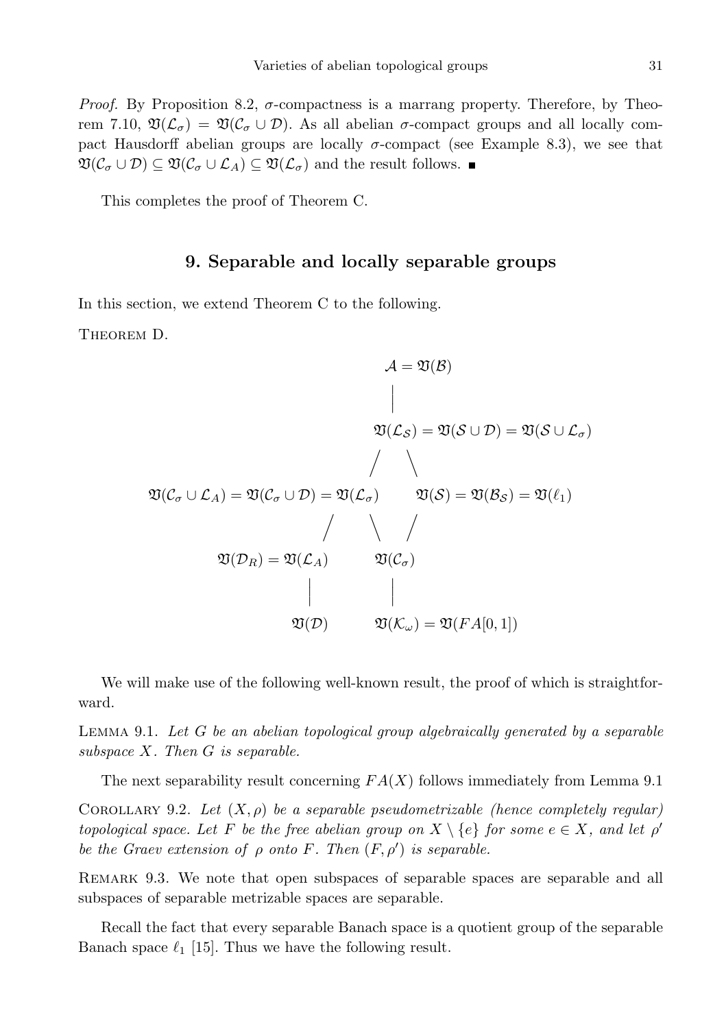*Proof.* By Proposition 8.2,  $\sigma$ -compactness is a marrang property. Therefore, by Theorem 7.10,  $\mathfrak{V}(\mathcal{L}_{\sigma}) = \mathfrak{V}(\mathcal{C}_{\sigma} \cup \mathcal{D})$ . As all abelian  $\sigma$ -compact groups and all locally compact Hausdorff abelian groups are locally  $\sigma$ -compact (see Example 8.3), we see that  $\mathfrak{V}(\mathcal{C}_{\sigma}\cup\mathcal{D})\subseteq \mathfrak{V}(\mathcal{C}_{\sigma}\cup\mathcal{L}_A)\subseteq \mathfrak{V}(\mathcal{L}_{\sigma})$  and the result follows.

This completes the proof of Theorem C.

# 9. Separable and locally separable groups

In this section, we extend Theorem C to the following.

THEOREM D.

 $\mathcal{A} = \mathfrak{V}(\mathcal{B})$  $\begin{array}{c} \end{array}$  $\mathbf{I}$  $\overline{\phantom{a}}$  $\mathfrak{V}(\mathcal{L}_\mathcal{S}) = \mathfrak{V}(\mathcal{S} \cup \mathcal{D}) = \mathfrak{V}(\mathcal{S} \cup \mathcal{L}_\sigma)$  $/$   $\sim$  $\mathfrak{V}(\mathcal{C}_{\sigma}\cup\mathcal{L}_A)=\mathfrak{V}(\mathcal{C}_{\sigma}\cup\mathcal{D})=\mathfrak{V}(\mathcal{L}_{\sigma}) \qquad \mathfrak{V}(\mathcal{S})=\mathfrak{V}(\mathcal{B}_{\mathcal{S}})=\mathfrak{V}(\ell_1)$  $/$   $/$   $/$  $\mathfrak{V}(\mathcal{D}_R) = \mathfrak{V}(\mathcal{L}_A) \hspace{1cm} \mathfrak{V}(\mathcal{C}_\sigma)$   $\mathfrak{V}(\mathcal{D})$   $\mathfrak{V}(\mathcal{K}_{\omega}) = \mathfrak{V}(FA[0,1])$ 

We will make use of the following well-known result, the proof of which is straightforward.

LEMMA 9.1. Let  $G$  be an abelian topological group algebraically generated by a separable subspace  $X$ . Then  $G$  is separable.

The next separability result concerning  $FA(X)$  follows immediately from Lemma 9.1

COROLLARY 9.2. Let  $(X, \rho)$  be a separable pseudometrizable (hence completely regular) topological space. Let F be the free abelian group on  $X \setminus \{e\}$  for some  $e \in X$ , and let  $\rho'$ be the Graev extension of  $\rho$  onto F. Then  $(F, \rho')$  is separable.

Remark 9.3. We note that open subspaces of separable spaces are separable and all subspaces of separable metrizable spaces are separable.

Recall the fact that every separable Banach space is a quotient group of the separable Banach space  $\ell_1$  [15]. Thus we have the following result.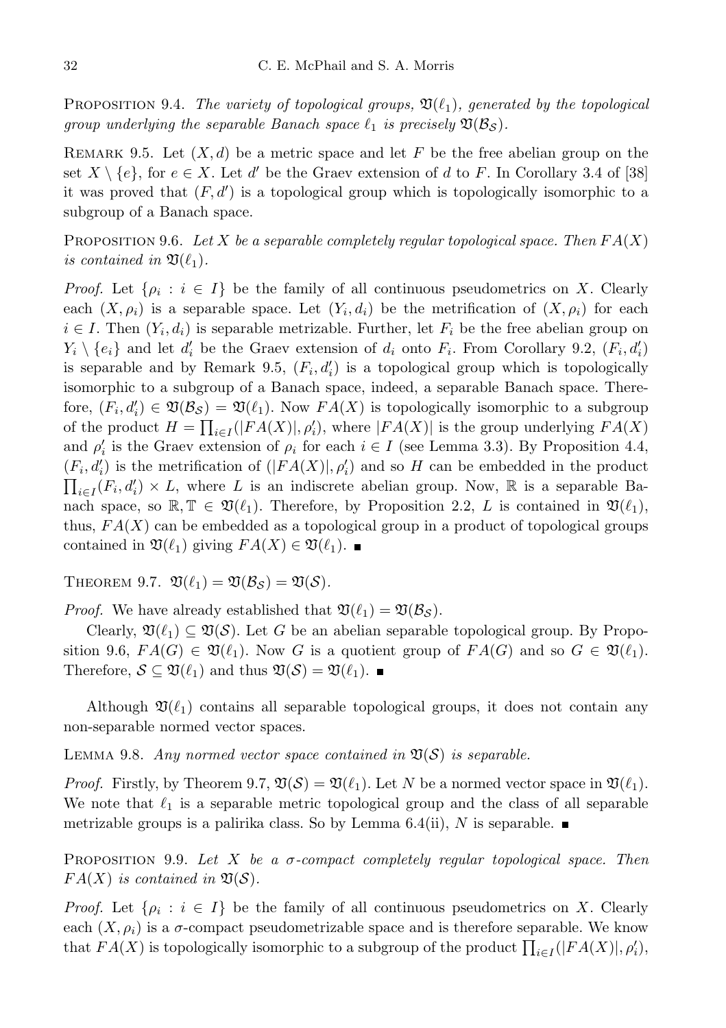PROPOSITION 9.4. The variety of topological groups,  $\mathfrak{V}(\ell_1)$ , generated by the topological group underlying the separable Banach space  $\ell_1$  is precisely  $\mathfrak{V}(\mathcal{B}_{\mathcal{S}})$ .

REMARK 9.5. Let  $(X, d)$  be a metric space and let F be the free abelian group on the set  $X \setminus \{e\}$ , for  $e \in X$ . Let d' be the Graev extension of d to F. In Corollary 3.4 of [38] it was proved that  $(F, d')$  is a topological group which is topologically isomorphic to a subgroup of a Banach space.

PROPOSITION 9.6. Let X be a separable completely regular topological space. Then  $FA(X)$ is contained in  $\mathfrak{V}(\ell_1)$ .

*Proof.* Let  $\{\rho_i : i \in I\}$  be the family of all continuous pseudometrics on X. Clearly each  $(X, \rho_i)$  is a separable space. Let  $(Y_i, d_i)$  be the metrification of  $(X, \rho_i)$  for each  $i \in I$ . Then  $(Y_i, d_i)$  is separable metrizable. Further, let  $F_i$  be the free abelian group on  $Y_i \setminus \{e_i\}$  and let  $d'_i$  be the Graev extension of  $d_i$  onto  $F_i$ . From Corollary 9.2,  $(F_i, d'_i)$ is separable and by Remark 9.5,  $(F_i, d'_i)$  is a topological group which is topologically isomorphic to a subgroup of a Banach space, indeed, a separable Banach space. Therefore,  $(F_i, d'_i) \in \mathfrak{V}(\mathcal{B}_{\mathcal{S}}) = \mathfrak{V}(\ell_1)$ . Now  $FA(X)$  is topologically isomorphic to a subgroup of the product  $H = \prod_{i \in I}(|FA(X)|, \rho'_i)$ , where  $|FA(X)|$  is the group underlying  $FA(X)$ and  $\rho'_i$  is the Graev extension of  $\rho_i$  for each  $i \in I$  (see Lemma 3.3). By Proposition 4.4,  $(F_i, d'_i)$  is the metrification of  $(|FA(X)|, \rho'_i)$  and so H can be embedded in the product  $\prod_{i\in I}(F_i,d_i')\times L$ , where L is an indiscrete abelian group. Now, R is a separable Banach space, so  $\mathbb{R}, \mathbb{T} \in \mathfrak{V}(\ell_1)$ . Therefore, by Proposition 2.2, L is contained in  $\mathfrak{V}(\ell_1)$ , thus,  $FA(X)$  can be embedded as a topological group in a product of topological groups contained in  $\mathfrak{V}(\ell_1)$  giving  $FA(X) \in \mathfrak{V}(\ell_1)$ .

THEOREM 9.7.  $\mathfrak{V}(\ell_1) = \mathfrak{V}(\mathcal{B}_{\mathcal{S}}) = \mathfrak{V}(\mathcal{S}).$ 

*Proof.* We have already established that  $\mathfrak{V}(\ell_1) = \mathfrak{V}(\mathcal{B}_{\mathcal{S}})$ .

Clearly,  $\mathfrak{V}(\ell_1) \subseteq \mathfrak{V}(S)$ . Let G be an abelian separable topological group. By Proposition 9.6,  $FA(G) \in \mathfrak{V}(\ell_1)$ . Now G is a quotient group of  $FA(G)$  and so  $G \in \mathfrak{V}(\ell_1)$ . Therefore,  $S \subseteq \mathfrak{V}(\ell_1)$  and thus  $\mathfrak{V}(S) = \mathfrak{V}(\ell_1)$ .

Although  $\mathfrak{V}(\ell_1)$  contains all separable topological groups, it does not contain any non-separable normed vector spaces.

LEMMA 9.8. Any normed vector space contained in  $\mathfrak{V}(\mathcal{S})$  is separable.

*Proof.* Firstly, by Theorem 9.7,  $\mathfrak{V}(\mathcal{S}) = \mathfrak{V}(\ell_1)$ . Let N be a normed vector space in  $\mathfrak{V}(\ell_1)$ . We note that  $\ell_1$  is a separable metric topological group and the class of all separable metrizable groups is a palirika class. So by Lemma 6.4(ii), N is separable.

PROPOSITION 9.9. Let X be a  $\sigma$ -compact completely regular topological space. Then  $FA(X)$  is contained in  $\mathfrak{V}(\mathcal{S})$ .

*Proof.* Let  $\{\rho_i : i \in I\}$  be the family of all continuous pseudometrics on X. Clearly each  $(X, \rho_i)$  is a  $\sigma$ -compact pseudometrizable space and is therefore separable. We know that  $FA(X)$  is topologically isomorphic to a subgroup of the product  $\prod_{i\in I}(|FA(X)|, \rho'_i)$ ,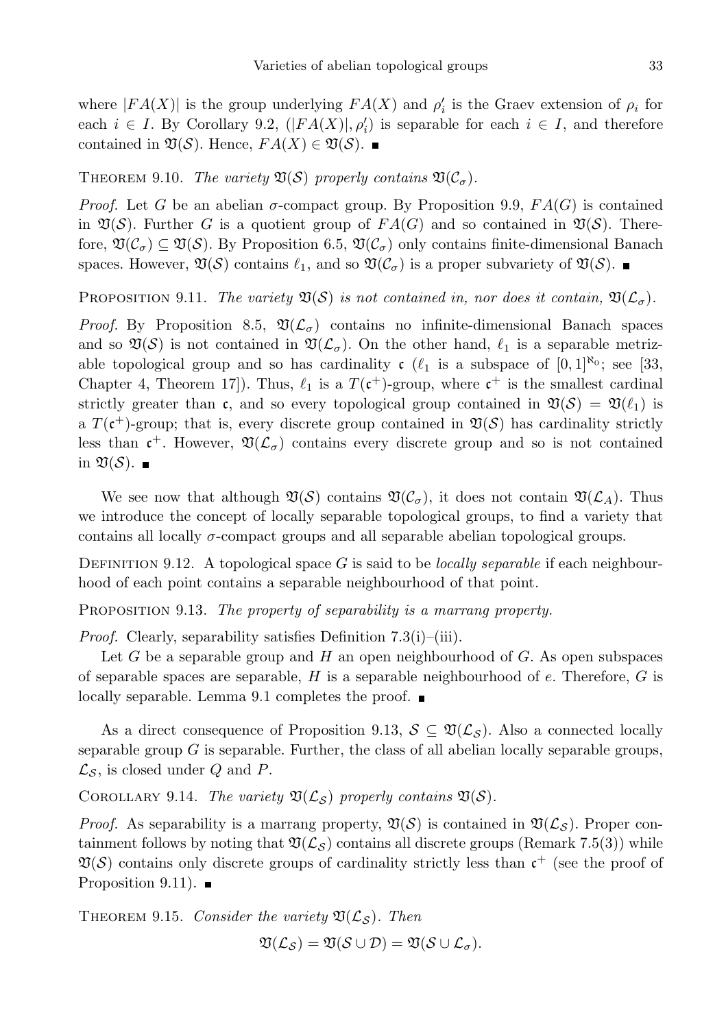where  $|FA(X)|$  is the group underlying  $FA(X)$  and  $\rho'_{i}$  is the Graev extension of  $\rho_{i}$  for each  $i \in I$ . By Corollary 9.2,  $(|FA(X)|, \rho'_i)$  is separable for each  $i \in I$ , and therefore contained in  $\mathfrak{V}(\mathcal{S})$ . Hence,  $FA(X) \in \mathfrak{V}(\mathcal{S})$ .

THEOREM 9.10. The variety  $\mathfrak{V}(\mathcal{S})$  properly contains  $\mathfrak{V}(\mathcal{C}_{\sigma})$ .

*Proof.* Let G be an abelian  $\sigma$ -compact group. By Proposition 9.9,  $FA(G)$  is contained in  $\mathfrak{V}(S)$ . Further G is a quotient group of  $FA(G)$  and so contained in  $\mathfrak{V}(S)$ . Therefore,  $\mathfrak{V}(\mathcal{C}_{\sigma}) \subseteq \mathfrak{V}(\mathcal{S})$ . By Proposition 6.5,  $\mathfrak{V}(\mathcal{C}_{\sigma})$  only contains finite-dimensional Banach spaces. However,  $\mathfrak{V}(\mathcal{S})$  contains  $\ell_1$ , and so  $\mathfrak{V}(\mathcal{C}_\sigma)$  is a proper subvariety of  $\mathfrak{V}(\mathcal{S})$ .

PROPOSITION 9.11. The variety  $\mathfrak{V}(S)$  is not contained in, nor does it contain,  $\mathfrak{V}(\mathcal{L}_{\sigma})$ .

*Proof.* By Proposition 8.5,  $\mathfrak{A}(\mathcal{L}_{\sigma})$  contains no infinite-dimensional Banach spaces and so  $\mathfrak{V}(\mathcal{S})$  is not contained in  $\mathfrak{V}(\mathcal{L}_{\sigma})$ . On the other hand,  $\ell_1$  is a separable metrizable topological group and so has cardinality  $c \ (\ell_1$  is a subspace of  $[0,1]^{\aleph_0}$ ; see [33, Chapter 4, Theorem 17]). Thus,  $\ell_1$  is a  $T(\mathfrak{c}^+)$ -group, where  $\mathfrak{c}^+$  is the smallest cardinal strictly greater than c, and so every topological group contained in  $\mathfrak{V}(\mathcal{S}) = \mathfrak{V}(\ell_1)$  is a  $T(\mathfrak{c}^+)$ -group; that is, every discrete group contained in  $\mathfrak{V}(\mathcal{S})$  has cardinality strictly less than  $\mathfrak{c}^+$ . However,  $\mathfrak{V}(\mathcal{L}_{\sigma})$  contains every discrete group and so is not contained in  $\mathfrak{V}(\mathcal{S})$ .

We see now that although  $\mathfrak{V}(\mathcal{S})$  contains  $\mathfrak{V}(\mathcal{C}_{\sigma})$ , it does not contain  $\mathfrak{V}(\mathcal{L}_A)$ . Thus we introduce the concept of locally separable topological groups, to find a variety that contains all locally  $\sigma$ -compact groups and all separable abelian topological groups.

DEFINITION 9.12. A topological space G is said to be *locally separable* if each neighbourhood of each point contains a separable neighbourhood of that point.

PROPOSITION 9.13. The property of separability is a marrang property.

Proof. Clearly, separability satisfies Definition 7.3(i)–(iii).

Let  $G$  be a separable group and  $H$  an open neighbourhood of  $G$ . As open subspaces of separable spaces are separable,  $H$  is a separable neighbourhood of  $e$ . Therefore,  $G$  is locally separable. Lemma 9.1 completes the proof.  $\blacksquare$ 

As a direct consequence of Proposition 9.13,  $S \subseteq \mathfrak{V}(\mathcal{L}_{\mathcal{S}})$ . Also a connected locally separable group  $G$  is separable. Further, the class of all abelian locally separable groups,  $\mathcal{L}_{\mathcal{S}}$ , is closed under Q and P.

COROLLARY 9.14. The variety  $\mathfrak{V}(\mathcal{L}_{\mathcal{S}})$  properly contains  $\mathfrak{V}(\mathcal{S})$ .

*Proof.* As separability is a marrang property,  $\mathfrak{V}(\mathcal{S})$  is contained in  $\mathfrak{V}(\mathcal{L}_{\mathcal{S}})$ . Proper containment follows by noting that  $\mathfrak{V}(\mathcal{L}_{\mathcal{S}})$  contains all discrete groups (Remark 7.5(3)) while  $\mathfrak{V}(\mathcal{S})$  contains only discrete groups of cardinality strictly less than  $\mathfrak{c}^+$  (see the proof of Proposition 9.11).  $\blacksquare$ 

THEOREM 9.15. Consider the variety  $\mathfrak{V}(\mathcal{L}_{\mathcal{S}})$ . Then

$$
\mathfrak{V}(\mathcal{L}_{\mathcal{S}})=\mathfrak{V}(\mathcal{S}\cup \mathcal{D})=\mathfrak{V}(\mathcal{S}\cup \mathcal{L}_{\sigma}).
$$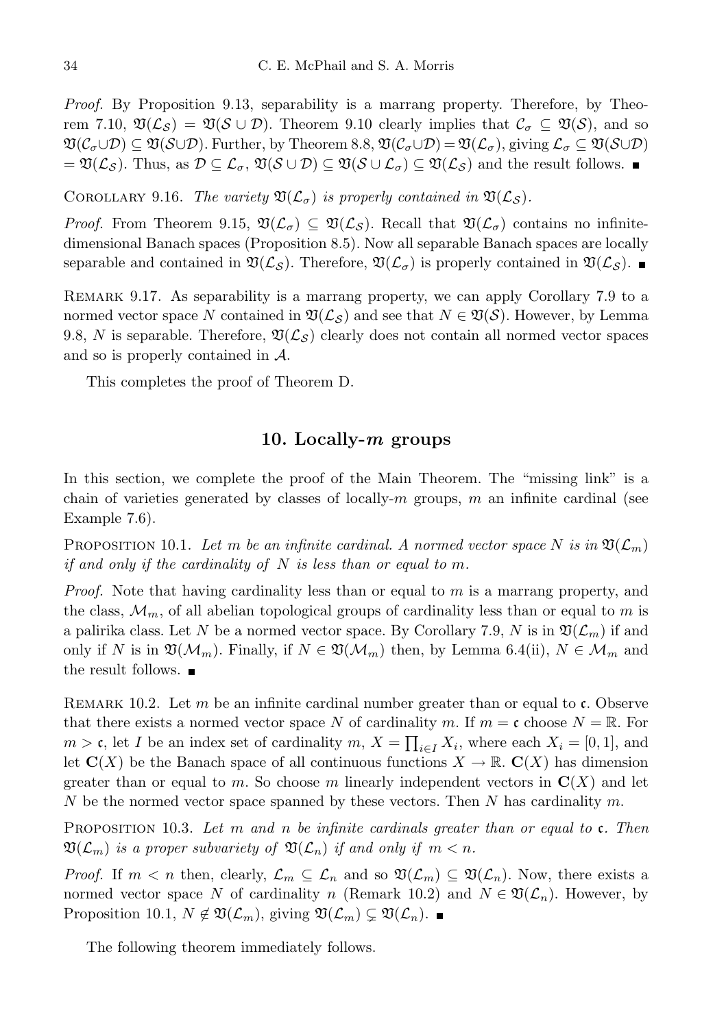Proof. By Proposition 9.13, separability is a marrang property. Therefore, by Theorem 7.10,  $\mathfrak{V}(\mathcal{L}_{\mathcal{S}}) = \mathfrak{V}(\mathcal{S} \cup \mathcal{D})$ . Theorem 9.10 clearly implies that  $\mathcal{C}_{\sigma} \subseteq \mathfrak{V}(\mathcal{S})$ , and so  $\mathfrak{V}(\mathcal{C}_{\sigma}\cup\mathcal{D})\subseteq \mathfrak{V}(\mathcal{S}\cup\mathcal{D})$ . Further, by Theorem 8.8,  $\mathfrak{V}(\mathcal{C}_{\sigma}\cup\mathcal{D})=\mathfrak{V}(\mathcal{L}_{\sigma})$ , giving  $\mathcal{L}_{\sigma}\subseteq \mathfrak{V}(\mathcal{S}\cup\mathcal{D})$  $=\mathfrak{V}(\mathcal{L}_\mathcal{S})$ . Thus, as  $\mathcal{D}\subseteq\mathcal{L}_\sigma, \mathfrak{V}(\mathcal{S}\cup\mathcal{D})\subseteq \mathfrak{V}(\mathcal{S}\cup\mathcal{L}_\sigma)\subseteq \mathfrak{V}(\mathcal{L}_\mathcal{S})$  and the result follows.

COROLLARY 9.16. The variety  $\mathfrak{V}(\mathcal{L}_{\sigma})$  is properly contained in  $\mathfrak{V}(\mathcal{L}_{\mathcal{S}})$ .

*Proof.* From Theorem 9.15,  $\mathfrak{V}(\mathcal{L}_{\sigma}) \subseteq \mathfrak{V}(\mathcal{L}_{\mathcal{S}})$ . Recall that  $\mathfrak{V}(\mathcal{L}_{\sigma})$  contains no infinitedimensional Banach spaces (Proposition 8.5). Now all separable Banach spaces are locally separable and contained in  $\mathfrak{V}(\mathcal{L}_{\mathcal{S}})$ . Therefore,  $\mathfrak{V}(\mathcal{L}_{\sigma})$  is properly contained in  $\mathfrak{V}(\mathcal{L}_{\mathcal{S}})$ .

Remark 9.17. As separability is a marrang property, we can apply Corollary 7.9 to a normed vector space N contained in  $\mathfrak{V}(\mathcal{L}_{\mathcal{S}})$  and see that  $N \in \mathfrak{V}(\mathcal{S})$ . However, by Lemma 9.8, N is separable. Therefore,  $\mathfrak{V}(\mathcal{L}_\mathcal{S})$  clearly does not contain all normed vector spaces and so is properly contained in A.

This completes the proof of Theorem D.

#### 10. Locally- $m$  groups

In this section, we complete the proof of the Main Theorem. The "missing link" is a chain of varieties generated by classes of locally- $m$  groups,  $m$  an infinite cardinal (see Example 7.6).

PROPOSITION 10.1. Let m be an infinite cardinal. A normed vector space N is in  $\mathfrak{V}(\mathcal{L}_m)$ if and only if the cardinality of  $N$  is less than or equal to m.

Proof. Note that having cardinality less than or equal to m is a marrang property, and the class,  $\mathcal{M}_m$ , of all abelian topological groups of cardinality less than or equal to m is a palirika class. Let N be a normed vector space. By Corollary 7.9, N is in  $\mathfrak{V}(\mathcal{L}_m)$  if and only if N is in  $\mathfrak{V}(\mathcal{M}_m)$ . Finally, if  $N \in \mathfrak{V}(\mathcal{M}_m)$  then, by Lemma 6.4(ii),  $N \in \mathcal{M}_m$  and the result follows.  $\blacksquare$ 

REMARK 10.2. Let m be an infinite cardinal number greater than or equal to  $\mathfrak{c}$ . Observe that there exists a normed vector space N of cardinality m. If  $m = \mathfrak{c}$  choose  $N = \mathbb{R}$ . For  $m > \mathfrak{c}$ , let I be an index set of cardinality  $m, X = \prod_{i \in I} X_i$ , where each  $X_i = [0, 1]$ , and let  $\mathbf{C}(X)$  be the Banach space of all continuous functions  $X \to \mathbb{R}$ .  $\mathbf{C}(X)$  has dimension greater than or equal to m. So choose m linearly independent vectors in  $\mathbf{C}(X)$  and let N be the normed vector space spanned by these vectors. Then N has cardinality  $m$ .

PROPOSITION 10.3. Let m and n be infinite cardinals greater than or equal to  $\mathfrak{c}$ . Then  $\mathfrak{V}(\mathcal{L}_m)$  is a proper subvariety of  $\mathfrak{V}(\mathcal{L}_n)$  if and only if  $m < n$ .

*Proof.* If  $m < n$  then, clearly,  $\mathcal{L}_m \subseteq \mathcal{L}_n$  and so  $\mathfrak{V}(\mathcal{L}_m) \subseteq \mathfrak{V}(\mathcal{L}_n)$ . Now, there exists a normed vector space N of cardinality n (Remark 10.2) and  $N \in \mathfrak{V}(\mathcal{L}_n)$ . However, by Proposition 10.1,  $N \notin \mathfrak{V}(\mathcal{L}_m)$ , giving  $\mathfrak{V}(\mathcal{L}_m) \subsetneq \mathfrak{V}(\mathcal{L}_n)$ . ■

The following theorem immediately follows.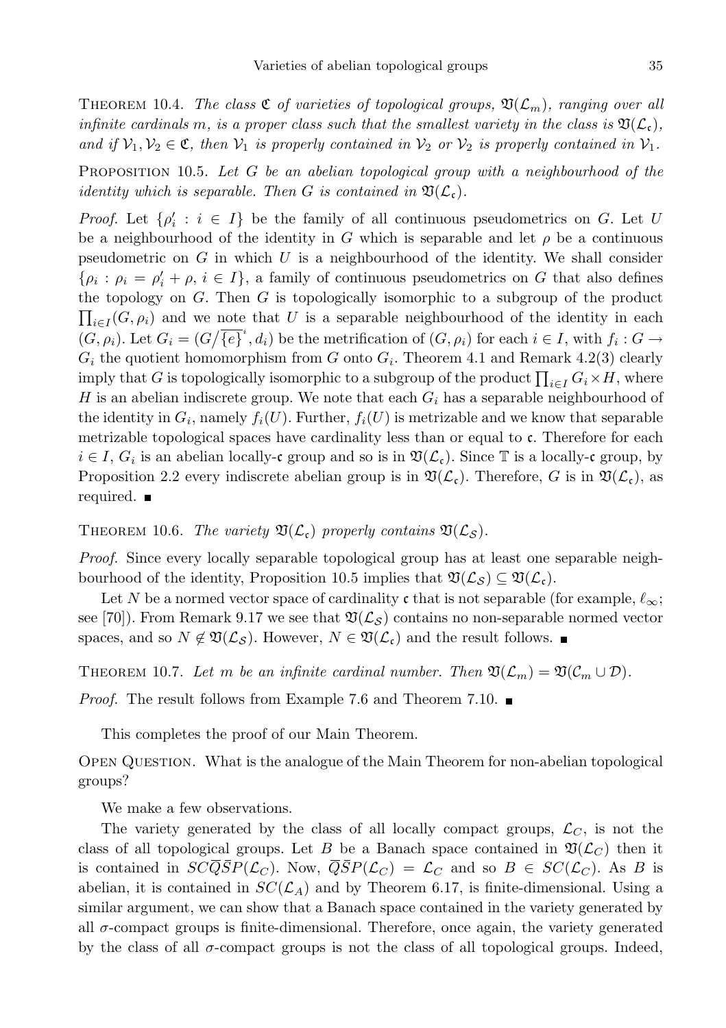THEOREM 10.4. The class  $\mathfrak{C}$  of varieties of topological groups,  $\mathfrak{V}(\mathcal{L}_m)$ , ranging over all infinite cardinals m, is a proper class such that the smallest variety in the class is  $\mathfrak{D}(\mathcal{L}_{c})$ , and if  $V_1, V_2 \in \mathfrak{C}$ , then  $V_1$  is properly contained in  $V_2$  or  $V_2$  is properly contained in  $V_1$ .

PROPOSITION 10.5. Let  $G$  be an abelian topological group with a neighbourhood of the identity which is separable. Then G is contained in  $\mathfrak{V}(\mathcal{L}_{c})$ .

*Proof.* Let  $\{\rho'_i : i \in I\}$  be the family of all continuous pseudometrics on G. Let U be a neighbourhood of the identity in G which is separable and let  $\rho$  be a continuous pseudometric on  $G$  in which  $U$  is a neighbourhood of the identity. We shall consider  $\{\rho_i : \rho_i = \rho'_i + \rho, i \in I\}$ , a family of continuous pseudometrics on G that also defines the topology on G. Then G is topologically isomorphic to a subgroup of the product  $\prod_{i\in I}(G, \rho_i)$  and we note that U is a separable neighbourhood of the identity in each  $(G, \rho_i)$ . Let  $G_i = (G/\overline{\{e\}}^i, d_i)$  be the metrification of  $(G, \rho_i)$  for each  $i \in I$ , with  $f_i : G \to$  $G_i$  the quotient homomorphism from G onto  $G_i$ . Theorem 4.1 and Remark 4.2(3) clearly imply that G is topologically isomorphic to a subgroup of the product  $\prod_{i\in I} G_i \times H$ , where H is an abelian indiscrete group. We note that each  $G_i$  has a separable neighbourhood of the identity in  $G_i$ , namely  $f_i(U)$ . Further,  $f_i(U)$  is metrizable and we know that separable metrizable topological spaces have cardinality less than or equal to c. Therefore for each  $i \in I$ ,  $G_i$  is an abelian locally-c group and so is in  $\mathfrak{V}(\mathcal{L}_{c})$ . Since  $\mathbb T$  is a locally-c group, by Proposition 2.2 every indiscrete abelian group is in  $\mathfrak{V}(\mathcal{L}_{c})$ . Therefore, G is in  $\mathfrak{V}(\mathcal{L}_{c})$ , as required.

THEOREM 10.6. The variety  $\mathfrak{V}(\mathcal{L}_{c})$  properly contains  $\mathfrak{V}(\mathcal{L}_{S})$ .

Proof. Since every locally separable topological group has at least one separable neighbourhood of the identity, Proposition 10.5 implies that  $\mathfrak{V}(\mathcal{L}_{\mathcal{S}}) \subseteq \mathfrak{V}(\mathcal{L}_{\mathfrak{c}})$ .

Let N be a normed vector space of cardinality c that is not separable (for example,  $\ell_{\infty}$ ; see [70]). From Remark 9.17 we see that  $\mathfrak{V}(\mathcal{L}_S)$  contains no non-separable normed vector spaces, and so  $N \notin \mathfrak{V}(\mathcal{L}_{\mathcal{S}})$ . However,  $N \in \mathfrak{V}(\mathcal{L}_{\mathfrak{c}})$  and the result follows.

THEOREM 10.7. Let m be an infinite cardinal number. Then  $\mathfrak{V}(\mathcal{L}_m) = \mathfrak{V}(\mathcal{C}_m \cup \mathcal{D})$ .

*Proof.* The result follows from Example 7.6 and Theorem 7.10.

This completes the proof of our Main Theorem.

Open Question. What is the analogue of the Main Theorem for non-abelian topological groups?

We make a few observations.

The variety generated by the class of all locally compact groups,  $\mathcal{L}_C$ , is not the class of all topological groups. Let B be a Banach space contained in  $\mathfrak{V}(\mathcal{L}_C)$  then it is contained in  $SC\overline{Q}SP(\mathcal{L}_C)$ . Now,  $\overline{Q}SP(\mathcal{L}_C) = \mathcal{L}_C$  and so  $B \in SC(\mathcal{L}_C)$ . As B is abelian, it is contained in  $SC(\mathcal{L}_A)$  and by Theorem 6.17, is finite-dimensional. Using a similar argument, we can show that a Banach space contained in the variety generated by all  $\sigma$ -compact groups is finite-dimensional. Therefore, once again, the variety generated by the class of all  $\sigma$ -compact groups is not the class of all topological groups. Indeed,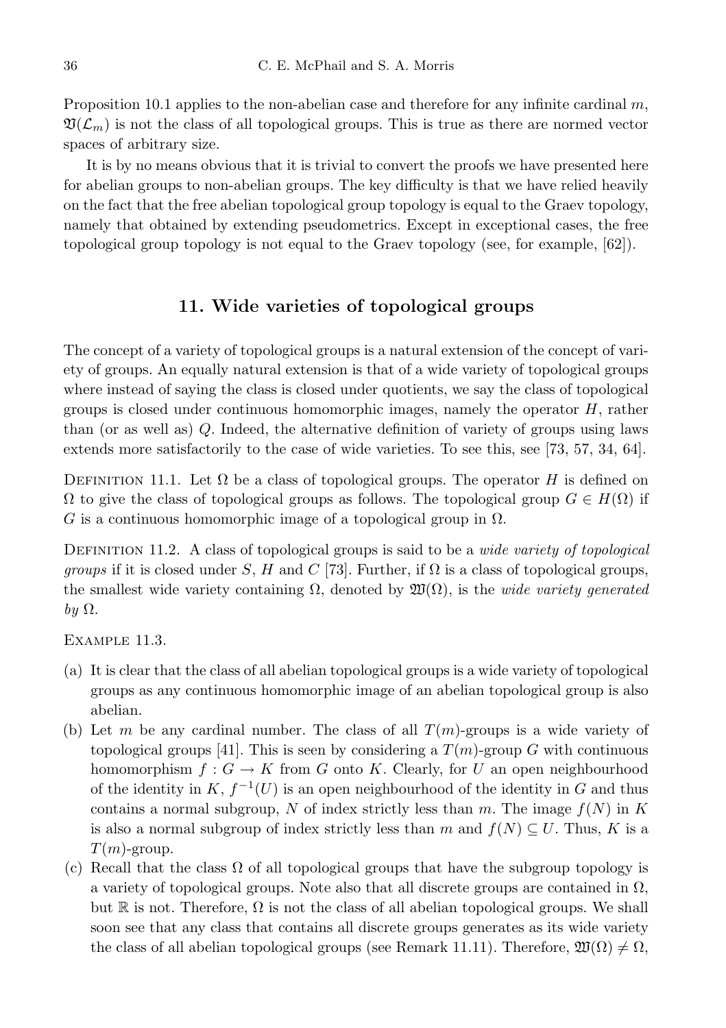Proposition 10.1 applies to the non-abelian case and therefore for any infinite cardinal  $m$ ,  $\mathfrak{V}(\mathcal{L}_m)$  is not the class of all topological groups. This is true as there are normed vector spaces of arbitrary size.

It is by no means obvious that it is trivial to convert the proofs we have presented here for abelian groups to non-abelian groups. The key difficulty is that we have relied heavily on the fact that the free abelian topological group topology is equal to the Graev topology, namely that obtained by extending pseudometrics. Except in exceptional cases, the free topological group topology is not equal to the Graev topology (see, for example, [62]).

# 11. Wide varieties of topological groups

The concept of a variety of topological groups is a natural extension of the concept of variety of groups. An equally natural extension is that of a wide variety of topological groups where instead of saying the class is closed under quotients, we say the class of topological groups is closed under continuous homomorphic images, namely the operator H, rather than (or as well as) Q. Indeed, the alternative definition of variety of groups using laws extends more satisfactorily to the case of wide varieties. To see this, see [73, 57, 34, 64].

DEFINITION 11.1. Let  $\Omega$  be a class of topological groups. The operator H is defined on  $\Omega$  to give the class of topological groups as follows. The topological group  $G \in H(\Omega)$  if G is a continuous homomorphic image of a topological group in  $\Omega$ .

DEFINITION 11.2. A class of topological groups is said to be a *wide variety of topological groups* if it is closed under S, H and C [73]. Further, if  $\Omega$  is a class of topological groups, the smallest wide variety containing  $\Omega$ , denoted by  $\mathfrak{W}(\Omega)$ , is the *wide variety generated* by  $\Omega$ .

Example 11.3.

- (a) It is clear that the class of all abelian topological groups is a wide variety of topological groups as any continuous homomorphic image of an abelian topological group is also abelian.
- (b) Let m be any cardinal number. The class of all  $T(m)$ -groups is a wide variety of topological groups [41]. This is seen by considering a  $T(m)$ -group G with continuous homomorphism  $f: G \to K$  from G onto K. Clearly, for U an open neighbourhood of the identity in  $K, f^{-1}(U)$  is an open neighbourhood of the identity in G and thus contains a normal subgroup, N of index strictly less than m. The image  $f(N)$  in K is also a normal subgroup of index strictly less than m and  $f(N) \subseteq U$ . Thus, K is a  $T(m)$ -group.
- (c) Recall that the class  $\Omega$  of all topological groups that have the subgroup topology is a variety of topological groups. Note also that all discrete groups are contained in  $\Omega$ , but R is not. Therefore,  $\Omega$  is not the class of all abelian topological groups. We shall soon see that any class that contains all discrete groups generates as its wide variety the class of all abelian topological groups (see Remark 11.11). Therefore,  $\mathfrak{W}(\Omega) \neq \Omega$ ,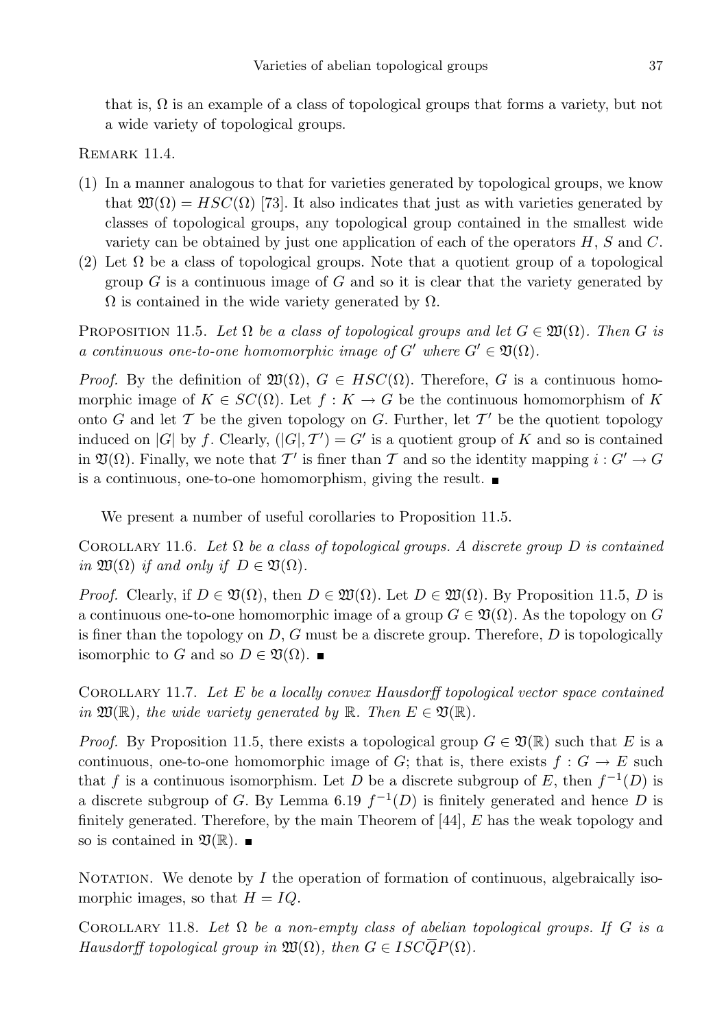that is,  $\Omega$  is an example of a class of topological groups that forms a variety, but not a wide variety of topological groups.

REMARK 11.4.

- (1) In a manner analogous to that for varieties generated by topological groups, we know that  $\mathfrak{W}(\Omega) = HSC(\Omega)$  [73]. It also indicates that just as with varieties generated by classes of topological groups, any topological group contained in the smallest wide variety can be obtained by just one application of each of the operators  $H$ ,  $S$  and  $C$ .
- (2) Let  $\Omega$  be a class of topological groups. Note that a quotient group of a topological group  $G$  is a continuous image of  $G$  and so it is clear that the variety generated by  $\Omega$  is contained in the wide variety generated by  $\Omega$ .

PROPOSITION 11.5. Let  $\Omega$  be a class of topological groups and let  $G \in \mathfrak{W}(\Omega)$ . Then G is a continuous one-to-one homomorphic image of  $G'$  where  $G' \in \mathfrak{V}(\Omega)$ .

*Proof.* By the definition of  $\mathfrak{W}(\Omega)$ ,  $G \in HSC(\Omega)$ . Therefore, G is a continuous homomorphic image of  $K \in SC(\Omega)$ . Let  $f: K \to G$  be the continuous homomorphism of K onto G and let T be the given topology on G. Further, let  $T'$  be the quotient topology induced on |G| by f. Clearly,  $(|G|, \mathcal{T}') = G'$  is a quotient group of K and so is contained in  $\mathfrak{V}(\Omega)$ . Finally, we note that  $\mathcal{T}'$  is finer than  $\mathcal T$  and so the identity mapping  $i: G' \to G$ is a continuous, one-to-one homomorphism, giving the result.

We present a number of useful corollaries to Proposition 11.5.

COROLLARY 11.6. Let  $\Omega$  be a class of topological groups. A discrete group D is contained in  $\mathfrak{W}(\Omega)$  if and only if  $D \in \mathfrak{V}(\Omega)$ .

*Proof.* Clearly, if  $D \in \mathfrak{V}(\Omega)$ , then  $D \in \mathfrak{W}(\Omega)$ . Let  $D \in \mathfrak{W}(\Omega)$ . By Proposition 11.5, D is a continuous one-to-one homomorphic image of a group  $G \in \mathfrak{V}(\Omega)$ . As the topology on G is finer than the topology on  $D$ ,  $G$  must be a discrete group. Therefore,  $D$  is topologically isomorphic to G and so  $D \in \mathfrak{V}(\Omega)$ . ■

COROLLARY 11.7. Let  $E$  be a locally convex Hausdorff topological vector space contained in  $\mathfrak{W}(\mathbb{R})$ , the wide variety generated by  $\mathbb{R}$ . Then  $E \in \mathfrak{V}(\mathbb{R})$ .

*Proof.* By Proposition 11.5, there exists a topological group  $G \in \mathfrak{V}(\mathbb{R})$  such that E is a continuous, one-to-one homomorphic image of G; that is, there exists  $f : G \to E$  such that f is a continuous isomorphism. Let D be a discrete subgroup of E, then  $f^{-1}(D)$  is a discrete subgroup of G. By Lemma 6.19  $f^{-1}(D)$  is finitely generated and hence D is finitely generated. Therefore, by the main Theorem of [44], E has the weak topology and so is contained in  $\mathfrak{V}(\mathbb{R})$ .

NOTATION. We denote by  $I$  the operation of formation of continuous, algebraically isomorphic images, so that  $H = IQ$ .

COROLLARY 11.8. Let  $\Omega$  be a non-empty class of abelian topological groups. If G is a Hausdorff topological group in  $\mathfrak{W}(\Omega)$ , then  $G \in ISC\overline{Q}P(\Omega)$ .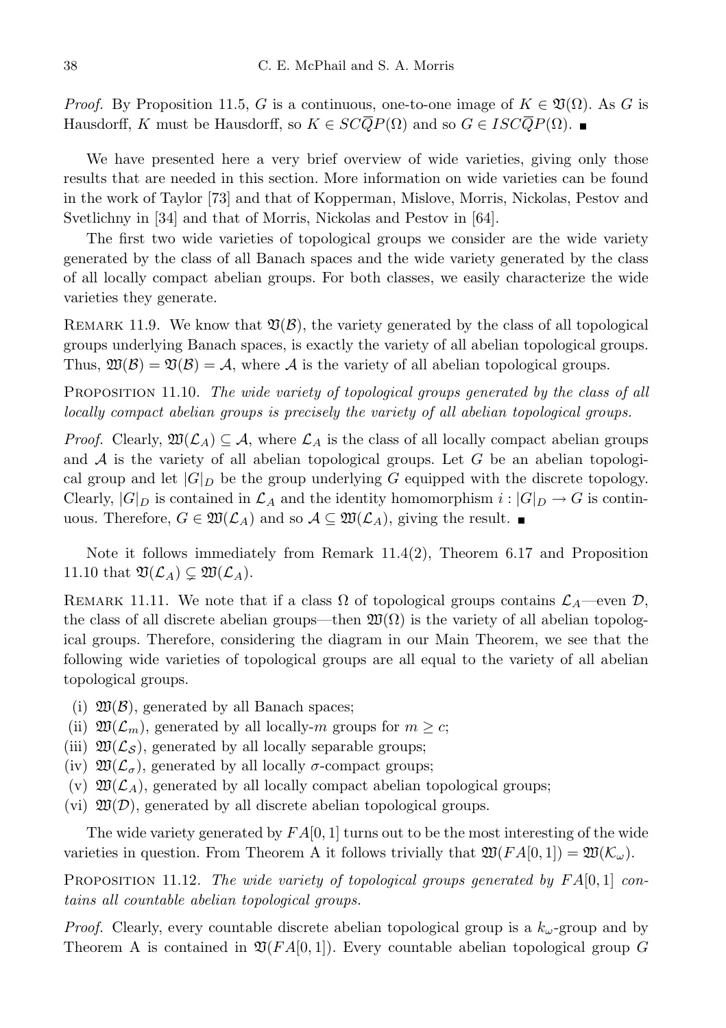*Proof.* By Proposition 11.5, G is a continuous, one-to-one image of  $K \in \mathfrak{V}(\Omega)$ . As G is Hausdorff, K must be Hausdorff, so  $K \in SC\overline{Q}P(\Omega)$  and so  $G \in ISC\overline{Q}P(\Omega)$ . ■

We have presented here a very brief overview of wide varieties, giving only those results that are needed in this section. More information on wide varieties can be found in the work of Taylor [73] and that of Kopperman, Mislove, Morris, Nickolas, Pestov and Svetlichny in [34] and that of Morris, Nickolas and Pestov in [64].

The first two wide varieties of topological groups we consider are the wide variety generated by the class of all Banach spaces and the wide variety generated by the class of all locally compact abelian groups. For both classes, we easily characterize the wide varieties they generate.

REMARK 11.9. We know that  $\mathfrak{V}(\mathcal{B})$ , the variety generated by the class of all topological groups underlying Banach spaces, is exactly the variety of all abelian topological groups. Thus,  $\mathfrak{W}(\mathcal{B}) = \mathfrak{V}(\mathcal{B}) = \mathcal{A}$ , where  $\mathcal{A}$  is the variety of all abelian topological groups.

PROPOSITION 11.10. The wide variety of topological groups generated by the class of all locally compact abelian groups is precisely the variety of all abelian topological groups.

*Proof.* Clearly,  $\mathfrak{W}(\mathcal{L}_A) \subseteq \mathcal{A}$ , where  $\mathcal{L}_A$  is the class of all locally compact abelian groups and  $A$  is the variety of all abelian topological groups. Let  $G$  be an abelian topological group and let  $|G|_D$  be the group underlying G equipped with the discrete topology. Clearly,  $|G|_D$  is contained in  $\mathcal{L}_A$  and the identity homomorphism  $i : |G|_D \to G$  is continuous. Therefore,  $G \in \mathfrak{W}(\mathcal{L}_A)$  and so  $\mathcal{A} \subseteq \mathfrak{W}(\mathcal{L}_A)$ , giving the result.

Note it follows immediately from Remark  $11.4(2)$ , Theorem 6.17 and Proposition 11.10 that  $\mathfrak{V}(\mathcal{L}_A) \subsetneq \mathfrak{W}(\mathcal{L}_A)$ .

REMARK 11.11. We note that if a class  $\Omega$  of topological groups contains  $\mathcal{L}_A$ —even  $\mathcal{D}$ , the class of all discrete abelian groups—then  $\mathfrak{W}(\Omega)$  is the variety of all abelian topological groups. Therefore, considering the diagram in our Main Theorem, we see that the following wide varieties of topological groups are all equal to the variety of all abelian topological groups.

- (i)  $\mathfrak{W}(\mathcal{B})$ , generated by all Banach spaces;
- (ii)  $\mathfrak{W}(\mathcal{L}_m)$ , generated by all locally-m groups for  $m \geq c$ ;
- (iii)  $\mathfrak{W}(\mathcal{L}_{\mathcal{S}})$ , generated by all locally separable groups;
- (iv)  $\mathfrak{W}(\mathcal{L}_{\sigma})$ , generated by all locally  $\sigma$ -compact groups;
- (v)  $\mathfrak{W}(\mathcal{L}_A)$ , generated by all locally compact abelian topological groups;
- (vi)  $\mathfrak{W}(\mathcal{D})$ , generated by all discrete abelian topological groups.

The wide variety generated by  $FA[0, 1]$  turns out to be the most interesting of the wide varieties in question. From Theorem A it follows trivially that  $\mathfrak{W}(FA[0,1]) = \mathfrak{W}(\mathcal{K}_{\omega}).$ 

PROPOSITION 11.12. The wide variety of topological groups generated by  $FA[0,1]$  contains all countable abelian topological groups.

*Proof.* Clearly, every countable discrete abelian topological group is a  $k_{\omega}$ -group and by Theorem A is contained in  $\mathfrak{V}(FA[0,1])$ . Every countable abelian topological group G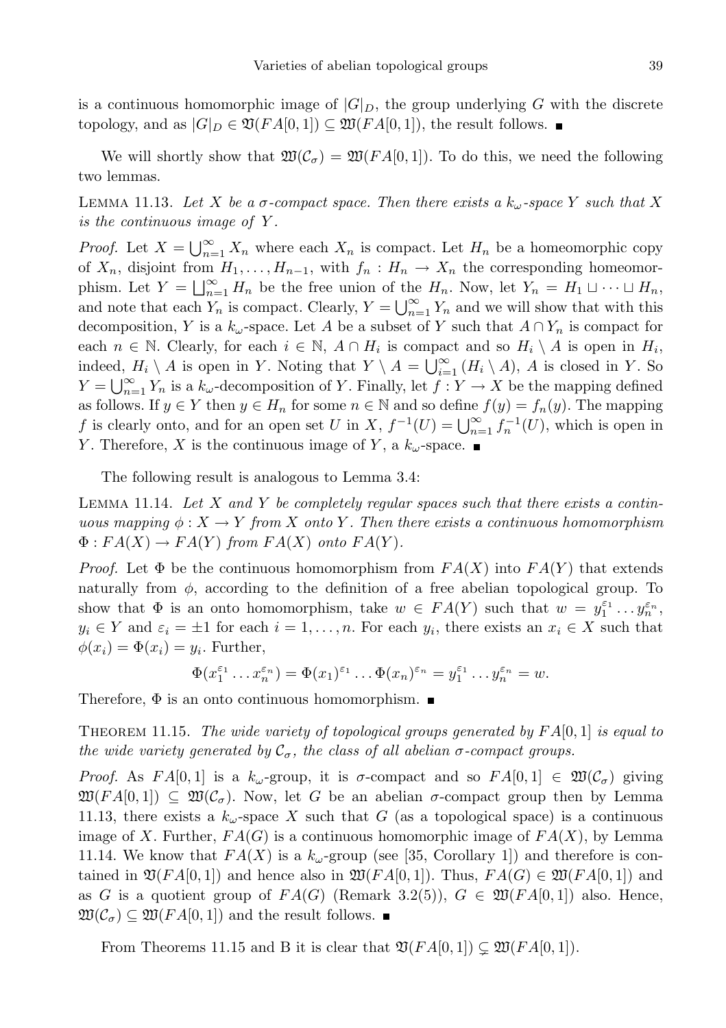is a continuous homomorphic image of  $|G|_D$ , the group underlying G with the discrete topology, and as  $|G|_D \in \mathfrak{V}(FA[0,1]) \subseteq \mathfrak{W}(FA[0,1])$ , the result follows. ■

We will shortly show that  $\mathfrak{W}(\mathcal{C}_{\sigma}) = \mathfrak{W}(FA[0,1])$ . To do this, we need the following two lemmas.

LEMMA 11.13. Let X be a  $\sigma$ -compact space. Then there exists a  $k_{\omega}$ -space Y such that X is the continuous image of Y .

*Proof.* Let  $X = \bigcup_{n=1}^{\infty} X_n$  where each  $X_n$  is compact. Let  $H_n$  be a homeomorphic copy of  $X_n$ , disjoint from  $H_1, \ldots, H_{n-1}$ , with  $f_n : H_n \to X_n$  the corresponding homeomorphism. Let  $Y = \bigsqcup_{n=1}^{\infty} H_n$  be the free union of the  $H_n$ . Now, let  $Y_n = H_1 \sqcup \cdots \sqcup H_n$ , and note that each  $Y_n$  is compact. Clearly,  $Y = \bigcup_{n=1}^{\infty} Y_n$  and we will show that with this decomposition, Y is a  $k_{\omega}$ -space. Let A be a subset of Y such that  $A \cap Y_n$  is compact for each  $n \in \mathbb{N}$ . Clearly, for each  $i \in \mathbb{N}$ ,  $A \cap H_i$  is compact and so  $H_i \setminus A$  is open in  $H_i$ , indeed,  $H_i \setminus A$  is open in Y. Noting that  $Y \setminus A = \bigcup_{i=1}^{\infty} (H_i \setminus A)$ , A is closed in Y. So  $Y = \bigcup_{n=1}^{\infty} Y_n$  is a  $k_{\omega}$ -decomposition of Y. Finally, let  $f: Y \to X$  be the mapping defined as follows. If  $y \in Y$  then  $y \in H_n$  for some  $n \in \mathbb{N}$  and so define  $f(y) = f_n(y)$ . The mapping f is clearly onto, and for an open set U in X,  $f^{-1}(U) = \bigcup_{n=1}^{\infty} f_n^{-1}(U)$ , which is open in Y. Therefore, X is the continuous image of Y, a  $k_{\omega}$ -space.

The following result is analogous to Lemma 3.4:

LEMMA 11.14. Let  $X$  and  $Y$  be completely regular spaces such that there exists a continuous mapping  $\phi: X \to Y$  from X onto Y. Then there exists a continuous homomorphism  $\Phi:FA(X)\to FA(Y)$  from  $FA(X)$  onto  $FA(Y)$ .

*Proof.* Let  $\Phi$  be the continuous homomorphism from  $FA(X)$  into  $FA(Y)$  that extends naturally from  $\phi$ , according to the definition of a free abelian topological group. To show that  $\Phi$  is an onto homomorphism, take  $w \in FA(Y)$  such that  $w = y_1^{\varepsilon_1} \dots y_n^{\varepsilon_n}$ ,  $y_i \in Y$  and  $\varepsilon_i = \pm 1$  for each  $i = 1, \ldots, n$ . For each  $y_i$ , there exists an  $x_i \in X$  such that  $\phi(x_i) = \Phi(x_i) = y_i$ . Further,

$$
\Phi(x_1^{\varepsilon_1} \dots x_n^{\varepsilon_n}) = \Phi(x_1)^{\varepsilon_1} \dots \Phi(x_n)^{\varepsilon_n} = y_1^{\varepsilon_1} \dots y_n^{\varepsilon_n} = w.
$$

Therefore,  $\Phi$  is an onto continuous homomorphism.  $\blacksquare$ 

THEOREM 11.15. The wide variety of topological groups generated by  $FA[0,1]$  is equal to the wide variety generated by  $C_{\sigma}$ , the class of all abelian  $\sigma$ -compact groups.

Proof. As  $FA[0,1]$  is a  $k_{\omega}$ -group, it is  $\sigma$ -compact and so  $FA[0,1] \in \mathfrak{W}(\mathcal{C}_{\sigma})$  giving  $\mathfrak{W}(FA[0,1]) \subseteq \mathfrak{W}(\mathcal{C}_{\sigma}).$  Now, let G be an abelian  $\sigma$ -compact group then by Lemma 11.13, there exists a  $k_{\omega}$ -space X such that G (as a topological space) is a continuous image of X. Further,  $FA(G)$  is a continuous homomorphic image of  $FA(X)$ , by Lemma 11.14. We know that  $FA(X)$  is a  $k_{\omega}$ -group (see [35, Corollary 1]) and therefore is contained in  $\mathfrak{V}(FA[0,1])$  and hence also in  $\mathfrak{W}(FA[0,1])$ . Thus,  $FA(G) \in \mathfrak{W}(FA[0,1])$  and as G is a quotient group of  $FA(G)$  (Remark 3.2(5)),  $G \in \mathfrak{W}(FA[0,1])$  also. Hence,  $\mathfrak{W}(\mathcal{C}_{\sigma}) \subseteq \mathfrak{W}(FA[0,1])$  and the result follows.  $\blacksquare$ 

From Theorems 11.15 and B it is clear that  $\mathfrak{V}(FA[0,1]) \subset \mathfrak{W}(FA[0,1])$ .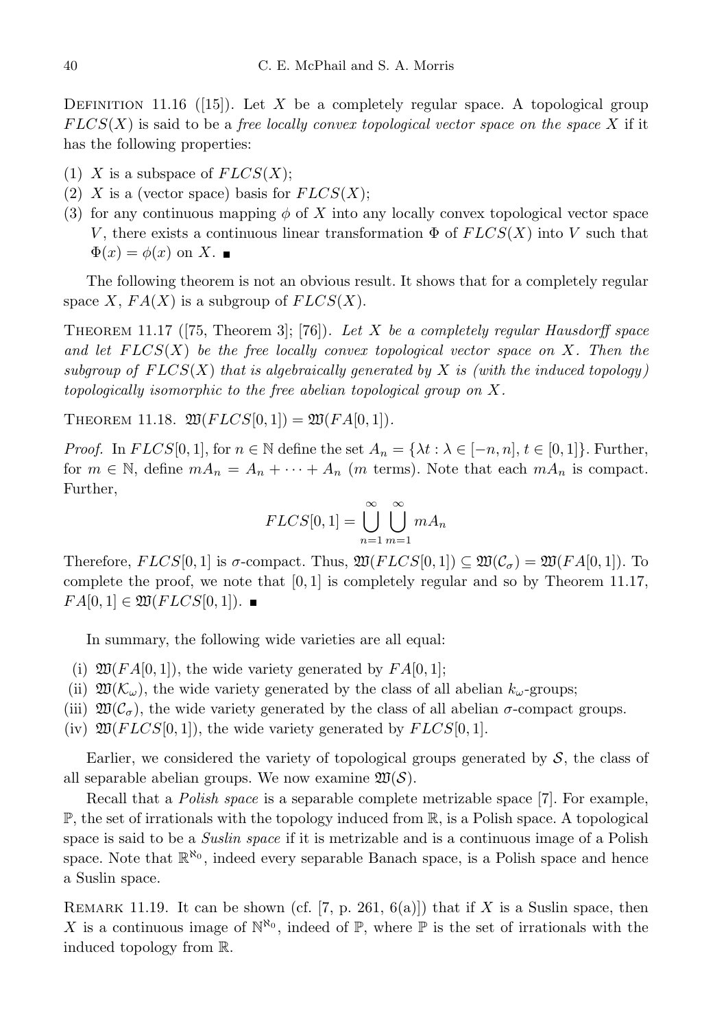DEFINITION 11.16 ([15]). Let X be a completely regular space. A topological group  $FLCS(X)$  is said to be a free locally convex topological vector space on the space X if it has the following properties:

- (1) X is a subspace of  $FLCS(X);$
- (2) X is a (vector space) basis for  $FLCS(X);$
- (3) for any continuous mapping  $\phi$  of X into any locally convex topological vector space V, there exists a continuous linear transformation  $\Phi$  of  $F LCS(X)$  into V such that  $\Phi(x) = \phi(x)$  on X.

The following theorem is not an obvious result. It shows that for a completely regular space X,  $FA(X)$  is a subgroup of  $FLCS(X)$ .

THEOREM 11.17 ([75, Theorem 3]; [76]). Let X be a completely regular Hausdorff space and let  $FLCS(X)$  be the free locally convex topological vector space on X. Then the subgroup of  $FLCS(X)$  that is algebraically generated by X is (with the induced topology) topologically isomorphic to the free abelian topological group on X.

THEOREM 11.18.  $\mathfrak{W}(FLCS[0,1]) = \mathfrak{W}(FA[0,1]).$ 

*Proof.* In  $FLCS[0, 1]$ , for  $n \in \mathbb{N}$  define the set  $A_n = {\lambda t : \lambda \in [-n, n], t \in [0, 1]}$ . Further, for  $m \in \mathbb{N}$ , define  $m A_n = A_n + \cdots + A_n$  (*m* terms). Note that each  $m A_n$  is compact. Further,

$$
FLCS[0,1] = \bigcup_{n=1}^{\infty} \bigcup_{m=1}^{\infty} mA_n
$$

Therefore,  $FLCS[0, 1]$  is  $\sigma$ -compact. Thus,  $\mathfrak{W}(FLCS[0, 1]) \subseteq \mathfrak{W}(\mathcal{C}_{\sigma}) = \mathfrak{W}(FA[0, 1])$ . To complete the proof, we note that  $[0, 1]$  is completely regular and so by Theorem 11.17,  $FA[0,1] \in \mathfrak{W}(FLCS[0,1])$ .

In summary, the following wide varieties are all equal:

- (i)  $\mathfrak{W}(FA[0,1])$ , the wide variety generated by  $FA[0,1]$ ;
- (ii)  $\mathfrak{W}(\mathcal{K}_{\omega})$ , the wide variety generated by the class of all abelian  $k_{\omega}$ -groups;
- (iii)  $\mathfrak{W}(\mathcal{C}_{\sigma})$ , the wide variety generated by the class of all abelian  $\sigma$ -compact groups.
- (iv)  $\mathfrak{W}(FLCS[0,1]),$  the wide variety generated by  $FLCS[0,1].$

Earlier, we considered the variety of topological groups generated by  $S$ , the class of all separable abelian groups. We now examine  $\mathfrak{W}(\mathcal{S})$ .

Recall that a Polish space is a separable complete metrizable space [7]. For example,  $\mathbb{P}$ , the set of irrationals with the topology induced from  $\mathbb{R}$ , is a Polish space. A topological space is said to be a *Suslin space* if it is metrizable and is a continuous image of a Polish space. Note that  $\mathbb{R}^{\aleph_0}$ , indeed every separable Banach space, is a Polish space and hence a Suslin space.

REMARK 11.19. It can be shown (cf. [7, p. 261, 6(a)]) that if X is a Suslin space, then X is a continuous image of  $\mathbb{N}^{\aleph_0}$ , indeed of  $\mathbb{P}$ , where  $\mathbb{P}$  is the set of irrationals with the induced topology from R.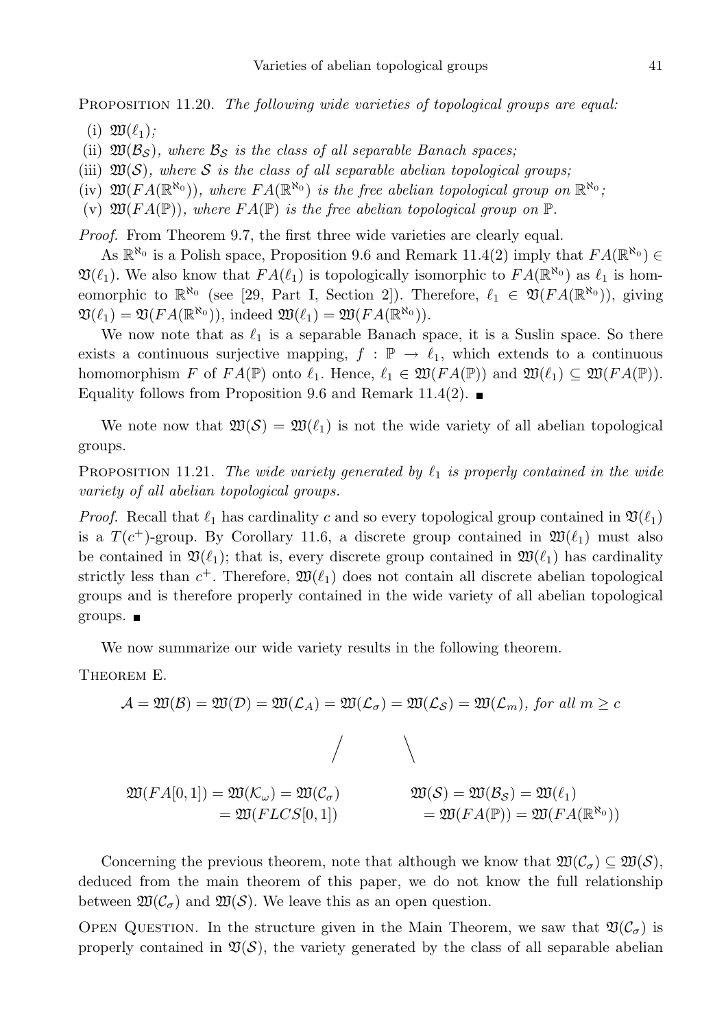PROPOSITION 11.20. The following wide varieties of topological groups are equal:

(i)  $\mathfrak{W}(\ell_1)$ ;

(ii)  $\mathfrak{W}(\mathcal{B}_S)$ , where  $\mathcal{B}_S$  is the class of all separable Banach spaces;

(iii)  $\mathfrak{W}(\mathcal{S})$ , where S is the class of all separable abelian topological groups;

(iv)  $\mathfrak{W}(FA(\mathbb{R}^{\aleph_0}))$ , where  $FA(\mathbb{R}^{\aleph_0})$  is the free abelian topological group on  $\mathbb{R}^{\aleph_0}$ ;

(v)  $\mathfrak{W}(FA(\mathbb{P}))$ , where  $FA(\mathbb{P})$  is the free abelian topological group on  $\mathbb{P}$ .

Proof. From Theorem 9.7, the first three wide varieties are clearly equal.

As  $\mathbb{R}^{\aleph_0}$  is a Polish space, Proposition 9.6 and Remark 11.4(2) imply that  $FA(\mathbb{R}^{\aleph_0}) \in$  $\mathfrak{V}(\ell_1)$ . We also know that  $FA(\ell_1)$  is topologically isomorphic to  $FA(\mathbb{R}^{\aleph_0})$  as  $\ell_1$  is homeomorphic to  $\mathbb{R}^{\aleph_0}$  (see [29, Part I, Section 2]). Therefore,  $\ell_1 \in \mathfrak{V}(FA(\mathbb{R}^{\aleph_0}))$ , giving  $\mathfrak{V}(\ell_1) = \mathfrak{V}(FA(\mathbb{R}^{\aleph_0})), \text{ indeed } \mathfrak{W}(\ell_1) = \mathfrak{W}(FA(\mathbb{R}^{\aleph_0})).$ 

We now note that as  $\ell_1$  is a separable Banach space, it is a Suslin space. So there exists a continuous surjective mapping,  $f : \mathbb{P} \to \ell_1$ , which extends to a continuous homomorphism F of  $FA(\mathbb{P})$  onto  $\ell_1$ . Hence,  $\ell_1 \in \mathfrak{W}(FA(\mathbb{P}))$  and  $\mathfrak{W}(\ell_1) \subseteq \mathfrak{W}(FA(\mathbb{P}))$ . Equality follows from Proposition 9.6 and Remark 11.4(2).  $\blacksquare$ 

We note now that  $\mathfrak{W}(\mathcal{S}) = \mathfrak{W}(\ell_1)$  is not the wide variety of all abelian topological groups.

PROPOSITION 11.21. The wide variety generated by  $\ell_1$  is properly contained in the wide variety of all abelian topological groups.

*Proof.* Recall that  $\ell_1$  has cardinality c and so every topological group contained in  $\mathfrak{V}(\ell_1)$ is a  $T(c^+)$ -group. By Corollary 11.6, a discrete group contained in  $\mathfrak{W}(\ell_1)$  must also be contained in  $\mathfrak{V}(\ell_1)$ ; that is, every discrete group contained in  $\mathfrak{W}(\ell_1)$  has cardinality strictly less than  $c^+$ . Therefore,  $\mathfrak{W}(\ell_1)$  does not contain all discrete abelian topological groups and is therefore properly contained in the wide variety of all abelian topological groups.  $\blacksquare$ 

We now summarize our wide variety results in the following theorem.

Theorem E.

$$
\mathcal{A} = \mathfrak{W}(\mathcal{B}) = \mathfrak{W}(\mathcal{D}) = \mathfrak{W}(\mathcal{L}_A) = \mathfrak{W}(\mathcal{L}_\sigma) = \mathfrak{W}(\mathcal{L}_S) = \mathfrak{W}(\mathcal{L}_m), \text{ for all } m \ge c
$$
\n
$$
\mathfrak{W}(FA[0,1]) = \mathfrak{W}(\mathcal{K}_\omega) = \mathfrak{W}(\mathcal{C}_\sigma)
$$
\n
$$
= \mathfrak{W}(FLCS[0,1]) \qquad \mathfrak{W}(S) = \mathfrak{W}(Bs) = \mathfrak{W}(\ell_1)
$$
\n
$$
= \mathfrak{W}(FLCS[0,1]) \qquad \mathfrak{W}(FA(\mathbb{P})) = \mathfrak{W}(FA(\mathbb{R}^{\aleph_0}))
$$

Concerning the previous theorem, note that although we know that  $\mathfrak{W}(\mathcal{C}_{\sigma}) \subseteq \mathfrak{W}(S)$ , deduced from the main theorem of this paper, we do not know the full relationship between  $\mathfrak{W}(\mathcal{C}_{\sigma})$  and  $\mathfrak{W}(\mathcal{S})$ . We leave this as an open question.

OPEN QUESTION. In the structure given in the Main Theorem, we saw that  $\mathfrak{V}(\mathcal{C}_{\sigma})$  is properly contained in  $\mathfrak{V}(S)$ , the variety generated by the class of all separable abelian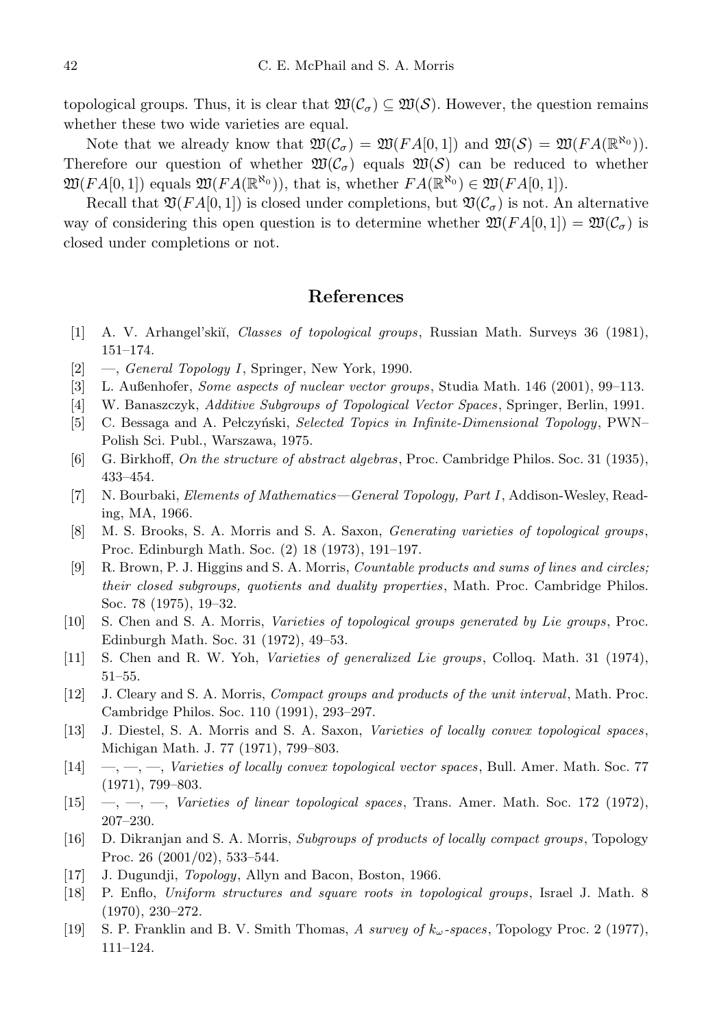topological groups. Thus, it is clear that  $\mathfrak{W}(\mathcal{C}_{\sigma}) \subseteq \mathfrak{W}(\mathcal{S})$ . However, the question remains whether these two wide varieties are equal.

Note that we already know that  $\mathfrak{W}(\mathcal{C}_{\sigma}) = \mathfrak{W}(FA[0,1])$  and  $\mathfrak{W}(S) = \mathfrak{W}(FA(\mathbb{R}^{\aleph_0}))$ . Therefore our question of whether  $\mathfrak{W}(\mathcal{C}_{\sigma})$  equals  $\mathfrak{W}(\mathcal{S})$  can be reduced to whether  $\mathfrak{W}(FA[0,1])$  equals  $\mathfrak{W}(FA(\mathbb{R}^{\aleph_0}))$ , that is, whether  $FA(\mathbb{R}^{\aleph_0}) \in \mathfrak{W}(FA[0,1])$ .

Recall that  $\mathfrak{V}(FA[0,1])$  is closed under completions, but  $\mathfrak{V}(\mathcal{C}_{\sigma})$  is not. An alternative way of considering this open question is to determine whether  $\mathfrak{W}(FA[0,1]) = \mathfrak{W}(C_{\sigma})$  is closed under completions or not.

### References

- [1] A. V. Arhangel'skiĭ, *Classes of topological groups*, Russian Math. Surveys 36 (1981), 151–174.
- [2] —, General Topology I, Springer, New York, 1990.
- [3] L. Außenhofer, Some aspects of nuclear vector groups, Studia Math. 146 (2001), 99–113.
- [4] W. Banaszczyk, Additive Subgroups of Topological Vector Spaces, Springer, Berlin, 1991.
- [5] C. Bessaga and A. Pełczyński, Selected Topics in Infinite-Dimensional Topology, PWN– Polish Sci. Publ., Warszawa, 1975.
- [6] G. Birkhoff, On the structure of abstract algebras, Proc. Cambridge Philos. Soc. 31 (1935), 433–454.
- [7] N. Bourbaki, Elements of Mathematics—General Topology, Part I, Addison-Wesley, Reading, MA, 1966.
- [8] M. S. Brooks, S. A. Morris and S. A. Saxon, Generating varieties of topological groups, Proc. Edinburgh Math. Soc. (2) 18 (1973), 191–197.
- [9] R. Brown, P. J. Higgins and S. A. Morris, Countable products and sums of lines and circles; their closed subgroups, quotients and duality properties, Math. Proc. Cambridge Philos. Soc. 78 (1975), 19–32.
- [10] S. Chen and S. A. Morris, *Varieties of topological groups generated by Lie groups*, Proc. Edinburgh Math. Soc. 31 (1972), 49–53.
- [11] S. Chen and R. W. Yoh, Varieties of generalized Lie groups, Colloq. Math. 31 (1974), 51–55.
- [12] J. Cleary and S. A. Morris, Compact groups and products of the unit interval, Math. Proc. Cambridge Philos. Soc. 110 (1991), 293–297.
- [13] J. Diestel, S. A. Morris and S. A. Saxon, Varieties of locally convex topological spaces, Michigan Math. J. 77 (1971), 799–803.
- $[14] \quad , \quad -$ ,  $-$ ,  $\quad$ , Varieties of locally convex topological vector spaces, Bull. Amer. Math. Soc. 77 (1971), 799–803.
- [15]  $\rightarrow$ ,  $\rightarrow$ ,  $\rightarrow$ , Varieties of linear topological spaces, Trans. Amer. Math. Soc. 172 (1972), 207–230.
- [16] D. Dikranjan and S. A. Morris, Subgroups of products of locally compact groups, Topology Proc. 26 (2001/02), 533–544.
- [17] J. Dugundji, Topology, Allyn and Bacon, Boston, 1966.
- [18] P. Enflo, Uniform structures and square roots in topological groups, Israel J. Math. 8 (1970), 230–272.
- [19] S. P. Franklin and B. V. Smith Thomas, A survey of  $k_{\omega}$ -spaces, Topology Proc. 2 (1977), 111–124.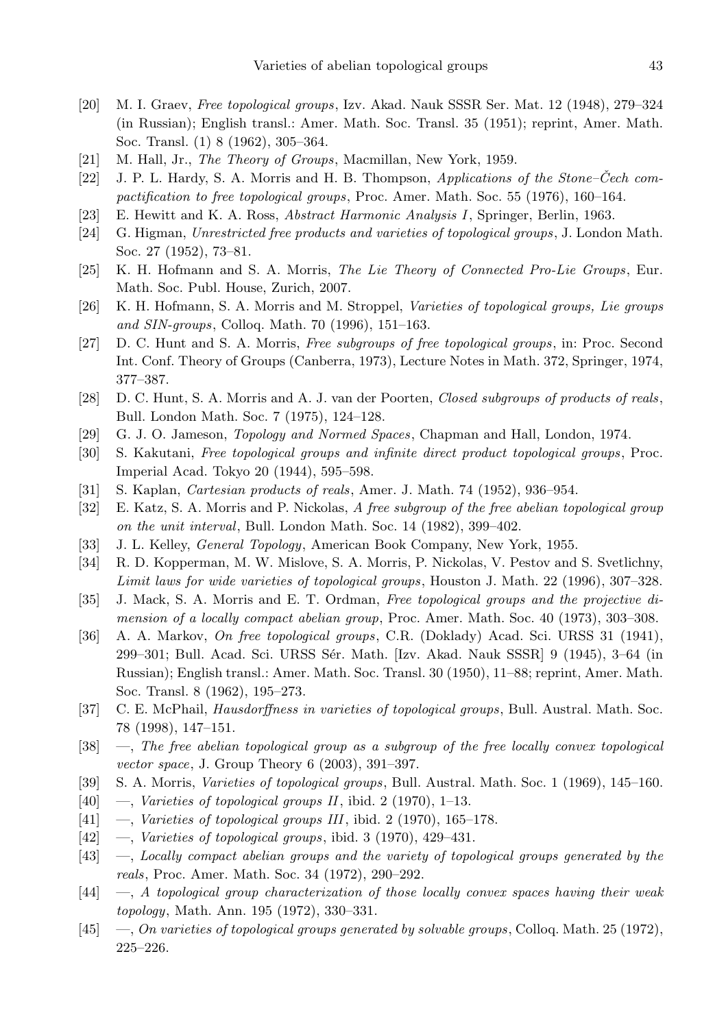- [20] M. I. Graev, Free topological groups, Izv. Akad. Nauk SSSR Ser. Mat. 12 (1948), 279–324 (in Russian); English transl.: Amer. Math. Soc. Transl. 35 (1951); reprint, Amer. Math. Soc. Transl. (1) 8 (1962), 305–364.
- [21] M. Hall, Jr., *The Theory of Groups*, Macmillan, New York, 1959.
- [22] J. P. L. Hardy, S. A. Morris and H. B. Thompson, Applications of the Stone–Cech compactification to free topological groups, Proc. Amer. Math. Soc. 55 (1976), 160–164.
- [23] E. Hewitt and K. A. Ross, Abstract Harmonic Analysis I, Springer, Berlin, 1963.
- [24] G. Higman, Unrestricted free products and varieties of topological groups, J. London Math. Soc. 27 (1952), 73–81.
- [25] K. H. Hofmann and S. A. Morris, The Lie Theory of Connected Pro-Lie Groups, Eur. Math. Soc. Publ. House, Zurich, 2007.
- [26] K. H. Hofmann, S. A. Morris and M. Stroppel, Varieties of topological groups, Lie groups and SIN-groups, Colloq. Math. 70 (1996), 151–163.
- [27] D. C. Hunt and S. A. Morris, Free subgroups of free topological groups, in: Proc. Second Int. Conf. Theory of Groups (Canberra, 1973), Lecture Notes in Math. 372, Springer, 1974, 377–387.
- [28] D. C. Hunt, S. A. Morris and A. J. van der Poorten, Closed subgroups of products of reals, Bull. London Math. Soc. 7 (1975), 124–128.
- [29] G. J. O. Jameson, Topology and Normed Spaces, Chapman and Hall, London, 1974.
- [30] S. Kakutani, Free topological groups and infinite direct product topological groups, Proc. Imperial Acad. Tokyo 20 (1944), 595–598.
- [31] S. Kaplan, Cartesian products of reals, Amer. J. Math. 74 (1952), 936–954.
- [32] E. Katz, S. A. Morris and P. Nickolas, A free subgroup of the free abelian topological group on the unit interval, Bull. London Math. Soc. 14 (1982), 399–402.
- [33] J. L. Kelley, General Topology, American Book Company, New York, 1955.
- [34] R. D. Kopperman, M. W. Mislove, S. A. Morris, P. Nickolas, V. Pestov and S. Svetlichny, Limit laws for wide varieties of topological groups, Houston J. Math. 22 (1996), 307–328.
- [35] J. Mack, S. A. Morris and E. T. Ordman, Free topological groups and the projective dimension of a locally compact abelian group, Proc. Amer. Math. Soc. 40 (1973), 303–308.
- [36] A. A. Markov, On free topological groups, C.R. (Doklady) Acad. Sci. URSS 31 (1941), 299–301; Bull. Acad. Sci. URSS Sér. Math. [Izv. Akad. Nauk SSSR] 9 (1945), 3–64 (in Russian); English transl.: Amer. Math. Soc. Transl. 30 (1950), 11–88; reprint, Amer. Math. Soc. Transl. 8 (1962), 195–273.
- [37] C. E. McPhail, Hausdorffness in varieties of topological groups, Bull. Austral. Math. Soc. 78 (1998), 147–151.
- [38] —, The free abelian topological group as a subgroup of the free locally convex topological vector space, J. Group Theory 6 (2003), 391–397.
- [39] S. A. Morris, Varieties of topological groups, Bull. Austral. Math. Soc. 1 (1969), 145–160.
- $[40] \quad -$ , Varieties of topological groups II, ibid. 2 (1970), 1–13.
- [41]  $-$ , Varieties of topological groups III, ibid. 2 (1970), 165–178.
- $[42] \quad -$ , Varieties of topological groups, ibid. 3 (1970), 429–431.
- [43] —, Locally compact abelian groups and the variety of topological groups generated by the reals, Proc. Amer. Math. Soc. 34 (1972), 290–292.
- [44] —, A topological group characterization of those locally convex spaces having their weak topology, Math. Ann. 195 (1972), 330–331.
- [45] —, On varieties of topological groups generated by solvable groups, Colloq. Math. 25 (1972), 225–226.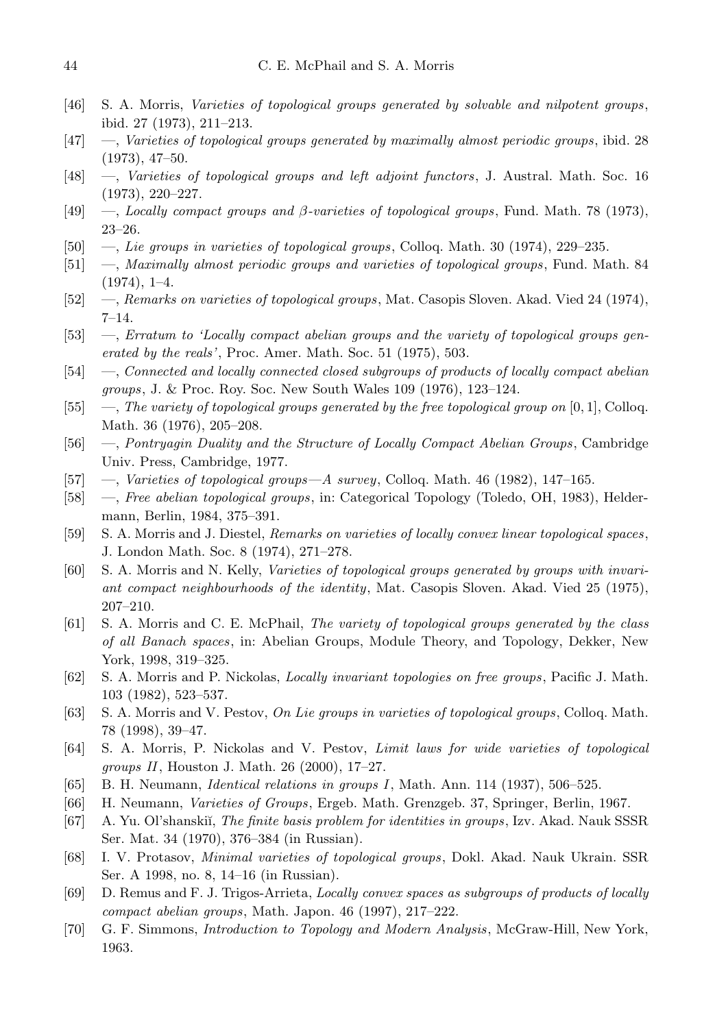- [46] S. A. Morris, Varieties of topological groups generated by solvable and nilpotent groups, ibid. 27 (1973), 211–213.
- [47] —, Varieties of topological groups generated by maximally almost periodic groups, ibid. 28 (1973), 47–50.
- [48] —, Varieties of topological groups and left adjoint functors, J. Austral. Math. Soc. 16 (1973), 220–227.
- [49] —, Locally compact groups and  $\beta$ -varieties of topological groups, Fund. Math. 78 (1973), 23–26.
- [50] —, Lie groups in varieties of topological groups, Colloq. Math. 30 (1974), 229–235.
- [51] —, Maximally almost periodic groups and varieties of topological groups, Fund. Math. 84  $(1974), 1-4.$
- [52] —, Remarks on varieties of topological groups, Mat. Casopis Sloven. Akad. Vied 24 (1974), 7–14.
- [53] —, Erratum to 'Locally compact abelian groups and the variety of topological groups generated by the reals', Proc. Amer. Math. Soc. 51 (1975), 503.
- [54] —, Connected and locally connected closed subgroups of products of locally compact abelian groups, J. & Proc. Roy. Soc. New South Wales 109 (1976), 123–124.
- [55] —, The variety of topological groups generated by the free topological group on  $[0, 1]$ , Colloq. Math. 36 (1976), 205–208.
- [56] —, Pontryagin Duality and the Structure of Locally Compact Abelian Groups, Cambridge Univ. Press, Cambridge, 1977.
- [57] —, Varieties of topological groups—A survey, Colloq. Math. 46 (1982), 147-165.
- [58] —, Free abelian topological groups, in: Categorical Topology (Toledo, OH, 1983), Heldermann, Berlin, 1984, 375–391.
- [59] S. A. Morris and J. Diestel, Remarks on varieties of locally convex linear topological spaces, J. London Math. Soc. 8 (1974), 271–278.
- [60] S. A. Morris and N. Kelly, Varieties of topological groups generated by groups with invariant compact neighbourhoods of the identity, Mat. Casopis Sloven. Akad. Vied 25 (1975), 207–210.
- [61] S. A. Morris and C. E. McPhail, The variety of topological groups generated by the class of all Banach spaces, in: Abelian Groups, Module Theory, and Topology, Dekker, New York, 1998, 319–325.
- [62] S. A. Morris and P. Nickolas, Locally invariant topologies on free groups, Pacific J. Math. 103 (1982), 523–537.
- [63] S. A. Morris and V. Pestov, On Lie groups in varieties of topological groups, Colloq. Math. 78 (1998), 39–47.
- [64] S. A. Morris, P. Nickolas and V. Pestov, Limit laws for wide varieties of topological groups II, Houston J. Math. 26 (2000), 17–27.
- [65] B. H. Neumann, Identical relations in groups I, Math. Ann. 114 (1937), 506–525.
- [66] H. Neumann, Varieties of Groups, Ergeb. Math. Grenzgeb. 37, Springer, Berlin, 1967.
- [67] A. Yu. Ol'shanskiı̆, *The finite basis problem for identities in groups*, Izv. Akad. Nauk SSSR Ser. Mat. 34 (1970), 376–384 (in Russian).
- [68] I. V. Protasov, Minimal varieties of topological groups, Dokl. Akad. Nauk Ukrain. SSR Ser. A 1998, no. 8, 14–16 (in Russian).
- [69] D. Remus and F. J. Trigos-Arrieta, Locally convex spaces as subgroups of products of locally compact abelian groups, Math. Japon. 46 (1997), 217–222.
- [70] G. F. Simmons, Introduction to Topology and Modern Analysis, McGraw-Hill, New York, 1963.